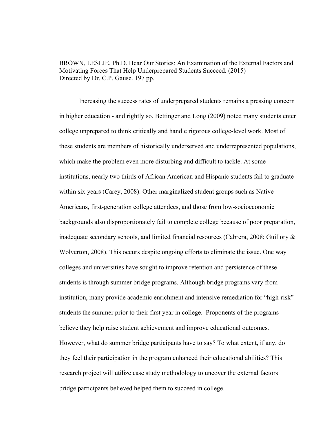BROWN, LESLIE, Ph.D. Hear Our Stories: An Examination of the External Factors and Motivating Forces That Help Underprepared Students Succeed. (2015) Directed by Dr. C.P. Gause. 197 pp.

Increasing the success rates of underprepared students remains a pressing concern in higher education - and rightly so. Bettinger and Long (2009) noted many students enter college unprepared to think critically and handle rigorous college-level work. Most of these students are members of historically underserved and underrepresented populations, which make the problem even more disturbing and difficult to tackle. At some institutions, nearly two thirds of African American and Hispanic students fail to graduate within six years (Carey, 2008). Other marginalized student groups such as Native Americans, first-generation college attendees, and those from low-socioeconomic backgrounds also disproportionately fail to complete college because of poor preparation, inadequate secondary schools, and limited financial resources (Cabrera, 2008; Guillory  $\&$ Wolverton, 2008). This occurs despite ongoing efforts to eliminate the issue. One way colleges and universities have sought to improve retention and persistence of these students is through summer bridge programs. Although bridge programs vary from institution, many provide academic enrichment and intensive remediation for "high-risk" students the summer prior to their first year in college. Proponents of the programs believe they help raise student achievement and improve educational outcomes. However, what do summer bridge participants have to say? To what extent, if any, do they feel their participation in the program enhanced their educational abilities? This research project will utilize case study methodology to uncover the external factors bridge participants believed helped them to succeed in college.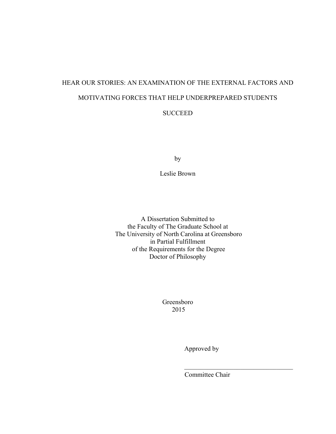# HEAR OUR STORIES: AN EXAMINATION OF THE EXTERNAL FACTORS AND MOTIVATING FORCES THAT HELP UNDERPREPARED STUDENTS **SUCCEED**

by

Leslie Brown

A Dissertation Submitted to the Faculty of The Graduate School at The University of North Carolina at Greensboro in Partial Fulfillment of the Requirements for the Degree Doctor of Philosophy

> Greensboro 2015

> > Approved by

Committee Chair

 $\mathcal{L}_\text{max}$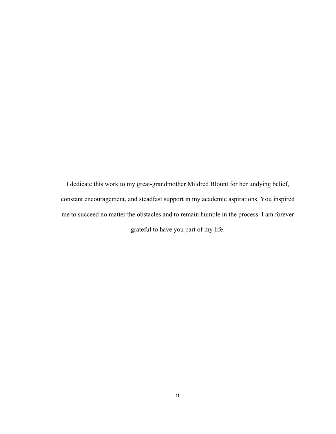I dedicate this work to my great-grandmother Mildred Blount for her undying belief, constant encouragement, and steadfast support in my academic aspirations. You inspired me to succeed no matter the obstacles and to remain humble in the process. I am forever grateful to have you part of my life.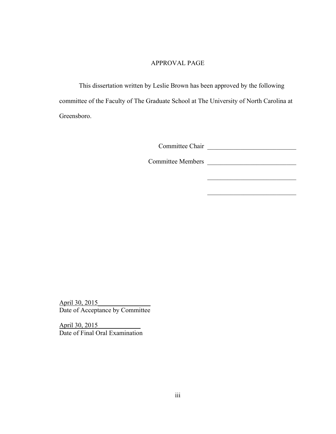# APPROVAL PAGE

This dissertation written by Leslie Brown has been approved by the following committee of the Faculty of The Graduate School at The University of North Carolina at Greensboro.

Committee Chair \_\_\_\_\_\_\_\_\_\_\_\_\_\_\_\_\_\_\_\_\_\_\_\_\_\_\_

Committee Members \_\_\_\_\_\_\_\_\_\_\_\_\_\_\_\_\_\_\_\_\_\_\_\_\_\_\_

 $\mathcal{L}_\text{max}$  , where  $\mathcal{L}_\text{max}$  and  $\mathcal{L}_\text{max}$ 

\_\_\_\_\_\_\_\_\_\_\_\_\_\_\_\_\_\_\_\_\_\_\_\_\_\_\_

April 30, 2015\_\_\_\_\_\_\_\_\_\_\_\_\_\_\_\_ Date of Acceptance by Committee

April 30, 2015\_\_\_\_\_\_\_\_\_\_\_\_\_ Date of Final Oral Examination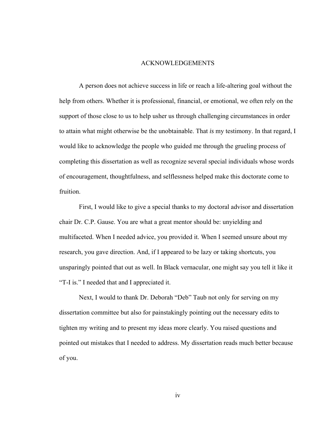#### ACKNOWLEDGEMENTS

A person does not achieve success in life or reach a life-altering goal without the help from others. Whether it is professional, financial, or emotional, we often rely on the support of those close to us to help usher us through challenging circumstances in order to attain what might otherwise be the unobtainable. That *is* my testimony. In that regard, I would like to acknowledge the people who guided me through the grueling process of completing this dissertation as well as recognize several special individuals whose words of encouragement, thoughtfulness, and selflessness helped make this doctorate come to fruition.

First, I would like to give a special thanks to my doctoral advisor and dissertation chair Dr. C.P. Gause. You are what a great mentor should be: unyielding and multifaceted. When I needed advice, you provided it. When I seemed unsure about my research, you gave direction. And, if I appeared to be lazy or taking shortcuts, you unsparingly pointed that out as well. In Black vernacular, one might say you tell it like it "T-I is." I needed that and I appreciated it.

Next, I would to thank Dr. Deborah "Deb" Taub not only for serving on my dissertation committee but also for painstakingly pointing out the necessary edits to tighten my writing and to present my ideas more clearly. You raised questions and pointed out mistakes that I needed to address. My dissertation reads much better because of you.

iv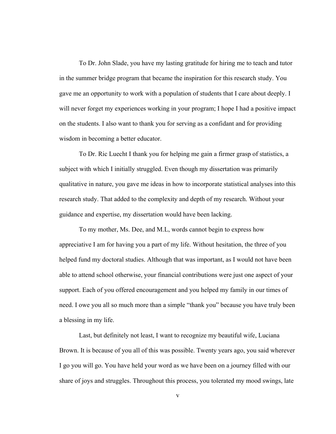To Dr. John Slade, you have my lasting gratitude for hiring me to teach and tutor in the summer bridge program that became the inspiration for this research study. You gave me an opportunity to work with a population of students that I care about deeply. I will never forget my experiences working in your program; I hope I had a positive impact on the students. I also want to thank you for serving as a confidant and for providing wisdom in becoming a better educator.

To Dr. Ric Luecht I thank you for helping me gain a firmer grasp of statistics, a subject with which I initially struggled. Even though my dissertation was primarily qualitative in nature, you gave me ideas in how to incorporate statistical analyses into this research study. That added to the complexity and depth of my research. Without your guidance and expertise, my dissertation would have been lacking.

To my mother, Ms. Dee, and M.L, words cannot begin to express how appreciative I am for having you a part of my life. Without hesitation, the three of you helped fund my doctoral studies. Although that was important, as I would not have been able to attend school otherwise, your financial contributions were just one aspect of your support. Each of you offered encouragement and you helped my family in our times of need. I owe you all so much more than a simple "thank you" because you have truly been a blessing in my life.

Last, but definitely not least, I want to recognize my beautiful wife, Luciana Brown. It is because of you all of this was possible. Twenty years ago, you said wherever I go you will go. You have held your word as we have been on a journey filled with our share of joys and struggles. Throughout this process, you tolerated my mood swings, late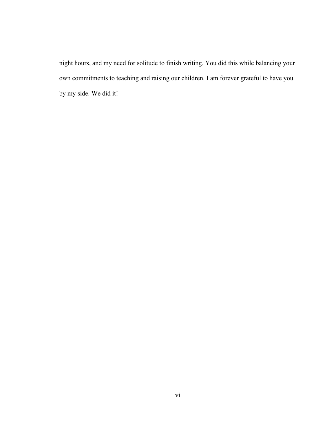night hours, and my need for solitude to finish writing. You did this while balancing your own commitments to teaching and raising our children. I am forever grateful to have you by my side. We did it!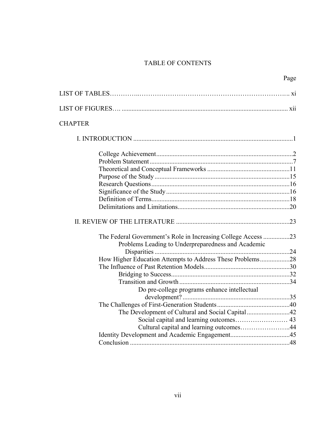# TABLE OF CONTENTS

|                                                               | Page |
|---------------------------------------------------------------|------|
|                                                               |      |
|                                                               |      |
| <b>CHAPTER</b>                                                |      |
|                                                               |      |
|                                                               |      |
|                                                               |      |
|                                                               |      |
|                                                               |      |
|                                                               |      |
|                                                               |      |
|                                                               |      |
|                                                               |      |
|                                                               |      |
| The Federal Government's Role in Increasing College Access 23 |      |
| Problems Leading to Underpreparedness and Academic            |      |
|                                                               |      |
| How Higher Education Attempts to Address These Problems28     |      |
|                                                               |      |
|                                                               |      |
|                                                               |      |
| Do pre-college programs enhance intellectual                  |      |
|                                                               |      |
|                                                               |      |
| The Development of Cultural and Social Capital 42             |      |
| Social capital and learning outcomes 43                       |      |
| Cultural capital and learning outcomes44                      |      |
|                                                               |      |
|                                                               |      |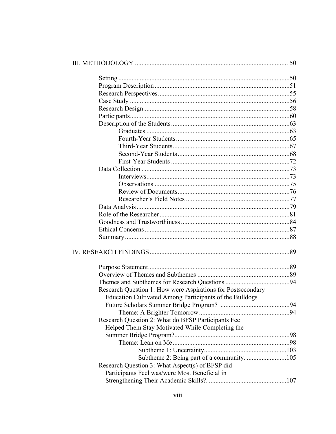| Research Question 1: How were Aspirations for Postsecondary |    |
|-------------------------------------------------------------|----|
| Education Cultivated Among Participants of the Bulldogs     |    |
|                                                             | 94 |
|                                                             |    |
| Research Question 2: What do BFSP Participants Feel         |    |
| Helped Them Stay Motivated While Completing the             |    |
|                                                             |    |
|                                                             |    |
|                                                             |    |
| Subtheme 2: Being part of a community. 105                  |    |
| Research Question 3: What Aspect(s) of BFSP did             |    |
| Participants Feel was/were Most Beneficial in               |    |
|                                                             |    |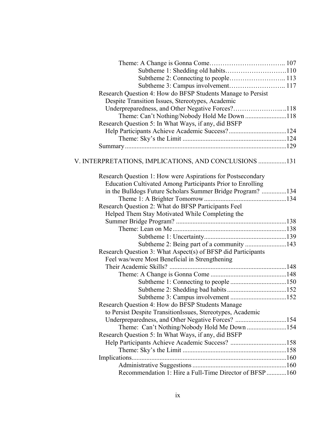| Subtheme 1: Shedding old habits110                                                                |  |
|---------------------------------------------------------------------------------------------------|--|
|                                                                                                   |  |
|                                                                                                   |  |
| Research Question 4: How do BFSP Students Manage to Persist                                       |  |
| Despite Transition Issues, Stereotypes, Academic                                                  |  |
|                                                                                                   |  |
|                                                                                                   |  |
| Research Question 5: In What Ways, if any, did BSFP                                               |  |
|                                                                                                   |  |
|                                                                                                   |  |
|                                                                                                   |  |
| V. INTERPRETATIONS, IMPLICATIONS, AND CONCLUSIONS 131                                             |  |
|                                                                                                   |  |
| Research Question 1: How were Aspirations for Postsecondary                                       |  |
| <b>Education Cultivated Among Participants Prior to Enrolling</b>                                 |  |
| in the Bulldogs Future Scholars Summer Bridge Program? 134                                        |  |
|                                                                                                   |  |
| Research Question 2: What do BFSP Participants Feel                                               |  |
| Helped Them Stay Motivated While Completing the                                                   |  |
|                                                                                                   |  |
|                                                                                                   |  |
|                                                                                                   |  |
| Subtheme 2: Being part of a community 143                                                         |  |
| Research Question 3: What Aspect(s) of BFSP did Participants                                      |  |
| Feel was/were Most Beneficial in Strengthening                                                    |  |
|                                                                                                   |  |
|                                                                                                   |  |
|                                                                                                   |  |
|                                                                                                   |  |
| <b>Research Ouestion 4: How do BFSP Students Manage</b>                                           |  |
| to Persist Despite TransitionIssues, Stereotypes, Academic                                        |  |
|                                                                                                   |  |
| Underpreparedness, and Other Negative Forces? 154<br>Theme: Can't Nothing/Nobody Hold Me Down 154 |  |
|                                                                                                   |  |
| Research Question 5: In What Ways, if any, did BSFP                                               |  |
|                                                                                                   |  |
|                                                                                                   |  |
|                                                                                                   |  |
|                                                                                                   |  |
| Recommendation 1: Hire a Full-Time Director of BFSP 160                                           |  |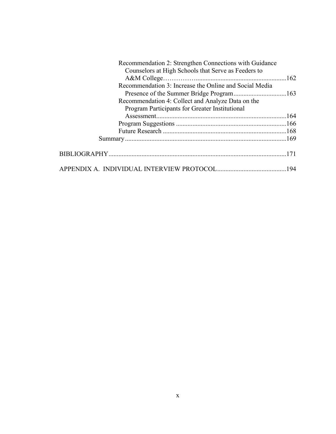| Recommendation 2: Strengthen Connections with Guidance |     |
|--------------------------------------------------------|-----|
| Counselors at High Schools that Serve as Feeders to    |     |
|                                                        |     |
| Recommendation 3: Increase the Online and Social Media |     |
|                                                        |     |
| Recommendation 4: Collect and Analyze Data on the      |     |
| Program Participants for Greater Institutional         |     |
|                                                        |     |
|                                                        |     |
|                                                        |     |
|                                                        |     |
|                                                        |     |
|                                                        |     |
|                                                        |     |
|                                                        | 194 |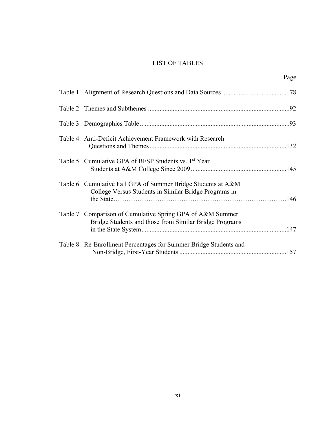# LIST OF TABLES

| Table 4. Anti-Deficit Achievement Framework with Research                                                              |  |
|------------------------------------------------------------------------------------------------------------------------|--|
| Table 5. Cumulative GPA of BFSP Students vs. 1 <sup>st</sup> Year                                                      |  |
| Table 6. Cumulative Fall GPA of Summer Bridge Students at A&M<br>College Versus Students in Similar Bridge Programs in |  |
| Table 7. Comparison of Cumulative Spring GPA of A&M Summer<br>Bridge Students and those from Similar Bridge Programs   |  |
| Table 8. Re-Enrollment Percentages for Summer Bridge Students and                                                      |  |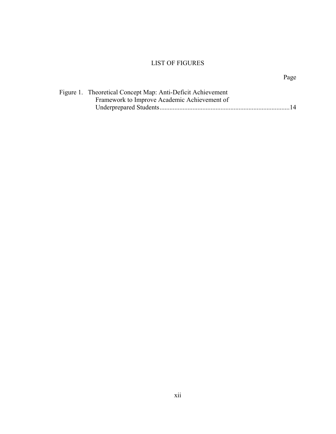# LIST OF FIGURES

Page

| Figure 1. Theoretical Concept Map: Anti-Deficit Achievement |  |
|-------------------------------------------------------------|--|
| Framework to Improve Academic Achievement of                |  |
|                                                             |  |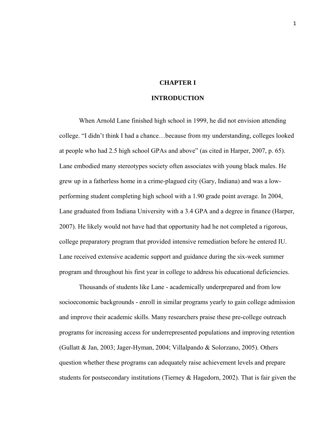# **CHAPTER I**

## **INTRODUCTION**

 When Arnold Lane finished high school in 1999, he did not envision attending college. "I didn't think I had a chance…because from my understanding, colleges looked at people who had 2.5 high school GPAs and above" (as cited in Harper, 2007, p. 65). Lane embodied many stereotypes society often associates with young black males. He grew up in a fatherless home in a crime-plagued city (Gary, Indiana) and was a lowperforming student completing high school with a 1.90 grade point average. In 2004, Lane graduated from Indiana University with a 3.4 GPA and a degree in finance (Harper, 2007). He likely would not have had that opportunity had he not completed a rigorous, college preparatory program that provided intensive remediation before he entered IU. Lane received extensive academic support and guidance during the six-week summer program and throughout his first year in college to address his educational deficiencies.

 Thousands of students like Lane - academically underprepared and from low socioeconomic backgrounds - enroll in similar programs yearly to gain college admission and improve their academic skills. Many researchers praise these pre-college outreach programs for increasing access for underrepresented populations and improving retention (Gullatt & Jan, 2003; Jager-Hyman, 2004; Villalpando & Solorzano, 2005). Others question whether these programs can adequately raise achievement levels and prepare students for postsecondary institutions (Tierney  $\&$  Hagedorn, 2002). That is fair given the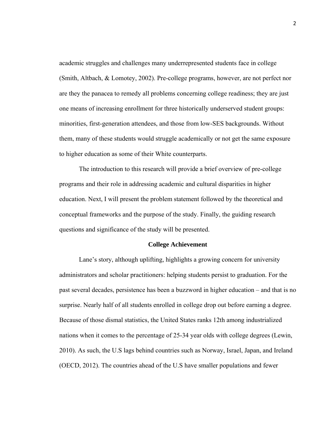academic struggles and challenges many underrepresented students face in college (Smith, Altbach, & Lomotey, 2002). Pre-college programs, however, are not perfect nor are they the panacea to remedy all problems concerning college readiness; they are just one means of increasing enrollment for three historically underserved student groups: minorities, first-generation attendees, and those from low-SES backgrounds. Without them, many of these students would struggle academically or not get the same exposure to higher education as some of their White counterparts.

 The introduction to this research will provide a brief overview of pre-college programs and their role in addressing academic and cultural disparities in higher education. Next, I will present the problem statement followed by the theoretical and conceptual frameworks and the purpose of the study. Finally, the guiding research questions and significance of the study will be presented.

#### **College Achievement**

 Lane's story, although uplifting, highlights a growing concern for university administrators and scholar practitioners: helping students persist to graduation. For the past several decades, persistence has been a buzzword in higher education – and that is no surprise. Nearly half of all students enrolled in college drop out before earning a degree. Because of those dismal statistics, the United States ranks 12th among industrialized nations when it comes to the percentage of 25-34 year olds with college degrees (Lewin, 2010). As such, the U.S lags behind countries such as Norway, Israel, Japan, and Ireland (OECD, 2012). The countries ahead of the U.S have smaller populations and fewer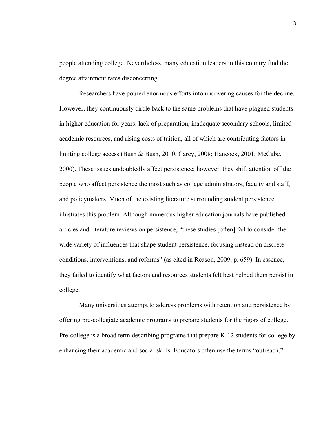people attending college. Nevertheless, many education leaders in this country find the degree attainment rates disconcerting.

 Researchers have poured enormous efforts into uncovering causes for the decline. However, they continuously circle back to the same problems that have plagued students in higher education for years: lack of preparation, inadequate secondary schools, limited academic resources, and rising costs of tuition, all of which are contributing factors in limiting college access (Bush & Bush, 2010; Carey, 2008; Hancock, 2001; McCabe, 2000). These issues undoubtedly affect persistence; however, they shift attention off the people who affect persistence the most such as college administrators, faculty and staff, and policymakers. Much of the existing literature surrounding student persistence illustrates this problem. Although numerous higher education journals have published articles and literature reviews on persistence, "these studies [often] fail to consider the wide variety of influences that shape student persistence, focusing instead on discrete conditions, interventions, and reforms" (as cited in Reason, 2009, p. 659). In essence, they failed to identify what factors and resources students felt best helped them persist in college.

 Many universities attempt to address problems with retention and persistence by offering pre-collegiate academic programs to prepare students for the rigors of college. Pre-college is a broad term describing programs that prepare K-12 students for college by enhancing their academic and social skills. Educators often use the terms "outreach,"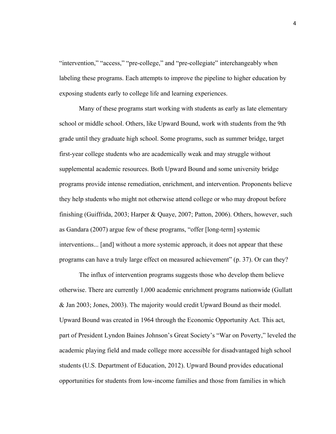"intervention," "access," "pre-college," and "pre-collegiate" interchangeably when labeling these programs. Each attempts to improve the pipeline to higher education by exposing students early to college life and learning experiences.

 Many of these programs start working with students as early as late elementary school or middle school. Others, like Upward Bound, work with students from the 9th grade until they graduate high school. Some programs, such as summer bridge, target first-year college students who are academically weak and may struggle without supplemental academic resources. Both Upward Bound and some university bridge programs provide intense remediation, enrichment, and intervention. Proponents believe they help students who might not otherwise attend college or who may dropout before finishing (Guiffrida, 2003; Harper & Quaye, 2007; Patton, 2006). Others, however, such as Gandara (2007) argue few of these programs, "offer [long-term] systemic interventions... [and] without a more systemic approach, it does not appear that these programs can have a truly large effect on measured achievement" (p. 37). Or can they?

 The influx of intervention programs suggests those who develop them believe otherwise. There are currently 1,000 academic enrichment programs nationwide (Gullatt & Jan 2003; Jones, 2003). The majority would credit Upward Bound as their model. Upward Bound was created in 1964 through the Economic Opportunity Act. This act, part of President Lyndon Baines Johnson's Great Society's "War on Poverty," leveled the academic playing field and made college more accessible for disadvantaged high school students (U.S. Department of Education, 2012). Upward Bound provides educational opportunities for students from low-income families and those from families in which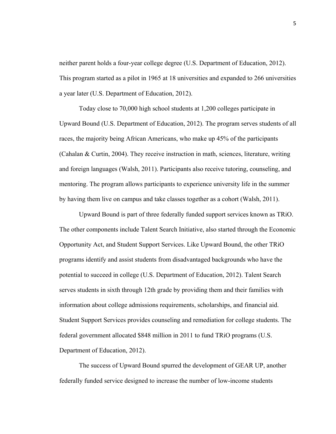neither parent holds a four-year college degree (U.S. Department of Education, 2012). This program started as a pilot in 1965 at 18 universities and expanded to 266 universities a year later (U.S. Department of Education, 2012).

 Today close to 70,000 high school students at 1,200 colleges participate in Upward Bound (U.S. Department of Education, 2012). The program serves students of all races, the majority being African Americans, who make up 45% of the participants (Cahalan & Curtin, 2004). They receive instruction in math, sciences, literature, writing and foreign languages (Walsh, 2011). Participants also receive tutoring, counseling, and mentoring. The program allows participants to experience university life in the summer by having them live on campus and take classes together as a cohort (Walsh, 2011).

 Upward Bound is part of three federally funded support services known as TRiO. The other components include Talent Search Initiative, also started through the Economic Opportunity Act, and Student Support Services. Like Upward Bound, the other TRiO programs identify and assist students from disadvantaged backgrounds who have the potential to succeed in college (U.S. Department of Education, 2012). Talent Search serves students in sixth through 12th grade by providing them and their families with information about college admissions requirements, scholarships, and financial aid. Student Support Services provides counseling and remediation for college students. The federal government allocated \$848 million in 2011 to fund TRiO programs (U.S. Department of Education, 2012).

 The success of Upward Bound spurred the development of GEAR UP, another federally funded service designed to increase the number of low-income students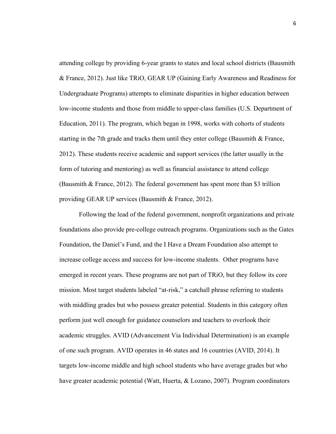attending college by providing 6-year grants to states and local school districts (Bausmith & France, 2012). Just like TRiO, GEAR UP (Gaining Early Awareness and Readiness for Undergraduate Programs) attempts to eliminate disparities in higher education between low-income students and those from middle to upper-class families (U.S. Department of Education, 2011). The program, which began in 1998, works with cohorts of students starting in the 7th grade and tracks them until they enter college (Bausmith & France, 2012). These students receive academic and support services (the latter usually in the form of tutoring and mentoring) as well as financial assistance to attend college (Bausmith & France, 2012). The federal government has spent more than \$3 trillion providing GEAR UP services (Bausmith & France, 2012).

 Following the lead of the federal government, nonprofit organizations and private foundations also provide pre-college outreach programs. Organizations such as the Gates Foundation, the Daniel's Fund, and the I Have a Dream Foundation also attempt to increase college access and success for low-income students. Other programs have emerged in recent years. These programs are not part of TRiO, but they follow its core mission. Most target students labeled "at-risk," a catchall phrase referring to students with middling grades but who possess greater potential. Students in this category often perform just well enough for guidance counselors and teachers to overlook their academic struggles. AVID (Advancement Via Individual Determination) is an example of one such program. AVID operates in 46 states and 16 countries (AVID, 2014). It targets low-income middle and high school students who have average grades but who have greater academic potential (Watt, Huerta, & Lozano, 2007). Program coordinators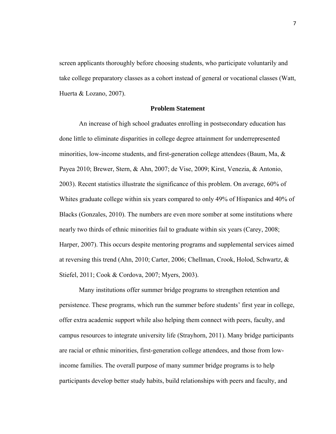screen applicants thoroughly before choosing students, who participate voluntarily and take college preparatory classes as a cohort instead of general or vocational classes (Watt, Huerta & Lozano, 2007).

#### **Problem Statement**

 An increase of high school graduates enrolling in postsecondary education has done little to eliminate disparities in college degree attainment for underrepresented minorities, low-income students, and first-generation college attendees (Baum, Ma, & Payea 2010; Brewer, Stern, & Ahn, 2007; de Vise, 2009; Kirst, Venezia, & Antonio, 2003). Recent statistics illustrate the significance of this problem. On average, 60% of Whites graduate college within six years compared to only 49% of Hispanics and 40% of Blacks (Gonzales, 2010). The numbers are even more somber at some institutions where nearly two thirds of ethnic minorities fail to graduate within six years (Carey, 2008; Harper, 2007). This occurs despite mentoring programs and supplemental services aimed at reversing this trend (Ahn, 2010; Carter, 2006; Chellman, Crook, Holod, Schwartz, & Stiefel, 2011; Cook & Cordova, 2007; Myers, 2003).

 Many institutions offer summer bridge programs to strengthen retention and persistence. These programs, which run the summer before students' first year in college, offer extra academic support while also helping them connect with peers, faculty, and campus resources to integrate university life (Strayhorn, 2011). Many bridge participants are racial or ethnic minorities, first-generation college attendees, and those from lowincome families. The overall purpose of many summer bridge programs is to help participants develop better study habits, build relationships with peers and faculty, and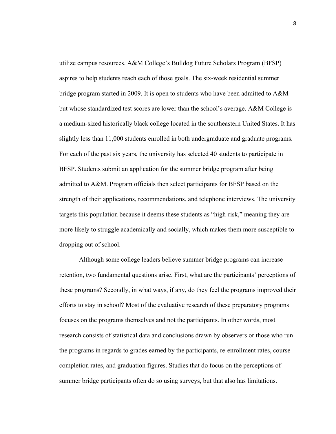utilize campus resources. A&M College's Bulldog Future Scholars Program (BFSP) aspires to help students reach each of those goals. The six-week residential summer bridge program started in 2009. It is open to students who have been admitted to A&M but whose standardized test scores are lower than the school's average. A&M College is a medium-sized historically black college located in the southeastern United States. It has slightly less than 11,000 students enrolled in both undergraduate and graduate programs. For each of the past six years, the university has selected 40 students to participate in BFSP. Students submit an application for the summer bridge program after being admitted to A&M. Program officials then select participants for BFSP based on the strength of their applications, recommendations, and telephone interviews. The university targets this population because it deems these students as "high-risk," meaning they are more likely to struggle academically and socially, which makes them more susceptible to dropping out of school.

 Although some college leaders believe summer bridge programs can increase retention, two fundamental questions arise. First, what are the participants' perceptions of these programs? Secondly, in what ways, if any, do they feel the programs improved their efforts to stay in school? Most of the evaluative research of these preparatory programs focuses on the programs themselves and not the participants. In other words, most research consists of statistical data and conclusions drawn by observers or those who run the programs in regards to grades earned by the participants, re-enrollment rates, course completion rates, and graduation figures. Studies that do focus on the perceptions of summer bridge participants often do so using surveys, but that also has limitations.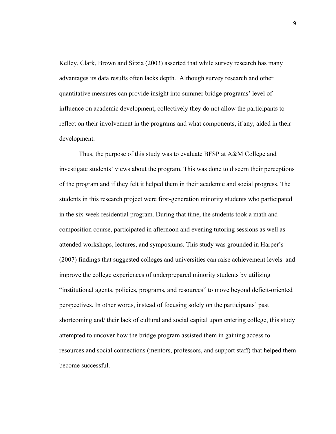Kelley, Clark, Brown and Sitzia (2003) asserted that while survey research has many advantages its data results often lacks depth. Although survey research and other quantitative measures can provide insight into summer bridge programs' level of influence on academic development, collectively they do not allow the participants to reflect on their involvement in the programs and what components, if any, aided in their development.

 Thus, the purpose of this study was to evaluate BFSP at A&M College and investigate students' views about the program. This was done to discern their perceptions of the program and if they felt it helped them in their academic and social progress. The students in this research project were first-generation minority students who participated in the six-week residential program. During that time, the students took a math and composition course, participated in afternoon and evening tutoring sessions as well as attended workshops, lectures, and symposiums. This study was grounded in Harper's (2007) findings that suggested colleges and universities can raise achievement levels and improve the college experiences of underprepared minority students by utilizing "institutional agents, policies, programs, and resources" to move beyond deficit-oriented perspectives. In other words, instead of focusing solely on the participants' past shortcoming and/ their lack of cultural and social capital upon entering college, this study attempted to uncover how the bridge program assisted them in gaining access to resources and social connections (mentors, professors, and support staff) that helped them become successful.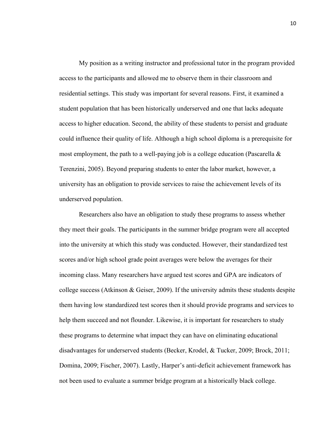My position as a writing instructor and professional tutor in the program provided access to the participants and allowed me to observe them in their classroom and residential settings. This study was important for several reasons. First, it examined a student population that has been historically underserved and one that lacks adequate access to higher education. Second, the ability of these students to persist and graduate could influence their quality of life. Although a high school diploma is a prerequisite for most employment, the path to a well-paying job is a college education (Pascarella  $\&$ Terenzini, 2005). Beyond preparing students to enter the labor market, however, a university has an obligation to provide services to raise the achievement levels of its underserved population.

 Researchers also have an obligation to study these programs to assess whether they meet their goals. The participants in the summer bridge program were all accepted into the university at which this study was conducted. However, their standardized test scores and/or high school grade point averages were below the averages for their incoming class. Many researchers have argued test scores and GPA are indicators of college success (Atkinson & Geiser, 2009). If the university admits these students despite them having low standardized test scores then it should provide programs and services to help them succeed and not flounder. Likewise, it is important for researchers to study these programs to determine what impact they can have on eliminating educational disadvantages for underserved students (Becker, Krodel, & Tucker, 2009; Brock, 2011; Domina, 2009; Fischer, 2007). Lastly, Harper's anti-deficit achievement framework has not been used to evaluate a summer bridge program at a historically black college.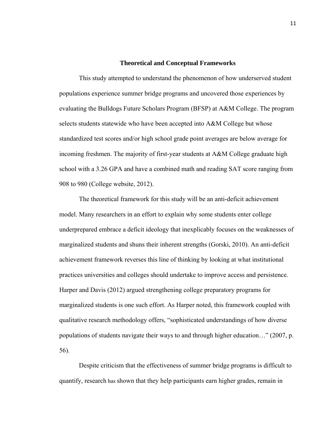#### **Theoretical and Conceptual Frameworks**

 This study attempted to understand the phenomenon of how underserved student populations experience summer bridge programs and uncovered those experiences by evaluating the Bulldogs Future Scholars Program (BFSP) at A&M College. The program selects students statewide who have been accepted into A&M College but whose standardized test scores and/or high school grade point averages are below average for incoming freshmen. The majority of first-year students at A&M College graduate high school with a 3.26 GPA and have a combined math and reading SAT score ranging from 908 to 980 (College website, 2012).

 The theoretical framework for this study will be an anti-deficit achievement model. Many researchers in an effort to explain why some students enter college underprepared embrace a deficit ideology that inexplicably focuses on the weaknesses of marginalized students and shuns their inherent strengths (Gorski, 2010). An anti-deficit achievement framework reverses this line of thinking by looking at what institutional practices universities and colleges should undertake to improve access and persistence. Harper and Davis (2012) argued strengthening college preparatory programs for marginalized students is one such effort. As Harper noted, this framework coupled with qualitative research methodology offers, "sophisticated understandings of how diverse populations of students navigate their ways to and through higher education…" (2007, p. 56).

 Despite criticism that the effectiveness of summer bridge programs is difficult to quantify, research has shown that they help participants earn higher grades, remain in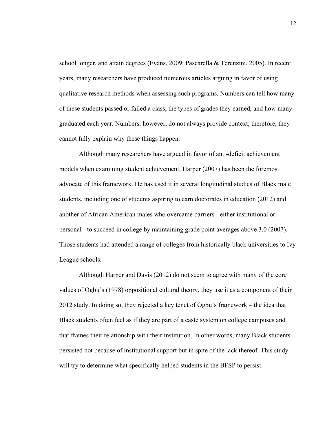school longer, and attain degrees (Evans, 2009; Pascarella & Terenzini, 2005). In recent years, many researchers have produced numerous articles arguing in favor of using qualitative research methods when assessing such programs. Numbers can tell how many of these students passed or failed a class, the types of grades they earned, and how many graduated each year. Numbers, however, do not always provide context; therefore, they cannot fully explain why these things happen.

 Although many researchers have argued in favor of anti-deficit achievement models when examining student achievement, Harper (2007) has been the foremost advocate of this framework. He has used it in several longitudinal studies of Black male students, including one of students aspiring to earn doctorates in education (2012) and another of African American males who overcame barriers - either institutional or personal - to succeed in college by maintaining grade point averages above 3.0 (2007). Those students had attended a range of colleges from historically black universities to Ivy League schools.

 Although Harper and Davis (2012) do not seem to agree with many of the core values of Ogbu's (1978) oppositional cultural theory, they use it as a component of their 2012 study. In doing so, they rejected a key tenet of Ogbu's framework – the idea that Black students often feel as if they are part of a caste system on college campuses and that frames their relationship with their institution. In other words, many Black students persisted not because of institutional support but in spite of the lack thereof. This study will try to determine what specifically helped students in the BFSP to persist.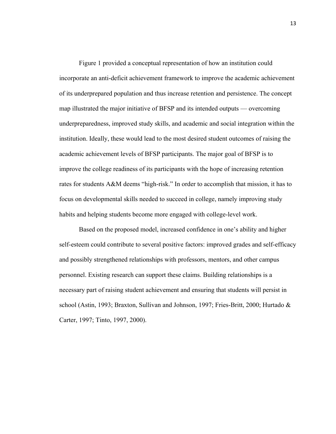Figure 1 provided a conceptual representation of how an institution could incorporate an anti-deficit achievement framework to improve the academic achievement of its underprepared population and thus increase retention and persistence. The concept map illustrated the major initiative of BFSP and its intended outputs — overcoming underpreparedness, improved study skills, and academic and social integration within the institution. Ideally, these would lead to the most desired student outcomes of raising the academic achievement levels of BFSP participants. The major goal of BFSP is to improve the college readiness of its participants with the hope of increasing retention rates for students A&M deems "high-risk." In order to accomplish that mission, it has to focus on developmental skills needed to succeed in college, namely improving study habits and helping students become more engaged with college-level work.

 Based on the proposed model, increased confidence in one's ability and higher self-esteem could contribute to several positive factors: improved grades and self-efficacy and possibly strengthened relationships with professors, mentors, and other campus personnel. Existing research can support these claims. Building relationships is a necessary part of raising student achievement and ensuring that students will persist in school (Astin, 1993; Braxton, Sullivan and Johnson, 1997; Fries-Britt, 2000; Hurtado & Carter, 1997; Tinto, 1997, 2000).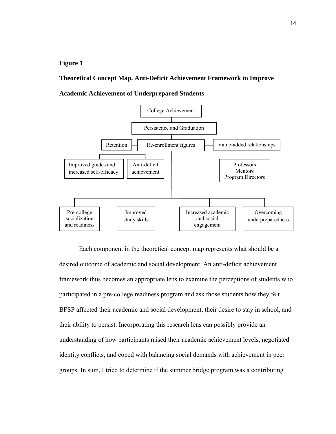**Figure 1** 

**Theoretical Concept Map. Anti-Deficit Achievement Framework to Improve** 

**Academic Achievement of Underprepared Students** 



 Each component in the theoretical concept map represents what should be a desired outcome of academic and social development. An anti-deficit achievement framework thus becomes an appropriate lens to examine the perceptions of students who participated in a pre-college readiness program and ask those students how they felt BFSP affected their academic and social development, their desire to stay in school, and their ability to persist. Incorporating this research lens can possibly provide an understanding of how participants raised their academic achievement levels, negotiated identity conflicts, and coped with balancing social demands with achievement in peer groups. In sum, I tried to determine if the summer bridge program was a contributing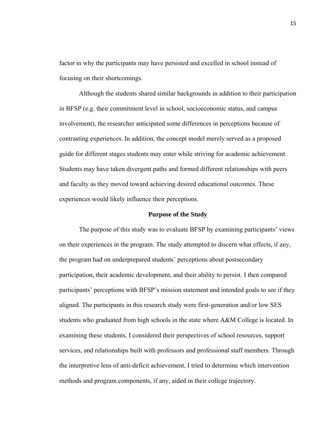factor in why the participants may have persisted and excelled in school instead of focusing on their shortcomings.

 Although the students shared similar backgrounds in addition to their participation in BFSP (e.g. their commitment level in school, socioeconomic status, and campus involvement), the researcher anticipated some differences in perceptions because of contrasting experiences. In addition, the concept model merely served as a proposed guide for different stages students may enter while striving for academic achievement. Students may have taken divergent paths and formed different relationships with peers and faculty as they moved toward achieving desired educational outcomes. These experiences would likely influence their perceptions.

#### **Purpose of the Study**

 The purpose of this study was to evaluate BFSP by examining participants' views on their experiences in the program. The study attempted to discern what effects, if any, the program had on underprepared students' perceptions about postsecondary participation, their academic development, and their ability to persist. I then compared participants' perceptions with BFSP's mission statement and intended goals to see if they aligned. The participants in this research study were first-generation and/or low SES students who graduated from high schools in the state where A&M College is located. In examining these students, I considered their perspectives of school resources, support services, and relationships built with professors and professional staff members. Through the interpretive lens of anti-deficit achievement, I tried to determine which intervention methods and program components, if any, aided in their college trajectory.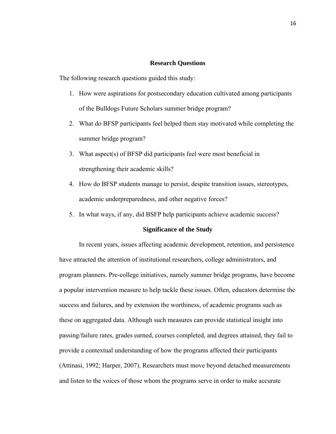#### **Research Questions**

The following research questions guided this study:

- 1. How were aspirations for postsecondary education cultivated among participants of the Bulldogs Future Scholars summer bridge program?
- 2. What do BFSP participants feel helped them stay motivated while completing the summer bridge program?
- 3. What aspect(s) of BFSP did participants feel were most beneficial in strengthening their academic skills?
- 4. How do BFSP students manage to persist, despite transition issues, stereotypes, academic underpreparedness, and other negative forces?
- 5. In what ways, if any, did BSFP help participants achieve academic success?

## **Significance of the Study**

 In recent years, issues affecting academic development, retention, and persistence have attracted the attention of institutional researchers, college administrators, and program planners. Pre-college initiatives, namely summer bridge programs, have become a popular intervention measure to help tackle these issues. Often, educators determine the success and failures, and by extension the worthiness, of academic programs such as these on aggregated data. Although such measures can provide statistical insight into passing/failure rates, grades earned, courses completed, and degrees attained, they fail to provide a contextual understanding of how the programs affected their participants (Attinasi, 1992; Harper, 2007). Researchers must move beyond detached measurements and listen to the voices of those whom the programs serve in order to make accurate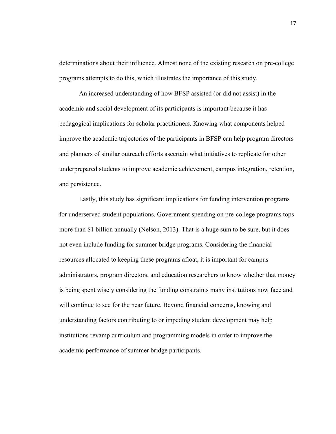determinations about their influence. Almost none of the existing research on pre-college programs attempts to do this, which illustrates the importance of this study.

 An increased understanding of how BFSP assisted (or did not assist) in the academic and social development of its participants is important because it has pedagogical implications for scholar practitioners. Knowing what components helped improve the academic trajectories of the participants in BFSP can help program directors and planners of similar outreach efforts ascertain what initiatives to replicate for other underprepared students to improve academic achievement, campus integration, retention, and persistence.

 Lastly, this study has significant implications for funding intervention programs for underserved student populations. Government spending on pre-college programs tops more than \$1 billion annually (Nelson, 2013). That is a huge sum to be sure, but it does not even include funding for summer bridge programs. Considering the financial resources allocated to keeping these programs afloat, it is important for campus administrators, program directors, and education researchers to know whether that money is being spent wisely considering the funding constraints many institutions now face and will continue to see for the near future. Beyond financial concerns, knowing and understanding factors contributing to or impeding student development may help institutions revamp curriculum and programming models in order to improve the academic performance of summer bridge participants.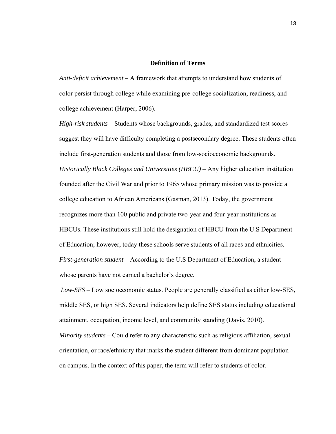## **Definition of Terms**

*Anti-deficit achievement* – A framework that attempts to understand how students of color persist through college while examining pre-college socialization, readiness, and college achievement (Harper, 2006).

*High-risk students* – Students whose backgrounds, grades, and standardized test scores suggest they will have difficulty completing a postsecondary degree. These students often include first-generation students and those from low-socioeconomic backgrounds. *Historically Black Colleges and Universities (HBCU)* – Any higher education institution founded after the Civil War and prior to 1965 whose primary mission was to provide a college education to African Americans (Gasman, 2013). Today, the government recognizes more than 100 public and private two-year and four-year institutions as HBCUs. These institutions still hold the designation of HBCU from the U.S Department of Education; however, today these schools serve students of all races and ethnicities. *First-generation student* – According to the U.S Department of Education, a student whose parents have not earned a bachelor's degree.

*Low-SES* – Low socioeconomic status. People are generally classified as either low-SES, middle SES, or high SES. Several indicators help define SES status including educational attainment, occupation, income level, and community standing (Davis, 2010). *Minority students* – Could refer to any characteristic such as religious affiliation, sexual

orientation, or race/ethnicity that marks the student different from dominant population on campus. In the context of this paper, the term will refer to students of color.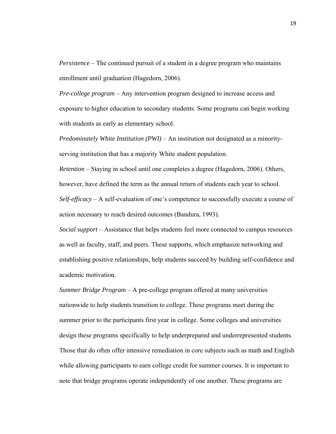*Persistence* – The continued pursuit of a student in a degree program who maintains enrollment until graduation (Hagedorn, 2006).

*Pre-college program* – Any intervention program designed to increase access and exposure to higher education to secondary students. Some programs can begin working with students as early as elementary school.

*Predominately White Institution (PWI)* – An institution not designated as a minorityserving institution that has a majority White student population.

*Retention* – Staying in school until one completes a degree (Hagedorn, 2006). Others, however, have defined the term as the annual return of students each year to school. *Self-efficacy* – A self-evaluation of one's competence to successfully execute a course of action necessary to reach desired outcomes (Bandura, 1993).

*Social support* – Assistance that helps students feel more connected to campus resources as well as faculty, staff, and peers. These supports, which emphasize networking and establishing positive relationships, help students succeed by building self-confidence and academic motivation.

*Summer Bridge Program* – A pre-college program offered at many universities nationwide to help students transition to college. These programs meet during the summer prior to the participants first year in college. Some colleges and universities design these programs specifically to help underprepared and underrepresented students. Those that do often offer intensive remediation in core subjects such as math and English while allowing participants to earn college credit for summer courses. It is important to note that bridge programs operate independently of one another. These programs are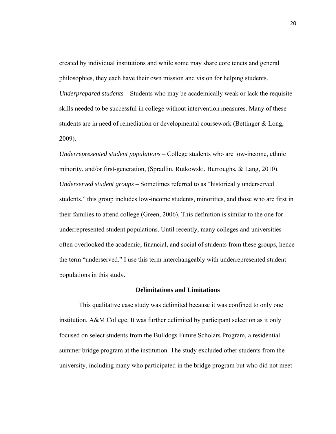created by individual institutions and while some may share core tenets and general philosophies, they each have their own mission and vision for helping students. *Underprepared students* – Students who may be academically weak or lack the requisite skills needed to be successful in college without intervention measures. Many of these students are in need of remediation or developmental coursework (Bettinger & Long, 2009).

*Underrepresented student populations* – College students who are low-income, ethnic minority, and/or first-generation, (Spradlin, Rutkowski, Burroughs, & Lang, 2010). *Underserved student groups* – Sometimes referred to as "historically underserved students," this group includes low-income students, minorities, and those who are first in their families to attend college (Green, 2006). This definition is similar to the one for underrepresented student populations. Until recently, many colleges and universities often overlooked the academic, financial, and social of students from these groups, hence the term "underserved." I use this term interchangeably with underrepresented student populations in this study.

## **Delimitations and Limitations**

 This qualitative case study was delimited because it was confined to only one institution, A&M College. It was further delimited by participant selection as it only focused on select students from the Bulldogs Future Scholars Program, a residential summer bridge program at the institution. The study excluded other students from the university, including many who participated in the bridge program but who did not meet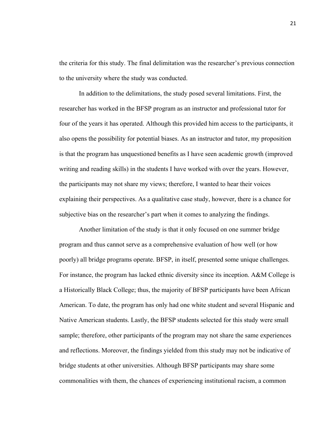the criteria for this study. The final delimitation was the researcher's previous connection to the university where the study was conducted.

 In addition to the delimitations, the study posed several limitations. First, the researcher has worked in the BFSP program as an instructor and professional tutor for four of the years it has operated. Although this provided him access to the participants, it also opens the possibility for potential biases. As an instructor and tutor, my proposition is that the program has unquestioned benefits as I have seen academic growth (improved writing and reading skills) in the students I have worked with over the years. However, the participants may not share my views; therefore, I wanted to hear their voices explaining their perspectives. As a qualitative case study, however, there is a chance for subjective bias on the researcher's part when it comes to analyzing the findings.

Another limitation of the study is that it only focused on one summer bridge program and thus cannot serve as a comprehensive evaluation of how well (or how poorly) all bridge programs operate. BFSP, in itself, presented some unique challenges. For instance, the program has lacked ethnic diversity since its inception. A&M College is a Historically Black College; thus, the majority of BFSP participants have been African American. To date, the program has only had one white student and several Hispanic and Native American students. Lastly, the BFSP students selected for this study were small sample; therefore, other participants of the program may not share the same experiences and reflections. Moreover, the findings yielded from this study may not be indicative of bridge students at other universities. Although BFSP participants may share some commonalities with them, the chances of experiencing institutional racism, a common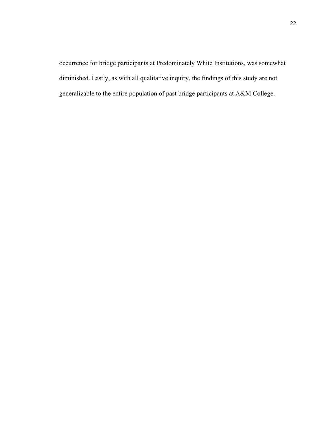occurrence for bridge participants at Predominately White Institutions, was somewhat diminished. Lastly, as with all qualitative inquiry, the findings of this study are not generalizable to the entire population of past bridge participants at A&M College.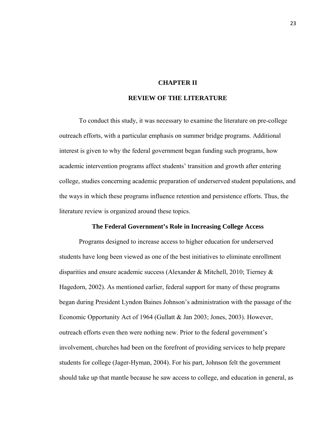#### **CHAPTER II**

## **REVIEW OF THE LITERATURE**

 To conduct this study, it was necessary to examine the literature on pre-college outreach efforts, with a particular emphasis on summer bridge programs. Additional interest is given to why the federal government began funding such programs, how academic intervention programs affect students' transition and growth after entering college, studies concerning academic preparation of underserved student populations, and the ways in which these programs influence retention and persistence efforts. Thus, the literature review is organized around these topics.

#### **The Federal Government's Role in Increasing College Access**

 Programs designed to increase access to higher education for underserved students have long been viewed as one of the best initiatives to eliminate enrollment disparities and ensure academic success (Alexander & Mitchell, 2010; Tierney & Hagedorn, 2002). As mentioned earlier, federal support for many of these programs began during President Lyndon Baines Johnson's administration with the passage of the Economic Opportunity Act of 1964 (Gullatt & Jan 2003; Jones, 2003). However, outreach efforts even then were nothing new. Prior to the federal government's involvement, churches had been on the forefront of providing services to help prepare students for college (Jager-Hyman, 2004). For his part, Johnson felt the government should take up that mantle because he saw access to college, and education in general, as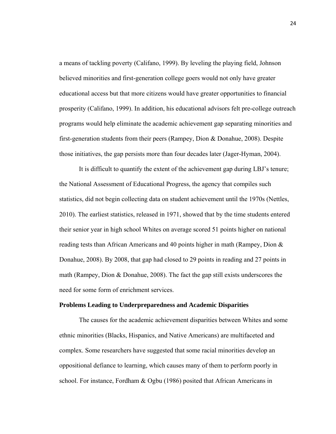a means of tackling poverty (Califano, 1999). By leveling the playing field, Johnson believed minorities and first-generation college goers would not only have greater educational access but that more citizens would have greater opportunities to financial prosperity (Califano, 1999). In addition, his educational advisors felt pre-college outreach programs would help eliminate the academic achievement gap separating minorities and first-generation students from their peers (Rampey, Dion & Donahue, 2008). Despite those initiatives, the gap persists more than four decades later (Jager-Hyman, 2004).

 It is difficult to quantify the extent of the achievement gap during LBJ's tenure; the National Assessment of Educational Progress, the agency that compiles such statistics, did not begin collecting data on student achievement until the 1970s (Nettles, 2010). The earliest statistics, released in 1971, showed that by the time students entered their senior year in high school Whites on average scored 51 points higher on national reading tests than African Americans and 40 points higher in math (Rampey, Dion & Donahue, 2008). By 2008, that gap had closed to 29 points in reading and 27 points in math (Rampey, Dion & Donahue, 2008). The fact the gap still exists underscores the need for some form of enrichment services.

## **Problems Leading to Underpreparedness and Academic Disparities**

 The causes for the academic achievement disparities between Whites and some ethnic minorities (Blacks, Hispanics, and Native Americans) are multifaceted and complex. Some researchers have suggested that some racial minorities develop an oppositional defiance to learning, which causes many of them to perform poorly in school. For instance, Fordham & Ogbu (1986) posited that African Americans in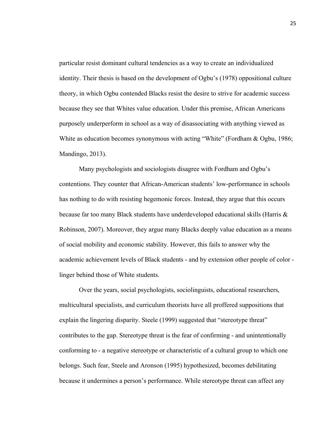particular resist dominant cultural tendencies as a way to create an individualized identity. Their thesis is based on the development of Ogbu's (1978) oppositional culture theory, in which Ogbu contended Blacks resist the desire to strive for academic success because they see that Whites value education. Under this premise, African Americans purposely underperform in school as a way of disassociating with anything viewed as White as education becomes synonymous with acting "White" (Fordham & Ogbu, 1986; Mandingo, 2013).

 Many psychologists and sociologists disagree with Fordham and Ogbu's contentions. They counter that African-American students' low-performance in schools has nothing to do with resisting hegemonic forces. Instead, they argue that this occurs because far too many Black students have underdeveloped educational skills (Harris & Robinson, 2007). Moreover, they argue many Blacks deeply value education as a means of social mobility and economic stability. However, this fails to answer why the academic achievement levels of Black students - and by extension other people of color linger behind those of White students.

 Over the years, social psychologists, sociolinguists, educational researchers, multicultural specialists, and curriculum theorists have all proffered suppositions that explain the lingering disparity. Steele (1999) suggested that "stereotype threat" contributes to the gap. Stereotype threat is the fear of confirming - and unintentionally conforming to - a negative stereotype or characteristic of a cultural group to which one belongs. Such fear, Steele and Aronson (1995) hypothesized, becomes debilitating because it undermines a person's performance. While stereotype threat can affect any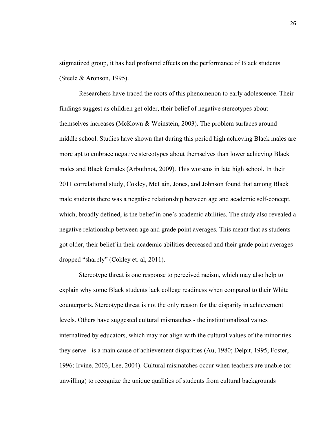stigmatized group, it has had profound effects on the performance of Black students (Steele & Aronson, 1995).

 Researchers have traced the roots of this phenomenon to early adolescence. Their findings suggest as children get older, their belief of negative stereotypes about themselves increases (McKown & Weinstein, 2003). The problem surfaces around middle school. Studies have shown that during this period high achieving Black males are more apt to embrace negative stereotypes about themselves than lower achieving Black males and Black females (Arbuthnot, 2009). This worsens in late high school. In their 2011 correlational study, Cokley, McLain, Jones, and Johnson found that among Black male students there was a negative relationship between age and academic self-concept, which, broadly defined, is the belief in one's academic abilities. The study also revealed a negative relationship between age and grade point averages. This meant that as students got older, their belief in their academic abilities decreased and their grade point averages dropped "sharply" (Cokley et. al, 2011).

 Stereotype threat is one response to perceived racism, which may also help to explain why some Black students lack college readiness when compared to their White counterparts. Stereotype threat is not the only reason for the disparity in achievement levels. Others have suggested cultural mismatches - the institutionalized values internalized by educators, which may not align with the cultural values of the minorities they serve - is a main cause of achievement disparities (Au, 1980; Delpit, 1995; Foster, 1996; Irvine, 2003; Lee, 2004). Cultural mismatches occur when teachers are unable (or unwilling) to recognize the unique qualities of students from cultural backgrounds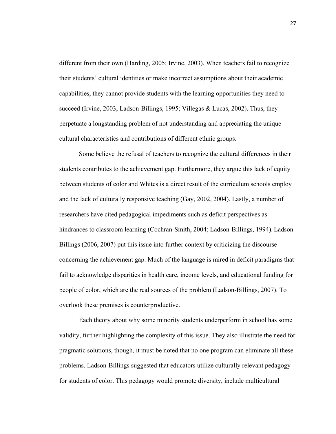different from their own (Harding, 2005; Irvine, 2003). When teachers fail to recognize their students' cultural identities or make incorrect assumptions about their academic capabilities, they cannot provide students with the learning opportunities they need to succeed (Irvine, 2003; Ladson-Billings, 1995; Villegas & Lucas, 2002). Thus, they perpetuate a longstanding problem of not understanding and appreciating the unique cultural characteristics and contributions of different ethnic groups.

 Some believe the refusal of teachers to recognize the cultural differences in their students contributes to the achievement gap. Furthermore, they argue this lack of equity between students of color and Whites is a direct result of the curriculum schools employ and the lack of culturally responsive teaching (Gay, 2002, 2004). Lastly, a number of researchers have cited pedagogical impediments such as deficit perspectives as hindrances to classroom learning (Cochran-Smith, 2004; Ladson-Billings, 1994). Ladson-Billings (2006, 2007) put this issue into further context by criticizing the discourse concerning the achievement gap. Much of the language is mired in deficit paradigms that fail to acknowledge disparities in health care, income levels, and educational funding for people of color, which are the real sources of the problem (Ladson-Billings, 2007). To overlook these premises is counterproductive.

 Each theory about why some minority students underperform in school has some validity, further highlighting the complexity of this issue. They also illustrate the need for pragmatic solutions, though, it must be noted that no one program can eliminate all these problems. Ladson-Billings suggested that educators utilize culturally relevant pedagogy for students of color. This pedagogy would promote diversity, include multicultural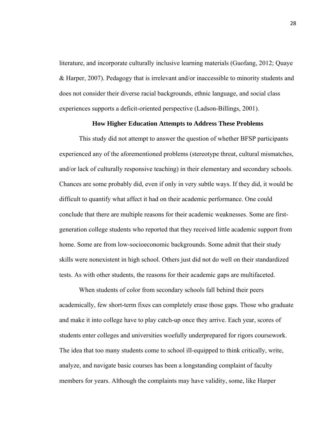literature, and incorporate culturally inclusive learning materials (Guofang, 2012; Quaye & Harper, 2007). Pedagogy that is irrelevant and/or inaccessible to minority students and does not consider their diverse racial backgrounds, ethnic language, and social class experiences supports a deficit-oriented perspective (Ladson-Billings, 2001).

## **How Higher Education Attempts to Address These Problems**

 This study did not attempt to answer the question of whether BFSP participants experienced any of the aforementioned problems (stereotype threat, cultural mismatches, and/or lack of culturally responsive teaching) in their elementary and secondary schools. Chances are some probably did, even if only in very subtle ways. If they did, it would be difficult to quantify what affect it had on their academic performance. One could conclude that there are multiple reasons for their academic weaknesses. Some are firstgeneration college students who reported that they received little academic support from home. Some are from low-socioeconomic backgrounds. Some admit that their study skills were nonexistent in high school. Others just did not do well on their standardized tests. As with other students, the reasons for their academic gaps are multifaceted.

 When students of color from secondary schools fall behind their peers academically, few short-term fixes can completely erase those gaps. Those who graduate and make it into college have to play catch-up once they arrive. Each year, scores of students enter colleges and universities woefully underprepared for rigors coursework. The idea that too many students come to school ill-equipped to think critically, write, analyze, and navigate basic courses has been a longstanding complaint of faculty members for years. Although the complaints may have validity, some, like Harper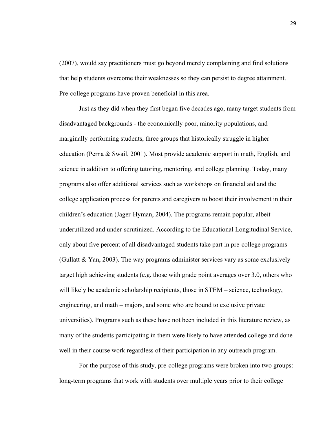(2007), would say practitioners must go beyond merely complaining and find solutions that help students overcome their weaknesses so they can persist to degree attainment. Pre-college programs have proven beneficial in this area.

 Just as they did when they first began five decades ago, many target students from disadvantaged backgrounds - the economically poor, minority populations, and marginally performing students, three groups that historically struggle in higher education (Perna & Swail, 2001). Most provide academic support in math, English, and science in addition to offering tutoring, mentoring, and college planning. Today, many programs also offer additional services such as workshops on financial aid and the college application process for parents and caregivers to boost their involvement in their children's education (Jager-Hyman, 2004). The programs remain popular, albeit underutilized and under-scrutinized. According to the Educational Longitudinal Service, only about five percent of all disadvantaged students take part in pre-college programs (Gullatt & Yan, 2003). The way programs administer services vary as some exclusively target high achieving students (e.g. those with grade point averages over 3.0, others who will likely be academic scholarship recipients, those in STEM – science, technology, engineering, and math – majors, and some who are bound to exclusive private universities). Programs such as these have not been included in this literature review, as many of the students participating in them were likely to have attended college and done well in their course work regardless of their participation in any outreach program.

 For the purpose of this study, pre-college programs were broken into two groups: long-term programs that work with students over multiple years prior to their college

29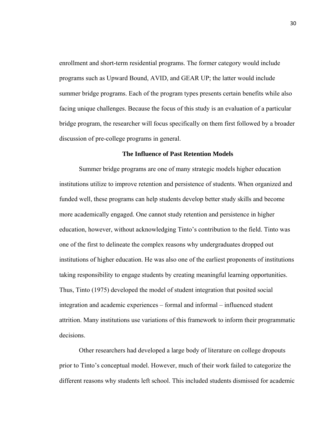enrollment and short-term residential programs. The former category would include programs such as Upward Bound, AVID, and GEAR UP; the latter would include summer bridge programs. Each of the program types presents certain benefits while also facing unique challenges. Because the focus of this study is an evaluation of a particular bridge program, the researcher will focus specifically on them first followed by a broader discussion of pre-college programs in general.

# **The Influence of Past Retention Models**

 Summer bridge programs are one of many strategic models higher education institutions utilize to improve retention and persistence of students. When organized and funded well, these programs can help students develop better study skills and become more academically engaged. One cannot study retention and persistence in higher education, however, without acknowledging Tinto's contribution to the field. Tinto was one of the first to delineate the complex reasons why undergraduates dropped out institutions of higher education. He was also one of the earliest proponents of institutions taking responsibility to engage students by creating meaningful learning opportunities. Thus, Tinto (1975) developed the model of student integration that posited social integration and academic experiences – formal and informal – influenced student attrition. Many institutions use variations of this framework to inform their programmatic decisions.

 Other researchers had developed a large body of literature on college dropouts prior to Tinto's conceptual model. However, much of their work failed to categorize the different reasons why students left school. This included students dismissed for academic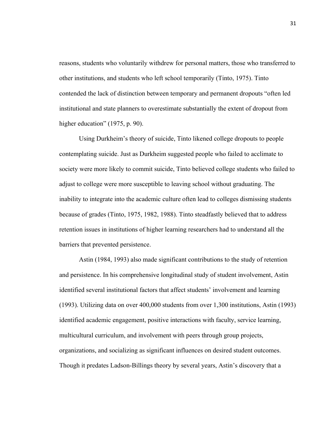reasons, students who voluntarily withdrew for personal matters, those who transferred to other institutions, and students who left school temporarily (Tinto, 1975). Tinto contended the lack of distinction between temporary and permanent dropouts "often led institutional and state planners to overestimate substantially the extent of dropout from higher education" (1975, p. 90).

 Using Durkheim's theory of suicide, Tinto likened college dropouts to people contemplating suicide. Just as Durkheim suggested people who failed to acclimate to society were more likely to commit suicide, Tinto believed college students who failed to adjust to college were more susceptible to leaving school without graduating. The inability to integrate into the academic culture often lead to colleges dismissing students because of grades (Tinto, 1975, 1982, 1988). Tinto steadfastly believed that to address retention issues in institutions of higher learning researchers had to understand all the barriers that prevented persistence.

Astin (1984, 1993) also made significant contributions to the study of retention and persistence. In his comprehensive longitudinal study of student involvement, Astin identified several institutional factors that affect students' involvement and learning (1993). Utilizing data on over 400,000 students from over 1,300 institutions, Astin (1993) identified academic engagement, positive interactions with faculty, service learning, multicultural curriculum, and involvement with peers through group projects, organizations, and socializing as significant influences on desired student outcomes. Though it predates Ladson-Billings theory by several years, Astin's discovery that a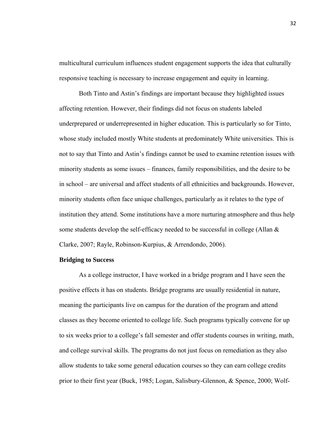multicultural curriculum influences student engagement supports the idea that culturally responsive teaching is necessary to increase engagement and equity in learning.

 Both Tinto and Astin's findings are important because they highlighted issues affecting retention. However, their findings did not focus on students labeled underprepared or underrepresented in higher education. This is particularly so for Tinto, whose study included mostly White students at predominately White universities. This is not to say that Tinto and Astin's findings cannot be used to examine retention issues with minority students as some issues – finances, family responsibilities, and the desire to be in school – are universal and affect students of all ethnicities and backgrounds. However, minority students often face unique challenges, particularly as it relates to the type of institution they attend. Some institutions have a more nurturing atmosphere and thus help some students develop the self-efficacy needed to be successful in college (Allan  $\&$ Clarke, 2007; Rayle, Robinson-Kurpius, & Arrendondo, 2006).

### **Bridging to Success**

 As a college instructor, I have worked in a bridge program and I have seen the positive effects it has on students. Bridge programs are usually residential in nature, meaning the participants live on campus for the duration of the program and attend classes as they become oriented to college life. Such programs typically convene for up to six weeks prior to a college's fall semester and offer students courses in writing, math, and college survival skills. The programs do not just focus on remediation as they also allow students to take some general education courses so they can earn college credits prior to their first year (Buck, 1985; Logan, Salisbury-Glennon, & Spence, 2000; Wolf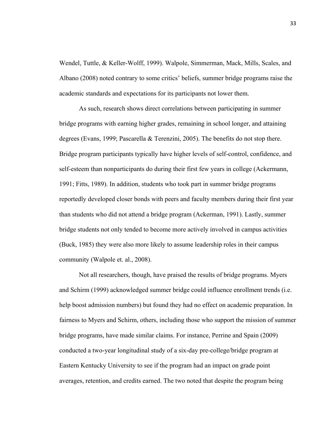Wendel, Tuttle, & Keller-Wolff, 1999). Walpole, Simmerman, Mack, Mills, Scales, and Albano (2008) noted contrary to some critics' beliefs, summer bridge programs raise the academic standards and expectations for its participants not lower them.

 As such, research shows direct correlations between participating in summer bridge programs with earning higher grades, remaining in school longer, and attaining degrees (Evans, 1999; Pascarella & Terenzini, 2005). The benefits do not stop there. Bridge program participants typically have higher levels of self-control, confidence, and self-esteem than nonparticipants do during their first few years in college (Ackermann, 1991; Fitts, 1989). In addition, students who took part in summer bridge programs reportedly developed closer bonds with peers and faculty members during their first year than students who did not attend a bridge program (Ackerman, 1991). Lastly, summer bridge students not only tended to become more actively involved in campus activities (Buck, 1985) they were also more likely to assume leadership roles in their campus community (Walpole et. al., 2008).

 Not all researchers, though, have praised the results of bridge programs. Myers and Schirm (1999) acknowledged summer bridge could influence enrollment trends (i.e. help boost admission numbers) but found they had no effect on academic preparation. In fairness to Myers and Schirm, others, including those who support the mission of summer bridge programs, have made similar claims. For instance, Perrine and Spain (2009) conducted a two-year longitudinal study of a six-day pre-college/bridge program at Eastern Kentucky University to see if the program had an impact on grade point averages, retention, and credits earned. The two noted that despite the program being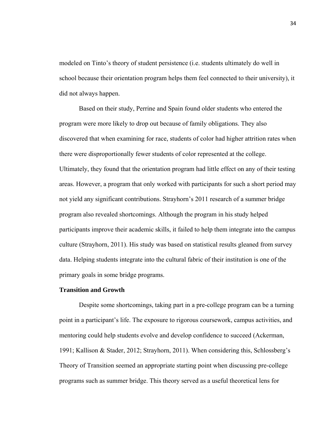modeled on Tinto's theory of student persistence (i.e. students ultimately do well in school because their orientation program helps them feel connected to their university), it did not always happen.

Based on their study, Perrine and Spain found older students who entered the program were more likely to drop out because of family obligations. They also discovered that when examining for race, students of color had higher attrition rates when there were disproportionally fewer students of color represented at the college. Ultimately, they found that the orientation program had little effect on any of their testing areas. However, a program that only worked with participants for such a short period may not yield any significant contributions. Strayhorn's 2011 research of a summer bridge program also revealed shortcomings. Although the program in his study helped participants improve their academic skills, it failed to help them integrate into the campus culture (Strayhorn, 2011). His study was based on statistical results gleaned from survey data. Helping students integrate into the cultural fabric of their institution is one of the primary goals in some bridge programs.

## **Transition and Growth**

Despite some shortcomings, taking part in a pre-college program can be a turning point in a participant's life. The exposure to rigorous coursework, campus activities, and mentoring could help students evolve and develop confidence to succeed (Ackerman, 1991; Kallison & Stader, 2012; Strayhorn, 2011). When considering this, Schlossberg's Theory of Transition seemed an appropriate starting point when discussing pre-college programs such as summer bridge. This theory served as a useful theoretical lens for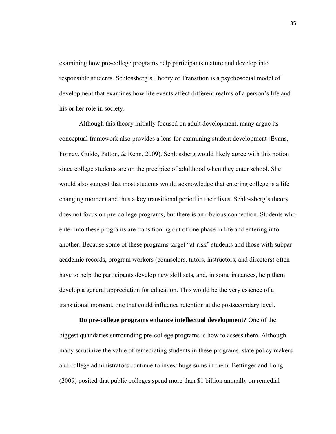examining how pre-college programs help participants mature and develop into responsible students. Schlossberg's Theory of Transition is a psychosocial model of development that examines how life events affect different realms of a person's life and his or her role in society.

Although this theory initially focused on adult development, many argue its conceptual framework also provides a lens for examining student development (Evans, Forney, Guido, Patton, & Renn, 2009). Schlossberg would likely agree with this notion since college students are on the precipice of adulthood when they enter school. She would also suggest that most students would acknowledge that entering college is a life changing moment and thus a key transitional period in their lives. Schlossberg's theory does not focus on pre-college programs, but there is an obvious connection. Students who enter into these programs are transitioning out of one phase in life and entering into another. Because some of these programs target "at-risk" students and those with subpar academic records, program workers (counselors, tutors, instructors, and directors) often have to help the participants develop new skill sets, and, in some instances, help them develop a general appreciation for education. This would be the very essence of a transitional moment, one that could influence retention at the postsecondary level.

**Do pre-college programs enhance intellectual development?** One of the biggest quandaries surrounding pre-college programs is how to assess them. Although many scrutinize the value of remediating students in these programs, state policy makers and college administrators continue to invest huge sums in them. Bettinger and Long (2009) posited that public colleges spend more than \$1 billion annually on remedial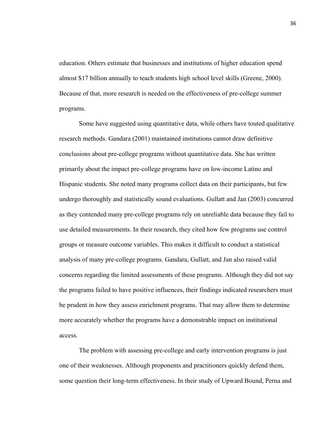education. Others estimate that businesses and institutions of higher education spend almost \$17 billion annually to teach students high school level skills (Greene, 2000). Because of that, more research is needed on the effectiveness of pre-college summer programs.

Some have suggested using quantitative data, while others have touted qualitative research methods. Gandara (2001) maintained institutions cannot draw definitive conclusions about pre-college programs without quantitative data. She has written primarily about the impact pre-college programs have on low-income Latino and Hispanic students. She noted many programs collect data on their participants, but few undergo thoroughly and statistically sound evaluations. Gullatt and Jan (2003) concurred as they contended many pre-college programs rely on unreliable data because they fail to use detailed measurements. In their research, they cited how few programs use control groups or measure outcome variables. This makes it difficult to conduct a statistical analysis of many pre-college programs. Gandara, Gullatt, and Jan also raised valid concerns regarding the limited assessments of these programs. Although they did not say the programs failed to have positive influences, their findings indicated researchers must be prudent in how they assess enrichment programs. That may allow them to determine more accurately whether the programs have a demonstrable impact on institutional access.

The problem with assessing pre-college and early intervention programs is just one of their weaknesses. Although proponents and practitioners quickly defend them, some question their long-term effectiveness. In their study of Upward Bound, Perna and

36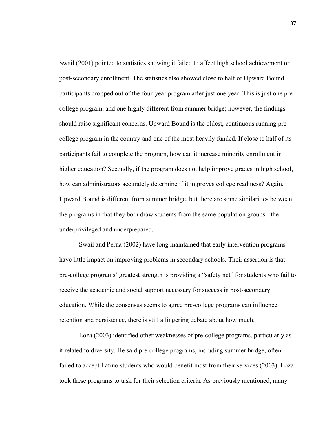Swail (2001) pointed to statistics showing it failed to affect high school achievement or post-secondary enrollment. The statistics also showed close to half of Upward Bound participants dropped out of the four-year program after just one year. This is just one precollege program, and one highly different from summer bridge; however, the findings should raise significant concerns. Upward Bound is the oldest, continuous running precollege program in the country and one of the most heavily funded. If close to half of its participants fail to complete the program, how can it increase minority enrollment in higher education? Secondly, if the program does not help improve grades in high school, how can administrators accurately determine if it improves college readiness? Again, Upward Bound is different from summer bridge, but there are some similarities between the programs in that they both draw students from the same population groups - the underprivileged and underprepared.

Swail and Perna (2002) have long maintained that early intervention programs have little impact on improving problems in secondary schools. Their assertion is that pre-college programs' greatest strength is providing a "safety net" for students who fail to receive the academic and social support necessary for success in post-secondary education. While the consensus seems to agree pre-college programs can influence retention and persistence, there is still a lingering debate about how much.

Loza (2003) identified other weaknesses of pre-college programs, particularly as it related to diversity. He said pre-college programs, including summer bridge, often failed to accept Latino students who would benefit most from their services (2003). Loza took these programs to task for their selection criteria. As previously mentioned, many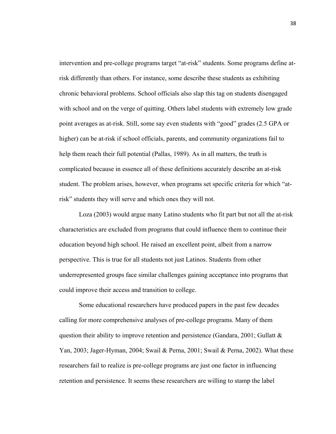intervention and pre-college programs target "at-risk" students. Some programs define atrisk differently than others. For instance, some describe these students as exhibiting chronic behavioral problems. School officials also slap this tag on students disengaged with school and on the verge of quitting. Others label students with extremely low grade point averages as at-risk. Still, some say even students with "good" grades (2.5 GPA or higher) can be at-risk if school officials, parents, and community organizations fail to help them reach their full potential (Pallas, 1989). As in all matters, the truth is complicated because in essence all of these definitions accurately describe an at-risk student. The problem arises, however, when programs set specific criteria for which "atrisk" students they will serve and which ones they will not.

Loza (2003) would argue many Latino students who fit part but not all the at-risk characteristics are excluded from programs that could influence them to continue their education beyond high school. He raised an excellent point, albeit from a narrow perspective. This is true for all students not just Latinos. Students from other underrepresented groups face similar challenges gaining acceptance into programs that could improve their access and transition to college.

Some educational researchers have produced papers in the past few decades calling for more comprehensive analyses of pre-college programs. Many of them question their ability to improve retention and persistence (Gandara, 2001; Gullatt  $\&$ Yan, 2003; Jager-Hyman, 2004; Swail & Perna, 2001; Swail & Perna, 2002). What these researchers fail to realize is pre-college programs are just one factor in influencing retention and persistence. It seems these researchers are willing to stamp the label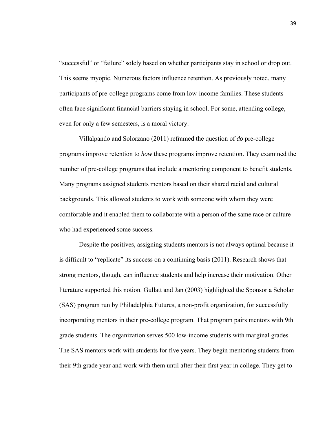"successful" or "failure" solely based on whether participants stay in school or drop out. This seems myopic. Numerous factors influence retention. As previously noted, many participants of pre-college programs come from low-income families. These students often face significant financial barriers staying in school. For some, attending college, even for only a few semesters, is a moral victory.

Villalpando and Solorzano (2011) reframed the question of *do* pre-college programs improve retention to *how* these programs improve retention. They examined the number of pre-college programs that include a mentoring component to benefit students. Many programs assigned students mentors based on their shared racial and cultural backgrounds. This allowed students to work with someone with whom they were comfortable and it enabled them to collaborate with a person of the same race or culture who had experienced some success.

Despite the positives, assigning students mentors is not always optimal because it is difficult to "replicate" its success on a continuing basis (2011). Research shows that strong mentors, though, can influence students and help increase their motivation. Other literature supported this notion. Gullatt and Jan (2003) highlighted the Sponsor a Scholar (SAS) program run by Philadelphia Futures, a non-profit organization, for successfully incorporating mentors in their pre-college program. That program pairs mentors with 9th grade students. The organization serves 500 low-income students with marginal grades. The SAS mentors work with students for five years. They begin mentoring students from their 9th grade year and work with them until after their first year in college. They get to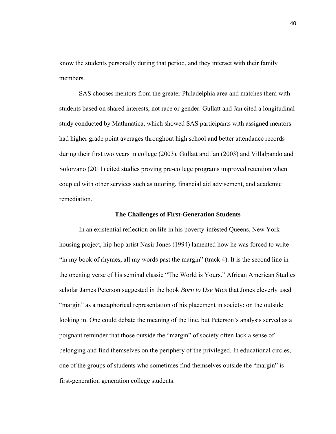know the students personally during that period, and they interact with their family members.

SAS chooses mentors from the greater Philadelphia area and matches them with students based on shared interests, not race or gender. Gullatt and Jan cited a longitudinal study conducted by Mathmatica, which showed SAS participants with assigned mentors had higher grade point averages throughout high school and better attendance records during their first two years in college (2003). Gullatt and Jan (2003) and Villalpando and Solorzano (2011) cited studies proving pre-college programs improved retention when coupled with other services such as tutoring, financial aid advisement, and academic remediation.

### **The Challenges of First-Generation Students**

In an existential reflection on life in his poverty-infested Queens, New York housing project, hip-hop artist Nasir Jones (1994) lamented how he was forced to write "in my book of rhymes, all my words past the margin" (track 4). It is the second line in the opening verse of his seminal classic "The World is Yours." African American Studies scholar James Peterson suggested in the book *Born to Use Mics* that Jones cleverly used "margin" as a metaphorical representation of his placement in society: on the outside looking in. One could debate the meaning of the line, but Peterson's analysis served as a poignant reminder that those outside the "margin" of society often lack a sense of belonging and find themselves on the periphery of the privileged. In educational circles, one of the groups of students who sometimes find themselves outside the "margin" is first-generation generation college students.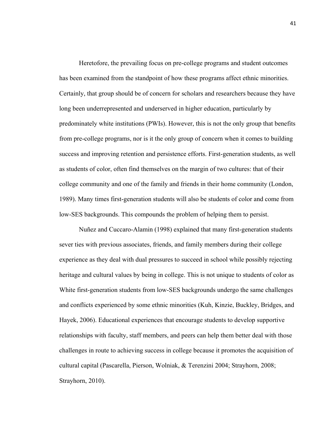Heretofore, the prevailing focus on pre-college programs and student outcomes has been examined from the standpoint of how these programs affect ethnic minorities. Certainly, that group should be of concern for scholars and researchers because they have long been underrepresented and underserved in higher education, particularly by predominately white institutions (PWIs). However, this is not the only group that benefits from pre-college programs, nor is it the only group of concern when it comes to building success and improving retention and persistence efforts. First-generation students, as well as students of color, often find themselves on the margin of two cultures: that of their college community and one of the family and friends in their home community (London, 1989). Many times first-generation students will also be students of color and come from low-SES backgrounds. This compounds the problem of helping them to persist.

Nuñez and Cuccaro-Alamin (1998) explained that many first-generation students sever ties with previous associates, friends, and family members during their college experience as they deal with dual pressures to succeed in school while possibly rejecting heritage and cultural values by being in college. This is not unique to students of color as White first-generation students from low-SES backgrounds undergo the same challenges and conflicts experienced by some ethnic minorities (Kuh, Kinzie, Buckley, Bridges, and Hayek, 2006). Educational experiences that encourage students to develop supportive relationships with faculty, staff members, and peers can help them better deal with those challenges in route to achieving success in college because it promotes the acquisition of cultural capital (Pascarella, Pierson, Wolniak, & Terenzini 2004; Strayhorn, 2008; Strayhorn, 2010).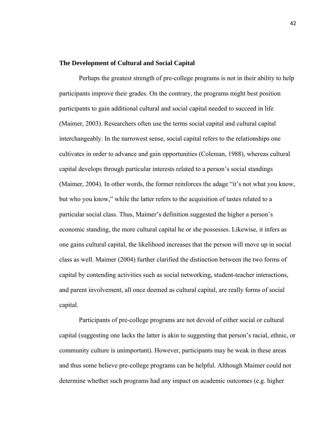## **The Development of Cultural and Social Capital**

Perhaps the greatest strength of pre-college programs is not in their ability to help participants improve their grades. On the contrary, the programs might best position participants to gain additional cultural and social capital needed to succeed in life (Maimer, 2003). Researchers often use the terms social capital and cultural capital interchangeably. In the narrowest sense, social capital refers to the relationships one cultivates in order to advance and gain opportunities (Coleman, 1988), whereas cultural capital develops through particular interests related to a person's social standings (Maimer, 2004). In other words, the former reinforces the adage "it's not what you know, but who you know," while the latter refers to the acquisition of tastes related to a particular social class. Thus, Maimer's definition suggested the higher a person's economic standing, the more cultural capital he or she possesses. Likewise, it infers as one gains cultural capital, the likelihood increases that the person will move up in social class as well. Maimer (2004) further clarified the distinction between the two forms of capital by contending activities such as social networking, student-teacher interactions, and parent involvement, all once deemed as cultural capital, are really forms of social capital.

Participants of pre-college programs are not devoid of either social or cultural capital (suggesting one lacks the latter is akin to suggesting that person's racial, ethnic, or community culture is unimportant). However, participants may be weak in these areas and thus some believe pre-college programs can be helpful. Although Maimer could not determine whether such programs had any impact on academic outcomes (e.g. higher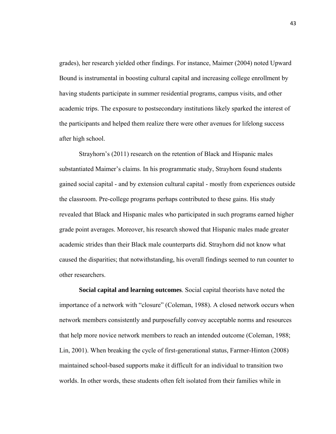grades), her research yielded other findings. For instance, Maimer (2004) noted Upward Bound is instrumental in boosting cultural capital and increasing college enrollment by having students participate in summer residential programs, campus visits, and other academic trips. The exposure to postsecondary institutions likely sparked the interest of the participants and helped them realize there were other avenues for lifelong success after high school.

Strayhorn's (2011) research on the retention of Black and Hispanic males substantiated Maimer's claims. In his programmatic study, Strayhorn found students gained social capital - and by extension cultural capital - mostly from experiences outside the classroom. Pre-college programs perhaps contributed to these gains. His study revealed that Black and Hispanic males who participated in such programs earned higher grade point averages. Moreover, his research showed that Hispanic males made greater academic strides than their Black male counterparts did. Strayhorn did not know what caused the disparities; that notwithstanding, his overall findings seemed to run counter to other researchers.

**Social capital and learning outcomes**. Social capital theorists have noted the importance of a network with "closure" (Coleman, 1988). A closed network occurs when network members consistently and purposefully convey acceptable norms and resources that help more novice network members to reach an intended outcome (Coleman, 1988; Lin, 2001). When breaking the cycle of first-generational status, Farmer-Hinton (2008) maintained school-based supports make it difficult for an individual to transition two worlds. In other words, these students often felt isolated from their families while in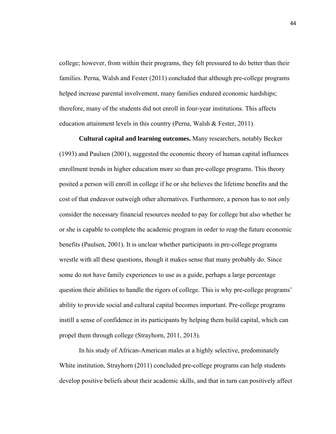college; however, from within their programs, they felt pressured to do better than their families. Perna, Walsh and Fester (2011) concluded that although pre-college programs helped increase parental involvement, many families endured economic hardships; therefore, many of the students did not enroll in four-year institutions. This affects education attainment levels in this country (Perna, Walsh & Fester, 2011).

**Cultural capital and learning outcomes.** Many researchers, notably Becker (1993) and Paulsen (2001), suggested the economic theory of human capital influences enrollment trends in higher education more so than pre-college programs. This theory posited a person will enroll in college if he or she believes the lifetime benefits and the cost of that endeavor outweigh other alternatives. Furthermore, a person has to not only consider the necessary financial resources needed to pay for college but also whether he or she is capable to complete the academic program in order to reap the future economic benefits (Paulsen, 2001). It is unclear whether participants in pre-college programs wrestle with all these questions, though it makes sense that many probably do. Since some do not have family experiences to use as a guide, perhaps a large percentage question their abilities to handle the rigors of college. This is why pre-college programs' ability to provide social and cultural capital becomes important. Pre-college programs instill a sense of confidence in its participants by helping them build capital, which can propel them through college (Strayhorn, 2011, 2013).

In his study of African-American males at a highly selective, predominately White institution, Strayhorn (2011) concluded pre-college programs can help students develop positive beliefs about their academic skills, and that in turn can positively affect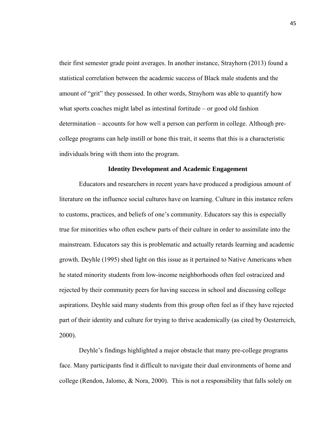their first semester grade point averages. In another instance, Strayhorn (2013) found a statistical correlation between the academic success of Black male students and the amount of "grit" they possessed. In other words, Strayhorn was able to quantify how what sports coaches might label as intestinal fortitude – or good old fashion determination – accounts for how well a person can perform in college. Although precollege programs can help instill or hone this trait, it seems that this is a characteristic individuals bring with them into the program.

### **Identity Development and Academic Engagement**

Educators and researchers in recent years have produced a prodigious amount of literature on the influence social cultures have on learning. Culture in this instance refers to customs, practices, and beliefs of one's community. Educators say this is especially true for minorities who often eschew parts of their culture in order to assimilate into the mainstream. Educators say this is problematic and actually retards learning and academic growth. Deyhle (1995) shed light on this issue as it pertained to Native Americans when he stated minority students from low-income neighborhoods often feel ostracized and rejected by their community peers for having success in school and discussing college aspirations. Deyhle said many students from this group often feel as if they have rejected part of their identity and culture for trying to thrive academically (as cited by Oesterreich, 2000).

Deyhle's findings highlighted a major obstacle that many pre-college programs face. Many participants find it difficult to navigate their dual environments of home and college (Rendon, Jalomo, & Nora, 2000). This is not a responsibility that falls solely on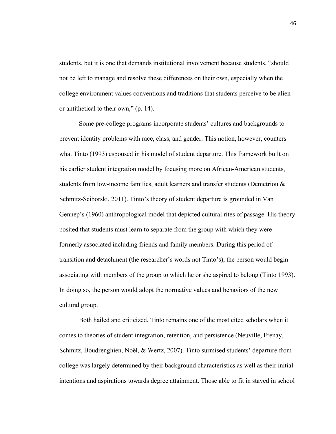students, but it is one that demands institutional involvement because students, "should not be left to manage and resolve these differences on their own, especially when the college environment values conventions and traditions that students perceive to be alien or antithetical to their own," (p. 14).

Some pre-college programs incorporate students' cultures and backgrounds to prevent identity problems with race, class, and gender. This notion, however, counters what Tinto (1993) espoused in his model of student departure. This framework built on his earlier student integration model by focusing more on African-American students, students from low-income families, adult learners and transfer students (Demetriou & Schmitz-Sciborski, 2011). Tinto's theory of student departure is grounded in Van Gennep's (1960) anthropological model that depicted cultural rites of passage. His theory posited that students must learn to separate from the group with which they were formerly associated including friends and family members. During this period of transition and detachment (the researcher's words not Tinto's), the person would begin associating with members of the group to which he or she aspired to belong (Tinto 1993). In doing so, the person would adopt the normative values and behaviors of the new cultural group.

Both hailed and criticized, Tinto remains one of the most cited scholars when it comes to theories of student integration, retention, and persistence (Neuville, Frenay, Schmitz, Boudrenghien, Noël, & Wertz, 2007). Tinto surmised students' departure from college was largely determined by their background characteristics as well as their initial intentions and aspirations towards degree attainment. Those able to fit in stayed in school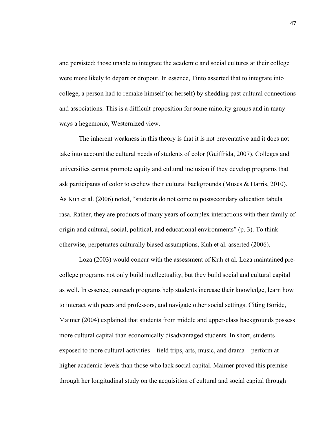and persisted; those unable to integrate the academic and social cultures at their college were more likely to depart or dropout. In essence, Tinto asserted that to integrate into college, a person had to remake himself (or herself) by shedding past cultural connections and associations. This is a difficult proposition for some minority groups and in many ways a hegemonic, Westernized view.

 The inherent weakness in this theory is that it is not preventative and it does not take into account the cultural needs of students of color (Guiffrida, 2007). Colleges and universities cannot promote equity and cultural inclusion if they develop programs that ask participants of color to eschew their cultural backgrounds (Muses & Harris, 2010). As Kuh et al. (2006) noted, "students do not come to postsecondary education tabula rasa. Rather, they are products of many years of complex interactions with their family of origin and cultural, social, political, and educational environments" (p. 3). To think otherwise, perpetuates culturally biased assumptions, Kuh et al. asserted (2006).

 Loza (2003) would concur with the assessment of Kuh et al. Loza maintained precollege programs not only build intellectuality, but they build social and cultural capital as well. In essence, outreach programs help students increase their knowledge, learn how to interact with peers and professors, and navigate other social settings. Citing Boride, Maimer (2004) explained that students from middle and upper-class backgrounds possess more cultural capital than economically disadvantaged students. In short, students exposed to more cultural activities – field trips, arts, music, and drama – perform at higher academic levels than those who lack social capital. Maimer proved this premise through her longitudinal study on the acquisition of cultural and social capital through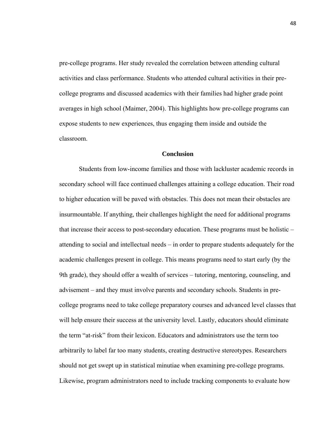pre-college programs. Her study revealed the correlation between attending cultural activities and class performance. Students who attended cultural activities in their precollege programs and discussed academics with their families had higher grade point averages in high school (Maimer, 2004). This highlights how pre-college programs can expose students to new experiences, thus engaging them inside and outside the classroom.

# **Conclusion**

 Students from low-income families and those with lackluster academic records in secondary school will face continued challenges attaining a college education. Their road to higher education will be paved with obstacles. This does not mean their obstacles are insurmountable. If anything, their challenges highlight the need for additional programs that increase their access to post-secondary education. These programs must be holistic – attending to social and intellectual needs – in order to prepare students adequately for the academic challenges present in college. This means programs need to start early (by the 9th grade), they should offer a wealth of services – tutoring, mentoring, counseling, and advisement – and they must involve parents and secondary schools. Students in precollege programs need to take college preparatory courses and advanced level classes that will help ensure their success at the university level. Lastly, educators should eliminate the term "at-risk" from their lexicon. Educators and administrators use the term too arbitrarily to label far too many students, creating destructive stereotypes. Researchers should not get swept up in statistical minutiae when examining pre-college programs. Likewise, program administrators need to include tracking components to evaluate how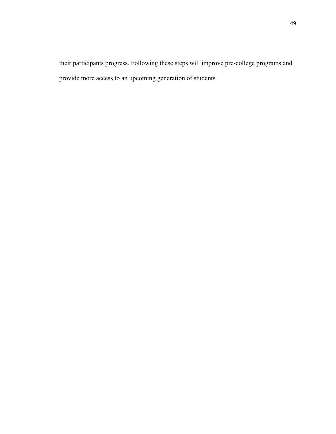their participants progress. Following these steps will improve pre-college programs and provide more access to an upcoming generation of students.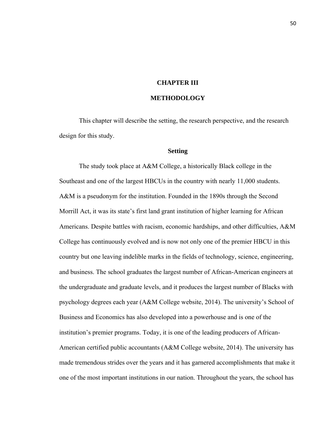## **CHAPTER III**

## **METHODOLOGY**

 This chapter will describe the setting, the research perspective, and the research design for this study.

### **Setting**

 The study took place at A&M College, a historically Black college in the Southeast and one of the largest HBCUs in the country with nearly 11,000 students. A&M is a pseudonym for the institution. Founded in the 1890s through the Second Morrill Act, it was its state's first land grant institution of higher learning for African Americans. Despite battles with racism, economic hardships, and other difficulties, A&M College has continuously evolved and is now not only one of the premier HBCU in this country but one leaving indelible marks in the fields of technology, science, engineering, and business. The school graduates the largest number of African-American engineers at the undergraduate and graduate levels, and it produces the largest number of Blacks with psychology degrees each year (A&M College website, 2014). The university's School of Business and Economics has also developed into a powerhouse and is one of the institution's premier programs. Today, it is one of the leading producers of African-American certified public accountants (A&M College website, 2014). The university has made tremendous strides over the years and it has garnered accomplishments that make it one of the most important institutions in our nation. Throughout the years, the school has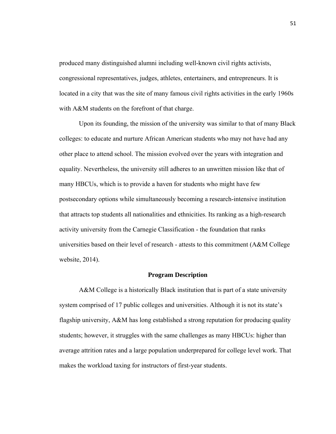produced many distinguished alumni including well-known civil rights activists, congressional representatives, judges, athletes, entertainers, and entrepreneurs. It is located in a city that was the site of many famous civil rights activities in the early 1960s with A&M students on the forefront of that charge.

 Upon its founding, the mission of the university was similar to that of many Black colleges: to educate and nurture African American students who may not have had any other place to attend school. The mission evolved over the years with integration and equality. Nevertheless, the university still adheres to an unwritten mission like that of many HBCUs, which is to provide a haven for students who might have few postsecondary options while simultaneously becoming a research-intensive institution that attracts top students all nationalities and ethnicities. Its ranking as a high-research activity university from the Carnegie Classification - the foundation that ranks universities based on their level of research - attests to this commitment (A&M College website, 2014).

#### **Program Description**

 A&M College is a historically Black institution that is part of a state university system comprised of 17 public colleges and universities. Although it is not its state's flagship university, A&M has long established a strong reputation for producing quality students; however, it struggles with the same challenges as many HBCUs: higher than average attrition rates and a large population underprepared for college level work. That makes the workload taxing for instructors of first-year students.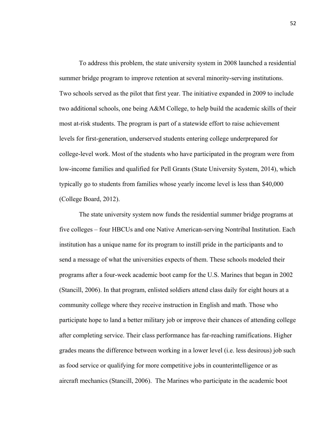To address this problem, the state university system in 2008 launched a residential summer bridge program to improve retention at several minority-serving institutions. Two schools served as the pilot that first year. The initiative expanded in 2009 to include two additional schools, one being A&M College, to help build the academic skills of their most at-risk students. The program is part of a statewide effort to raise achievement levels for first-generation, underserved students entering college underprepared for college-level work. Most of the students who have participated in the program were from low-income families and qualified for Pell Grants (State University System, 2014), which typically go to students from families whose yearly income level is less than \$40,000 (College Board, 2012).

 The state university system now funds the residential summer bridge programs at five colleges – four HBCUs and one Native American-serving Nontribal Institution. Each institution has a unique name for its program to instill pride in the participants and to send a message of what the universities expects of them. These schools modeled their programs after a four-week academic boot camp for the U.S. Marines that began in 2002 (Stancill, 2006). In that program, enlisted soldiers attend class daily for eight hours at a community college where they receive instruction in English and math. Those who participate hope to land a better military job or improve their chances of attending college after completing service. Their class performance has far-reaching ramifications. Higher grades means the difference between working in a lower level (i.e. less desirous) job such as food service or qualifying for more competitive jobs in counterintelligence or as aircraft mechanics (Stancill, 2006). The Marines who participate in the academic boot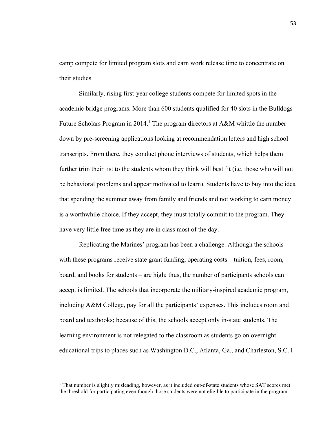camp compete for limited program slots and earn work release time to concentrate on their studies.

 Similarly, rising first-year college students compete for limited spots in the academic bridge programs. More than 600 students qualified for 40 slots in the Bulldogs Future Scholars Program in 2014.<sup>1</sup> The program directors at A&M whittle the number down by pre-screening applications looking at recommendation letters and high school transcripts. From there, they conduct phone interviews of students, which helps them further trim their list to the students whom they think will best fit (i.e. those who will not be behavioral problems and appear motivated to learn). Students have to buy into the idea that spending the summer away from family and friends and not working to earn money is a worthwhile choice. If they accept, they must totally commit to the program. They have very little free time as they are in class most of the day.

 Replicating the Marines' program has been a challenge. Although the schools with these programs receive state grant funding, operating costs – tuition, fees, room, board, and books for students – are high; thus, the number of participants schools can accept is limited. The schools that incorporate the military-inspired academic program, including A&M College, pay for all the participants' expenses. This includes room and board and textbooks; because of this, the schools accept only in-state students. The learning environment is not relegated to the classroom as students go on overnight educational trips to places such as Washington D.C., Atlanta, Ga., and Charleston, S.C. I

<sup>1</sup> That number is slightly misleading, however, as it included out-of-state students whose SAT scores met the threshold for participating even though those students were not eligible to participate in the program.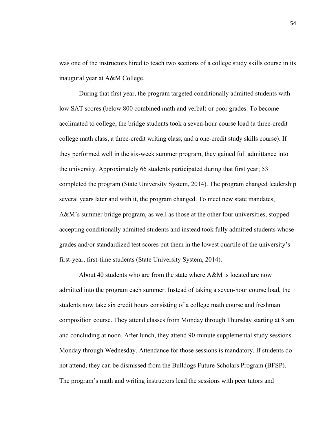was one of the instructors hired to teach two sections of a college study skills course in its inaugural year at A&M College.

 During that first year, the program targeted conditionally admitted students with low SAT scores (below 800 combined math and verbal) or poor grades. To become acclimated to college, the bridge students took a seven-hour course load (a three-credit college math class, a three-credit writing class, and a one-credit study skills course). If they performed well in the six-week summer program, they gained full admittance into the university. Approximately 66 students participated during that first year; 53 completed the program (State University System, 2014). The program changed leadership several years later and with it, the program changed. To meet new state mandates, A&M's summer bridge program, as well as those at the other four universities, stopped accepting conditionally admitted students and instead took fully admitted students whose grades and/or standardized test scores put them in the lowest quartile of the university's first-year, first-time students (State University System, 2014).

 About 40 students who are from the state where A&M is located are now admitted into the program each summer. Instead of taking a seven-hour course load, the students now take six credit hours consisting of a college math course and freshman composition course. They attend classes from Monday through Thursday starting at 8 am and concluding at noon. After lunch, they attend 90-minute supplemental study sessions Monday through Wednesday. Attendance for those sessions is mandatory. If students do not attend, they can be dismissed from the Bulldogs Future Scholars Program (BFSP). The program's math and writing instructors lead the sessions with peer tutors and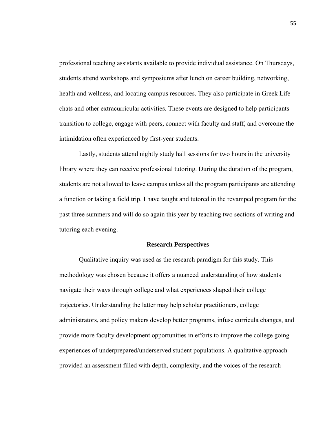professional teaching assistants available to provide individual assistance. On Thursdays, students attend workshops and symposiums after lunch on career building, networking, health and wellness, and locating campus resources. They also participate in Greek Life chats and other extracurricular activities. These events are designed to help participants transition to college, engage with peers, connect with faculty and staff, and overcome the intimidation often experienced by first-year students.

 Lastly, students attend nightly study hall sessions for two hours in the university library where they can receive professional tutoring. During the duration of the program, students are not allowed to leave campus unless all the program participants are attending a function or taking a field trip. I have taught and tutored in the revamped program for the past three summers and will do so again this year by teaching two sections of writing and tutoring each evening.

#### **Research Perspectives**

 Qualitative inquiry was used as the research paradigm for this study. This methodology was chosen because it offers a nuanced understanding of how students navigate their ways through college and what experiences shaped their college trajectories. Understanding the latter may help scholar practitioners, college administrators, and policy makers develop better programs, infuse curricula changes, and provide more faculty development opportunities in efforts to improve the college going experiences of underprepared/underserved student populations. A qualitative approach provided an assessment filled with depth, complexity, and the voices of the research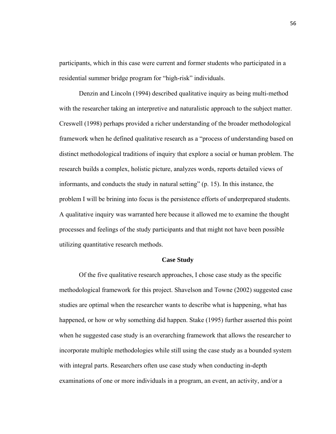participants, which in this case were current and former students who participated in a residential summer bridge program for "high-risk" individuals.

 Denzin and Lincoln (1994) described qualitative inquiry as being multi-method with the researcher taking an interpretive and naturalistic approach to the subject matter. Creswell (1998) perhaps provided a richer understanding of the broader methodological framework when he defined qualitative research as a "process of understanding based on distinct methodological traditions of inquiry that explore a social or human problem. The research builds a complex, holistic picture, analyzes words, reports detailed views of informants, and conducts the study in natural setting" (p. 15). In this instance, the problem I will be brining into focus is the persistence efforts of underprepared students. A qualitative inquiry was warranted here because it allowed me to examine the thought processes and feelings of the study participants and that might not have been possible utilizing quantitative research methods.

#### **Case Study**

 Of the five qualitative research approaches, I chose case study as the specific methodological framework for this project. Shavelson and Towne (2002) suggested case studies are optimal when the researcher wants to describe what is happening, what has happened, or how or why something did happen. Stake (1995) further asserted this point when he suggested case study is an overarching framework that allows the researcher to incorporate multiple methodologies while still using the case study as a bounded system with integral parts. Researchers often use case study when conducting in-depth examinations of one or more individuals in a program, an event, an activity, and/or a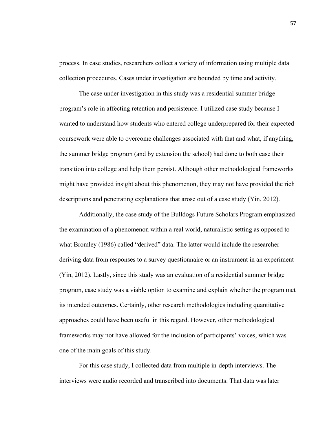process. In case studies, researchers collect a variety of information using multiple data collection procedures. Cases under investigation are bounded by time and activity.

 The case under investigation in this study was a residential summer bridge program's role in affecting retention and persistence. I utilized case study because I wanted to understand how students who entered college underprepared for their expected coursework were able to overcome challenges associated with that and what, if anything, the summer bridge program (and by extension the school) had done to both ease their transition into college and help them persist. Although other methodological frameworks might have provided insight about this phenomenon, they may not have provided the rich descriptions and penetrating explanations that arose out of a case study (Yin, 2012).

 Additionally, the case study of the Bulldogs Future Scholars Program emphasized the examination of a phenomenon within a real world, naturalistic setting as opposed to what Bromley (1986) called "derived" data. The latter would include the researcher deriving data from responses to a survey questionnaire or an instrument in an experiment (Yin, 2012). Lastly, since this study was an evaluation of a residential summer bridge program, case study was a viable option to examine and explain whether the program met its intended outcomes. Certainly, other research methodologies including quantitative approaches could have been useful in this regard. However, other methodological frameworks may not have allowed for the inclusion of participants' voices, which was one of the main goals of this study.

 For this case study, I collected data from multiple in-depth interviews. The interviews were audio recorded and transcribed into documents. That data was later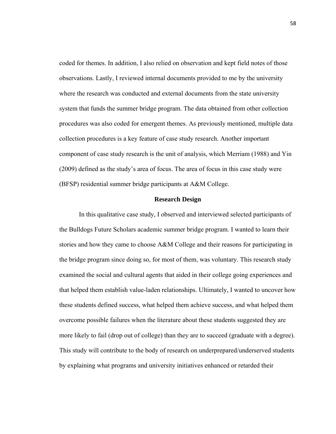coded for themes. In addition, I also relied on observation and kept field notes of those observations. Lastly, I reviewed internal documents provided to me by the university where the research was conducted and external documents from the state university system that funds the summer bridge program. The data obtained from other collection procedures was also coded for emergent themes. As previously mentioned, multiple data collection procedures is a key feature of case study research. Another important component of case study research is the unit of analysis, which Merriam (1988) and Yin (2009) defined as the study's area of focus. The area of focus in this case study were (BFSP) residential summer bridge participants at A&M College.

## **Research Design**

 In this qualitative case study, I observed and interviewed selected participants of the Bulldogs Future Scholars academic summer bridge program. I wanted to learn their stories and how they came to choose A&M College and their reasons for participating in the bridge program since doing so, for most of them, was voluntary. This research study examined the social and cultural agents that aided in their college going experiences and that helped them establish value-laden relationships. Ultimately, I wanted to uncover how these students defined success, what helped them achieve success, and what helped them overcome possible failures when the literature about these students suggested they are more likely to fail (drop out of college) than they are to succeed (graduate with a degree). This study will contribute to the body of research on underprepared/underserved students by explaining what programs and university initiatives enhanced or retarded their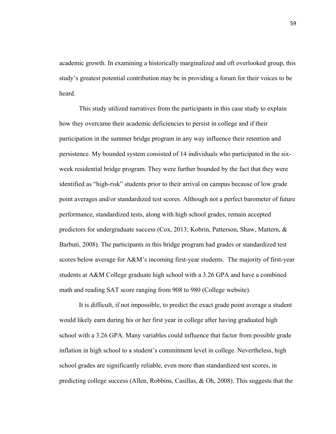academic growth. In examining a historically marginalized and oft overlooked group, this study's greatest potential contribution may be in providing a forum for their voices to be heard.

 This study utilized narratives from the participants in this case study to explain how they overcame their academic deficiencies to persist in college and if their participation in the summer bridge program in any way influence their retention and persistence. My bounded system consisted of 14 individuals who participated in the sixweek residential bridge program. They were further bounded by the fact that they were identified as "high-risk" students prior to their arrival on campus because of low grade point averages and/or standardized test scores. Although not a perfect barometer of future performance, standardized tests, along with high school grades, remain accepted predictors for undergraduate success (Cox, 2013; Kobrin, Patterson, Shaw, Mattern, & Barbuti, 2008). The participants in this bridge program had grades or standardized test scores below average for A&M's incoming first-year students. The majority of first-year students at A&M College graduate high school with a 3.26 GPA and have a combined math and reading SAT score ranging from 908 to 980 (College website).

 It is difficult, if not impossible, to predict the exact grade point average a student would likely earn during his or her first year in college after having graduated high school with a 3.26 GPA. Many variables could influence that factor from possible grade inflation in high school to a student's commitment level in college. Nevertheless, high school grades are significantly reliable, even more than standardized test scores, in predicting college success (Allen, Robbins, Casillas, & Oh, 2008). This suggests that the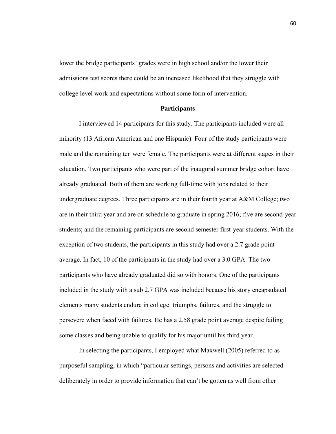lower the bridge participants' grades were in high school and/or the lower their admissions test scores there could be an increased likelihood that they struggle with college level work and expectations without some form of intervention.

#### **Participants**

I interviewed 14 participants for this study. The participants included were all minority (13 African American and one Hispanic). Four of the study participants were male and the remaining ten were female. The participants were at different stages in their education. Two participants who were part of the inaugural summer bridge cohort have already graduated. Both of them are working full-time with jobs related to their undergraduate degrees. Three participants are in their fourth year at A&M College; two are in their third year and are on schedule to graduate in spring 2016; five are second-year students; and the remaining participants are second semester first-year students. With the exception of two students, the participants in this study had over a 2.7 grade point average. In fact, 10 of the participants in the study had over a 3.0 GPA. The two participants who have already graduated did so with honors. One of the participants included in the study with a sub 2.7 GPA was included because his story encapsulated elements many students endure in college: triumphs, failures, and the struggle to persevere when faced with failures. He has a 2.58 grade point average despite failing some classes and being unable to qualify for his major until his third year.

In selecting the participants, I employed what Maxwell (2005) referred to as purposeful sampling, in which "particular settings, persons and activities are selected deliberately in order to provide information that can't be gotten as well from other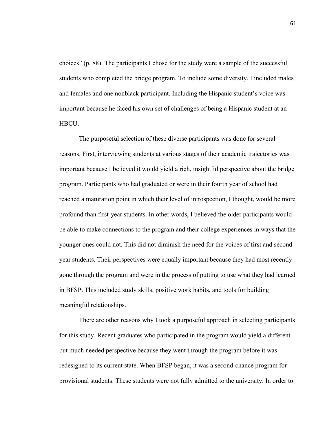choices" (p. 88). The participants I chose for the study were a sample of the successful students who completed the bridge program. To include some diversity, I included males and females and one nonblack participant. Including the Hispanic student's voice was important because he faced his own set of challenges of being a Hispanic student at an HBCU.

The purposeful selection of these diverse participants was done for several reasons. First, interviewing students at various stages of their academic trajectories was important because I believed it would yield a rich, insightful perspective about the bridge program. Participants who had graduated or were in their fourth year of school had reached a maturation point in which their level of introspection, I thought, would be more profound than first-year students. In other words, I believed the older participants would be able to make connections to the program and their college experiences in ways that the younger ones could not. This did not diminish the need for the voices of first and secondyear students. Their perspectives were equally important because they had most recently gone through the program and were in the process of putting to use what they had learned in BFSP. This included study skills, positive work habits, and tools for building meaningful relationships.

There are other reasons why I took a purposeful approach in selecting participants for this study. Recent graduates who participated in the program would yield a different but much needed perspective because they went through the program before it was redesigned to its current state. When BFSP began, it was a second-chance program for provisional students. These students were not fully admitted to the university. In order to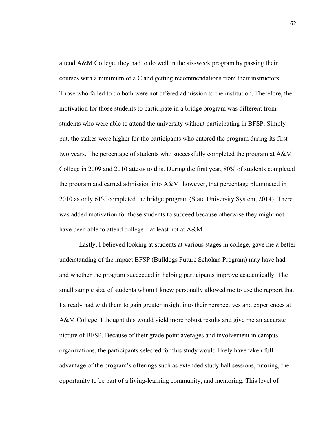attend A&M College, they had to do well in the six-week program by passing their courses with a minimum of a C and getting recommendations from their instructors. Those who failed to do both were not offered admission to the institution. Therefore, the motivation for those students to participate in a bridge program was different from students who were able to attend the university without participating in BFSP. Simply put, the stakes were higher for the participants who entered the program during its first two years. The percentage of students who successfully completed the program at A&M College in 2009 and 2010 attests to this. During the first year, 80% of students completed the program and earned admission into A&M; however, that percentage plummeted in 2010 as only 61% completed the bridge program (State University System, 2014). There was added motivation for those students to succeed because otherwise they might not have been able to attend college – at least not at A&M.

 Lastly, I believed looking at students at various stages in college, gave me a better understanding of the impact BFSP (Bulldogs Future Scholars Program) may have had and whether the program succeeded in helping participants improve academically. The small sample size of students whom I knew personally allowed me to use the rapport that I already had with them to gain greater insight into their perspectives and experiences at A&M College. I thought this would yield more robust results and give me an accurate picture of BFSP. Because of their grade point averages and involvement in campus organizations, the participants selected for this study would likely have taken full advantage of the program's offerings such as extended study hall sessions, tutoring, the opportunity to be part of a living-learning community, and mentoring. This level of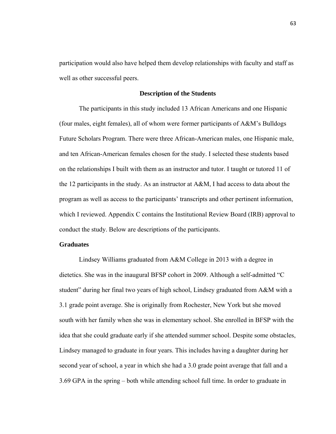participation would also have helped them develop relationships with faculty and staff as well as other successful peers.

#### **Description of the Students**

 The participants in this study included 13 African Americans and one Hispanic (four males, eight females), all of whom were former participants of A&M's Bulldogs Future Scholars Program. There were three African-American males, one Hispanic male, and ten African-American females chosen for the study. I selected these students based on the relationships I built with them as an instructor and tutor. I taught or tutored 11 of the 12 participants in the study. As an instructor at A&M, I had access to data about the program as well as access to the participants' transcripts and other pertinent information, which I reviewed. Appendix C contains the Institutional Review Board (IRB) approval to conduct the study. Below are descriptions of the participants.

#### **Graduates**

 Lindsey Williams graduated from A&M College in 2013 with a degree in dietetics. She was in the inaugural BFSP cohort in 2009. Although a self-admitted "C student" during her final two years of high school, Lindsey graduated from A&M with a 3.1 grade point average. She is originally from Rochester, New York but she moved south with her family when she was in elementary school. She enrolled in BFSP with the idea that she could graduate early if she attended summer school. Despite some obstacles, Lindsey managed to graduate in four years. This includes having a daughter during her second year of school, a year in which she had a 3.0 grade point average that fall and a 3.69 GPA in the spring – both while attending school full time. In order to graduate in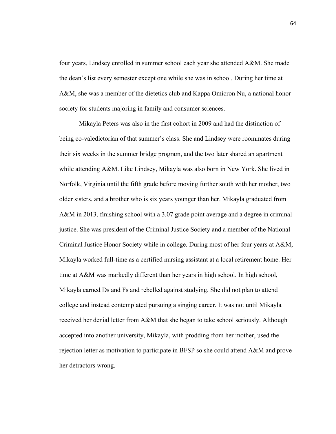four years, Lindsey enrolled in summer school each year she attended A&M. She made the dean's list every semester except one while she was in school. During her time at A&M, she was a member of the dietetics club and Kappa Omicron Nu, a national honor society for students majoring in family and consumer sciences.

 Mikayla Peters was also in the first cohort in 2009 and had the distinction of being co-valedictorian of that summer's class. She and Lindsey were roommates during their six weeks in the summer bridge program, and the two later shared an apartment while attending A&M. Like Lindsey, Mikayla was also born in New York. She lived in Norfolk, Virginia until the fifth grade before moving further south with her mother, two older sisters, and a brother who is six years younger than her. Mikayla graduated from A&M in 2013, finishing school with a 3.07 grade point average and a degree in criminal justice. She was president of the Criminal Justice Society and a member of the National Criminal Justice Honor Society while in college. During most of her four years at A&M, Mikayla worked full-time as a certified nursing assistant at a local retirement home. Her time at A&M was markedly different than her years in high school. In high school, Mikayla earned Ds and Fs and rebelled against studying. She did not plan to attend college and instead contemplated pursuing a singing career. It was not until Mikayla received her denial letter from A&M that she began to take school seriously. Although accepted into another university, Mikayla, with prodding from her mother, used the rejection letter as motivation to participate in BFSP so she could attend A&M and prove her detractors wrong.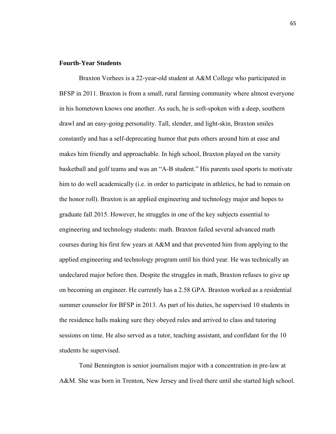# **Fourth-Year Students**

 Braxton Vorhees is a 22-year-old student at A&M College who participated in BFSP in 2011. Braxton is from a small, rural farming community where almost everyone in his hometown knows one another. As such, he is soft-spoken with a deep, southern drawl and an easy-going personality. Tall, slender, and light-skin, Braxton smiles constantly and has a self-deprecating humor that puts others around him at ease and makes him friendly and approachable. In high school, Braxton played on the varsity basketball and golf teams and was an "A-B student." His parents used sports to motivate him to do well academically (i.e. in order to participate in athletics, he had to remain on the honor roll). Braxton is an applied engineering and technology major and hopes to graduate fall 2015. However, he struggles in one of the key subjects essential to engineering and technology students: math. Braxton failed several advanced math courses during his first few years at A&M and that prevented him from applying to the applied engineering and technology program until his third year. He was technically an undeclared major before then. Despite the struggles in math, Braxton refuses to give up on becoming an engineer. He currently has a 2.58 GPA. Braxton worked as a residential summer counselor for BFSP in 2013. As part of his duties, he supervised 10 students in the residence halls making sure they obeyed rules and arrived to class and tutoring sessions on time. He also served as a tutor, teaching assistant, and confidant for the 10 students he supervised.

 Toné Bennington is senior journalism major with a concentration in pre-law at A&M. She was born in Trenton, New Jersey and lived there until she started high school.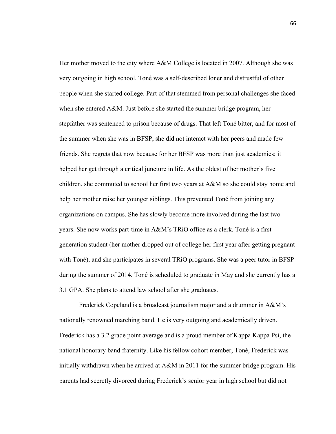Her mother moved to the city where A&M College is located in 2007. Although she was very outgoing in high school, Toné was a self-described loner and distrustful of other people when she started college. Part of that stemmed from personal challenges she faced when she entered A&M. Just before she started the summer bridge program, her stepfather was sentenced to prison because of drugs. That left Toné bitter, and for most of the summer when she was in BFSP, she did not interact with her peers and made few friends. She regrets that now because for her BFSP was more than just academics; it helped her get through a critical juncture in life. As the oldest of her mother's five children, she commuted to school her first two years at A&M so she could stay home and help her mother raise her younger siblings. This prevented Toné from joining any organizations on campus. She has slowly become more involved during the last two years. She now works part-time in A&M's TRiO office as a clerk. Toné is a firstgeneration student (her mother dropped out of college her first year after getting pregnant with Toné), and she participates in several TRiO programs. She was a peer tutor in BFSP during the summer of 2014. Toné is scheduled to graduate in May and she currently has a 3.1 GPA. She plans to attend law school after she graduates.

 Frederick Copeland is a broadcast journalism major and a drummer in A&M's nationally renowned marching band. He is very outgoing and academically driven. Frederick has a 3.2 grade point average and is a proud member of Kappa Kappa Psi, the national honorary band fraternity. Like his fellow cohort member, Toné, Frederick was initially withdrawn when he arrived at A&M in 2011 for the summer bridge program. His parents had secretly divorced during Frederick's senior year in high school but did not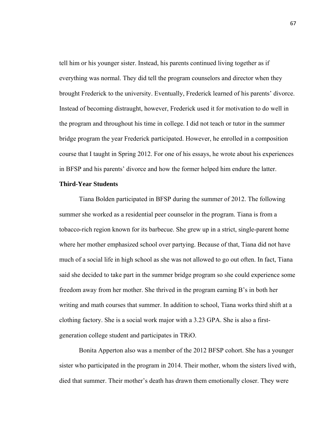tell him or his younger sister. Instead, his parents continued living together as if everything was normal. They did tell the program counselors and director when they brought Frederick to the university. Eventually, Frederick learned of his parents' divorce. Instead of becoming distraught, however, Frederick used it for motivation to do well in the program and throughout his time in college. I did not teach or tutor in the summer bridge program the year Frederick participated. However, he enrolled in a composition course that I taught in Spring 2012. For one of his essays, he wrote about his experiences in BFSP and his parents' divorce and how the former helped him endure the latter.

#### **Third-Year Students**

 Tiana Bolden participated in BFSP during the summer of 2012. The following summer she worked as a residential peer counselor in the program. Tiana is from a tobacco-rich region known for its barbecue. She grew up in a strict, single-parent home where her mother emphasized school over partying. Because of that, Tiana did not have much of a social life in high school as she was not allowed to go out often. In fact, Tiana said she decided to take part in the summer bridge program so she could experience some freedom away from her mother. She thrived in the program earning B's in both her writing and math courses that summer. In addition to school, Tiana works third shift at a clothing factory. She is a social work major with a 3.23 GPA. She is also a firstgeneration college student and participates in TRiO.

 Bonita Apperton also was a member of the 2012 BFSP cohort. She has a younger sister who participated in the program in 2014. Their mother, whom the sisters lived with, died that summer. Their mother's death has drawn them emotionally closer. They were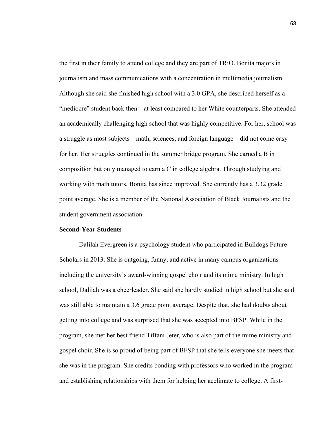the first in their family to attend college and they are part of TRiO. Bonita majors in journalism and mass communications with a concentration in multimedia journalism. Although she said she finished high school with a 3.0 GPA, she described herself as a "mediocre" student back then – at least compared to her White counterparts. She attended an academically challenging high school that was highly competitive. For her, school was a struggle as most subjects – math, sciences, and foreign language – did not come easy for her. Her struggles continued in the summer bridge program. She earned a B in composition but only managed to earn a C in college algebra. Through studying and working with math tutors, Bonita has since improved. She currently has a 3.32 grade point average. She is a member of the National Association of Black Journalists and the student government association.

# **Second-Year Students**

 Dalilah Evergreen is a psychology student who participated in Bulldogs Future Scholars in 2013. She is outgoing, funny, and active in many campus organizations including the university's award-winning gospel choir and its mime ministry. In high school, Dalilah was a cheerleader. She said she hardly studied in high school but she said was still able to maintain a 3.6 grade point average. Despite that, she had doubts about getting into college and was surprised that she was accepted into BFSP. While in the program, she met her best friend Tiffani Jeter, who is also part of the mime ministry and gospel choir. She is so proud of being part of BFSP that she tells everyone she meets that she was in the program. She credits bonding with professors who worked in the program and establishing relationships with them for helping her acclimate to college. A first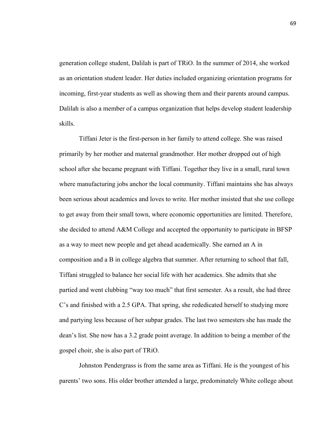generation college student, Dalilah is part of TRiO. In the summer of 2014, she worked as an orientation student leader. Her duties included organizing orientation programs for incoming, first-year students as well as showing them and their parents around campus. Dalilah is also a member of a campus organization that helps develop student leadership skills.

 Tiffani Jeter is the first-person in her family to attend college. She was raised primarily by her mother and maternal grandmother. Her mother dropped out of high school after she became pregnant with Tiffani. Together they live in a small, rural town where manufacturing jobs anchor the local community. Tiffani maintains she has always been serious about academics and loves to write. Her mother insisted that she use college to get away from their small town, where economic opportunities are limited. Therefore, she decided to attend A&M College and accepted the opportunity to participate in BFSP as a way to meet new people and get ahead academically. She earned an A in composition and a B in college algebra that summer. After returning to school that fall, Tiffani struggled to balance her social life with her academics. She admits that she partied and went clubbing "way too much" that first semester. As a result, she had three C's and finished with a 2.5 GPA. That spring, she rededicated herself to studying more and partying less because of her subpar grades. The last two semesters she has made the dean's list. She now has a 3.2 grade point average. In addition to being a member of the gospel choir, she is also part of TRiO.

 Johnston Pendergrass is from the same area as Tiffani. He is the youngest of his parents' two sons. His older brother attended a large, predominately White college about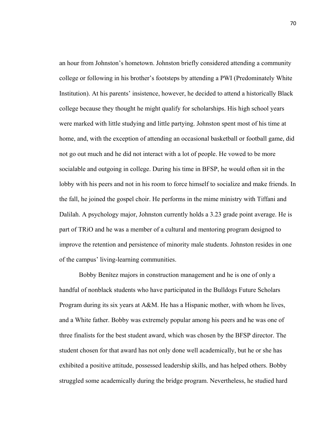an hour from Johnston's hometown. Johnston briefly considered attending a community college or following in his brother's footsteps by attending a PWI (Predominately White Institution). At his parents' insistence, however, he decided to attend a historically Black college because they thought he might qualify for scholarships. His high school years were marked with little studying and little partying. Johnston spent most of his time at home, and, with the exception of attending an occasional basketball or football game, did not go out much and he did not interact with a lot of people. He vowed to be more socialable and outgoing in college. During his time in BFSP, he would often sit in the lobby with his peers and not in his room to force himself to socialize and make friends. In the fall, he joined the gospel choir. He performs in the mime ministry with Tiffani and Dalilah. A psychology major, Johnston currently holds a 3.23 grade point average. He is part of TRiO and he was a member of a cultural and mentoring program designed to improve the retention and persistence of minority male students. Johnston resides in one of the campus' living-learning communities.

 Bobby Benítez majors in construction management and he is one of only a handful of nonblack students who have participated in the Bulldogs Future Scholars Program during its six years at A&M. He has a Hispanic mother, with whom he lives, and a White father. Bobby was extremely popular among his peers and he was one of three finalists for the best student award, which was chosen by the BFSP director. The student chosen for that award has not only done well academically, but he or she has exhibited a positive attitude, possessed leadership skills, and has helped others. Bobby struggled some academically during the bridge program. Nevertheless, he studied hard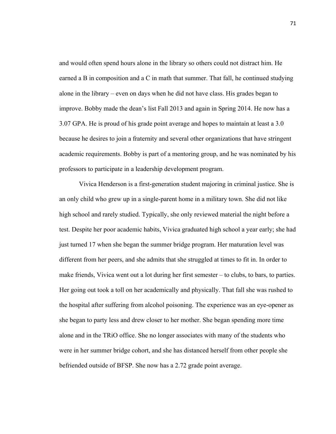and would often spend hours alone in the library so others could not distract him. He earned a B in composition and a C in math that summer. That fall, he continued studying alone in the library – even on days when he did not have class. His grades began to improve. Bobby made the dean's list Fall 2013 and again in Spring 2014. He now has a 3.07 GPA. He is proud of his grade point average and hopes to maintain at least a 3.0 because he desires to join a fraternity and several other organizations that have stringent academic requirements. Bobby is part of a mentoring group, and he was nominated by his professors to participate in a leadership development program.

 Vivica Henderson is a first-generation student majoring in criminal justice. She is an only child who grew up in a single-parent home in a military town. She did not like high school and rarely studied. Typically, she only reviewed material the night before a test. Despite her poor academic habits, Vivica graduated high school a year early; she had just turned 17 when she began the summer bridge program. Her maturation level was different from her peers, and she admits that she struggled at times to fit in. In order to make friends, Vivica went out a lot during her first semester – to clubs, to bars, to parties. Her going out took a toll on her academically and physically. That fall she was rushed to the hospital after suffering from alcohol poisoning. The experience was an eye-opener as she began to party less and drew closer to her mother. She began spending more time alone and in the TRiO office. She no longer associates with many of the students who were in her summer bridge cohort, and she has distanced herself from other people she befriended outside of BFSP. She now has a 2.72 grade point average.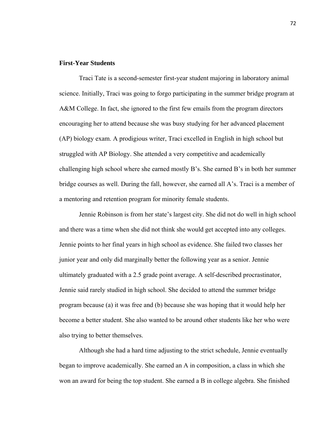# **First-Year Students**

 Traci Tate is a second-semester first-year student majoring in laboratory animal science. Initially, Traci was going to forgo participating in the summer bridge program at A&M College. In fact, she ignored to the first few emails from the program directors encouraging her to attend because she was busy studying for her advanced placement (AP) biology exam. A prodigious writer, Traci excelled in English in high school but struggled with AP Biology. She attended a very competitive and academically challenging high school where she earned mostly B's. She earned B's in both her summer bridge courses as well. During the fall, however, she earned all A's. Traci is a member of a mentoring and retention program for minority female students.

 Jennie Robinson is from her state's largest city. She did not do well in high school and there was a time when she did not think she would get accepted into any colleges. Jennie points to her final years in high school as evidence. She failed two classes her junior year and only did marginally better the following year as a senior. Jennie ultimately graduated with a 2.5 grade point average. A self-described procrastinator, Jennie said rarely studied in high school. She decided to attend the summer bridge program because (a) it was free and (b) because she was hoping that it would help her become a better student. She also wanted to be around other students like her who were also trying to better themselves.

 Although she had a hard time adjusting to the strict schedule, Jennie eventually began to improve academically. She earned an A in composition, a class in which she won an award for being the top student. She earned a B in college algebra. She finished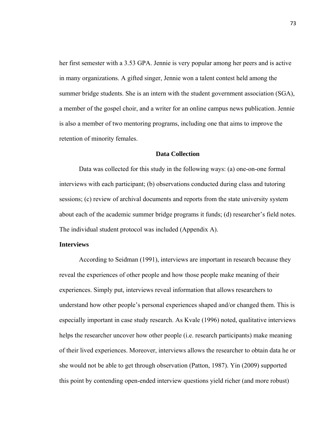her first semester with a 3.53 GPA. Jennie is very popular among her peers and is active in many organizations. A gifted singer, Jennie won a talent contest held among the summer bridge students. She is an intern with the student government association (SGA), a member of the gospel choir, and a writer for an online campus news publication. Jennie is also a member of two mentoring programs, including one that aims to improve the retention of minority females.

# **Data Collection**

 Data was collected for this study in the following ways: (a) one-on-one formal interviews with each participant; (b) observations conducted during class and tutoring sessions; (c) review of archival documents and reports from the state university system about each of the academic summer bridge programs it funds; (d) researcher's field notes. The individual student protocol was included (Appendix A).

#### **Interviews**

 According to Seidman (1991), interviews are important in research because they reveal the experiences of other people and how those people make meaning of their experiences. Simply put, interviews reveal information that allows researchers to understand how other people's personal experiences shaped and/or changed them. This is especially important in case study research. As Kvale (1996) noted, qualitative interviews helps the researcher uncover how other people (i.e. research participants) make meaning of their lived experiences. Moreover, interviews allows the researcher to obtain data he or she would not be able to get through observation (Patton, 1987). Yin (2009) supported this point by contending open-ended interview questions yield richer (and more robust)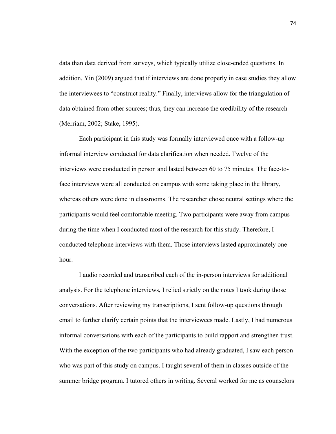data than data derived from surveys, which typically utilize close-ended questions. In addition, Yin (2009) argued that if interviews are done properly in case studies they allow the interviewees to "construct reality." Finally, interviews allow for the triangulation of data obtained from other sources; thus, they can increase the credibility of the research (Merriam, 2002; Stake, 1995).

 Each participant in this study was formally interviewed once with a follow-up informal interview conducted for data clarification when needed. Twelve of the interviews were conducted in person and lasted between 60 to 75 minutes. The face-toface interviews were all conducted on campus with some taking place in the library, whereas others were done in classrooms. The researcher chose neutral settings where the participants would feel comfortable meeting. Two participants were away from campus during the time when I conducted most of the research for this study. Therefore, I conducted telephone interviews with them. Those interviews lasted approximately one hour.

 I audio recorded and transcribed each of the in-person interviews for additional analysis. For the telephone interviews, I relied strictly on the notes I took during those conversations. After reviewing my transcriptions, I sent follow-up questions through email to further clarify certain points that the interviewees made. Lastly, I had numerous informal conversations with each of the participants to build rapport and strengthen trust. With the exception of the two participants who had already graduated, I saw each person who was part of this study on campus. I taught several of them in classes outside of the summer bridge program. I tutored others in writing. Several worked for me as counselors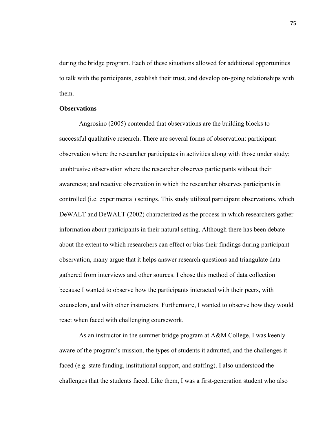during the bridge program. Each of these situations allowed for additional opportunities to talk with the participants, establish their trust, and develop on-going relationships with them.

#### **Observations**

 Angrosino (2005) contended that observations are the building blocks to successful qualitative research. There are several forms of observation: participant observation where the researcher participates in activities along with those under study; unobtrusive observation where the researcher observes participants without their awareness; and reactive observation in which the researcher observes participants in controlled (i.e. experimental) settings. This study utilized participant observations, which DeWALT and DeWALT (2002) characterized as the process in which researchers gather information about participants in their natural setting. Although there has been debate about the extent to which researchers can effect or bias their findings during participant observation, many argue that it helps answer research questions and triangulate data gathered from interviews and other sources. I chose this method of data collection because I wanted to observe how the participants interacted with their peers, with counselors, and with other instructors. Furthermore, I wanted to observe how they would react when faced with challenging coursework.

 As an instructor in the summer bridge program at A&M College, I was keenly aware of the program's mission, the types of students it admitted, and the challenges it faced (e.g. state funding, institutional support, and staffing). I also understood the challenges that the students faced. Like them, I was a first-generation student who also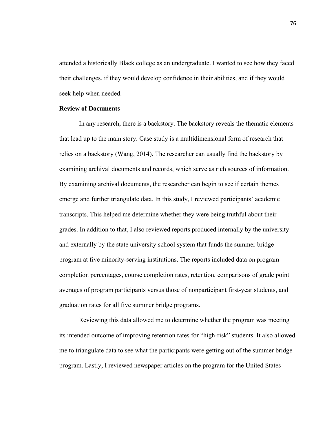attended a historically Black college as an undergraduate. I wanted to see how they faced their challenges, if they would develop confidence in their abilities, and if they would seek help when needed.

# **Review of Documents**

 In any research, there is a backstory. The backstory reveals the thematic elements that lead up to the main story. Case study is a multidimensional form of research that relies on a backstory (Wang, 2014). The researcher can usually find the backstory by examining archival documents and records, which serve as rich sources of information. By examining archival documents, the researcher can begin to see if certain themes emerge and further triangulate data. In this study, I reviewed participants' academic transcripts. This helped me determine whether they were being truthful about their grades. In addition to that, I also reviewed reports produced internally by the university and externally by the state university school system that funds the summer bridge program at five minority-serving institutions. The reports included data on program completion percentages, course completion rates, retention, comparisons of grade point averages of program participants versus those of nonparticipant first-year students, and graduation rates for all five summer bridge programs.

 Reviewing this data allowed me to determine whether the program was meeting its intended outcome of improving retention rates for "high-risk" students. It also allowed me to triangulate data to see what the participants were getting out of the summer bridge program. Lastly, I reviewed newspaper articles on the program for the United States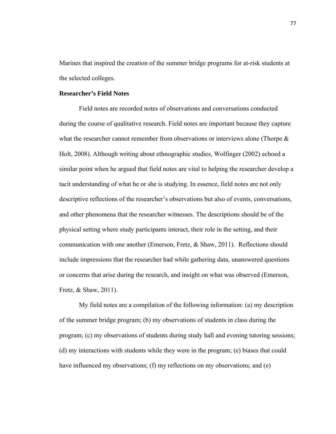Marines that inspired the creation of the summer bridge programs for at-risk students at the selected colleges.

#### **Researcher's Field Notes**

 Field notes are recorded notes of observations and conversations conducted during the course of qualitative research. Field notes are important because they capture what the researcher cannot remember from observations or interviews alone (Thorpe  $\&$ Holt, 2008). Although writing about ethnographic studies, Wolfinger (2002) echoed a similar point when he argued that field notes are vital to helping the researcher develop a tacit understanding of what he or she is studying. In essence, field notes are not only descriptive reflections of the researcher's observations but also of events, conversations, and other phenomena that the researcher witnesses. The descriptions should be of the physical setting where study participants interact, their role in the setting, and their communication with one another (Emerson, Fretz, & Shaw, 2011). Reflections should include impressions that the researcher had while gathering data, unanswered questions or concerns that arise during the research, and insight on what was observed (Emerson, Fretz, & Shaw, 2011).

 My field notes are a compilation of the following information: (a) my description of the summer bridge program; (b) my observations of students in class during the program; (c) my observations of students during study hall and evening tutoring sessions; (d) my interactions with students while they were in the program; (e) biases that could have influenced my observations; (f) my reflections on my observations; and (e)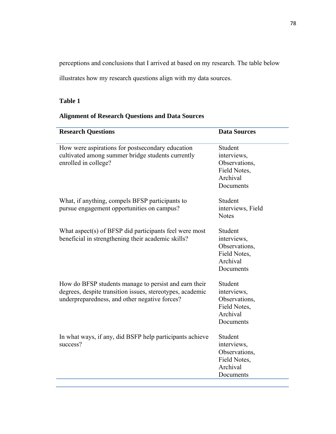perceptions and conclusions that I arrived at based on my research. The table below

illustrates how my research questions align with my data sources.

# **Table 1**

# **Alignment of Research Questions and Data Sources**

| <b>Research Questions</b>                                                                                                                                           | <b>Data Sources</b>                                                              |
|---------------------------------------------------------------------------------------------------------------------------------------------------------------------|----------------------------------------------------------------------------------|
| How were aspirations for postsecondary education<br>cultivated among summer bridge students currently<br>enrolled in college?                                       | Student<br>interviews,<br>Observations,<br>Field Notes,<br>Archival<br>Documents |
| What, if anything, compels BFSP participants to<br>pursue engagement opportunities on campus?                                                                       | Student<br>interviews, Field<br><b>Notes</b>                                     |
| What aspect(s) of BFSP did participants feel were most<br>beneficial in strengthening their academic skills?                                                        | Student<br>interviews,<br>Observations,<br>Field Notes,<br>Archival<br>Documents |
| How do BFSP students manage to persist and earn their<br>degrees, despite transition issues, stereotypes, academic<br>underpreparedness, and other negative forces? | Student<br>interviews,<br>Observations,<br>Field Notes,<br>Archival<br>Documents |
| In what ways, if any, did BSFP help participants achieve<br>success?                                                                                                | Student<br>interviews,<br>Observations,<br>Field Notes,<br>Archival<br>Documents |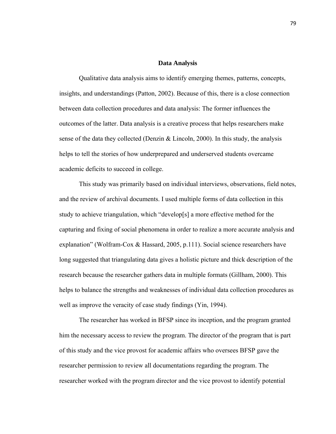#### **Data Analysis**

 Qualitative data analysis aims to identify emerging themes, patterns, concepts, insights, and understandings (Patton, 2002). Because of this, there is a close connection between data collection procedures and data analysis: The former influences the outcomes of the latter. Data analysis is a creative process that helps researchers make sense of the data they collected (Denzin & Lincoln, 2000). In this study, the analysis helps to tell the stories of how underprepared and underserved students overcame academic deficits to succeed in college.

 This study was primarily based on individual interviews, observations, field notes, and the review of archival documents. I used multiple forms of data collection in this study to achieve triangulation, which "develop[s] a more effective method for the capturing and fixing of social phenomena in order to realize a more accurate analysis and explanation" (Wolfram-Cox & Hassard, 2005, p.111). Social science researchers have long suggested that triangulating data gives a holistic picture and thick description of the research because the researcher gathers data in multiple formats (Gillham, 2000). This helps to balance the strengths and weaknesses of individual data collection procedures as well as improve the veracity of case study findings (Yin, 1994).

 The researcher has worked in BFSP since its inception, and the program granted him the necessary access to review the program. The director of the program that is part of this study and the vice provost for academic affairs who oversees BFSP gave the researcher permission to review all documentations regarding the program. The researcher worked with the program director and the vice provost to identify potential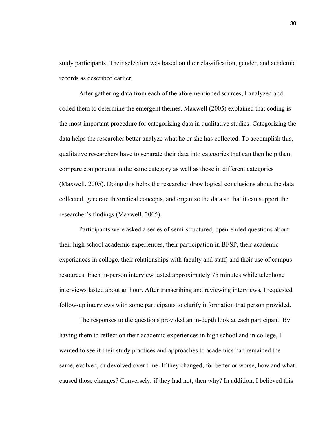study participants. Their selection was based on their classification, gender, and academic records as described earlier.

 After gathering data from each of the aforementioned sources, I analyzed and coded them to determine the emergent themes. Maxwell (2005) explained that coding is the most important procedure for categorizing data in qualitative studies. Categorizing the data helps the researcher better analyze what he or she has collected. To accomplish this, qualitative researchers have to separate their data into categories that can then help them compare components in the same category as well as those in different categories (Maxwell, 2005). Doing this helps the researcher draw logical conclusions about the data collected, generate theoretical concepts, and organize the data so that it can support the researcher's findings (Maxwell, 2005).

 Participants were asked a series of semi-structured, open-ended questions about their high school academic experiences, their participation in BFSP, their academic experiences in college, their relationships with faculty and staff, and their use of campus resources. Each in-person interview lasted approximately 75 minutes while telephone interviews lasted about an hour. After transcribing and reviewing interviews, I requested follow-up interviews with some participants to clarify information that person provided.

 The responses to the questions provided an in-depth look at each participant. By having them to reflect on their academic experiences in high school and in college, I wanted to see if their study practices and approaches to academics had remained the same, evolved, or devolved over time. If they changed, for better or worse, how and what caused those changes? Conversely, if they had not, then why? In addition, I believed this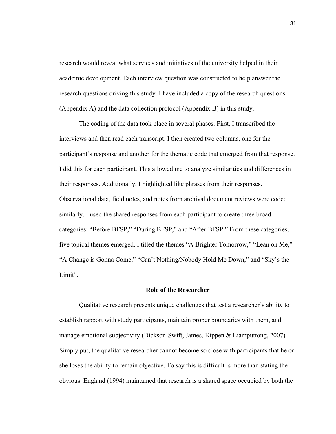research would reveal what services and initiatives of the university helped in their academic development. Each interview question was constructed to help answer the research questions driving this study. I have included a copy of the research questions (Appendix A) and the data collection protocol (Appendix B) in this study.

 The coding of the data took place in several phases. First, I transcribed the interviews and then read each transcript. I then created two columns, one for the participant's response and another for the thematic code that emerged from that response. I did this for each participant. This allowed me to analyze similarities and differences in their responses. Additionally, I highlighted like phrases from their responses. Observational data, field notes, and notes from archival document reviews were coded similarly. I used the shared responses from each participant to create three broad categories: "Before BFSP," "During BFSP," and "After BFSP." From these categories, five topical themes emerged. I titled the themes "A Brighter Tomorrow," "Lean on Me," "A Change is Gonna Come," "Can't Nothing/Nobody Hold Me Down," and "Sky's the Limit".

#### **Role of the Researcher**

 Qualitative research presents unique challenges that test a researcher's ability to establish rapport with study participants, maintain proper boundaries with them, and manage emotional subjectivity (Dickson-Swift, James, Kippen & Liamputtong, 2007). Simply put, the qualitative researcher cannot become so close with participants that he or she loses the ability to remain objective. To say this is difficult is more than stating the obvious. England (1994) maintained that research is a shared space occupied by both the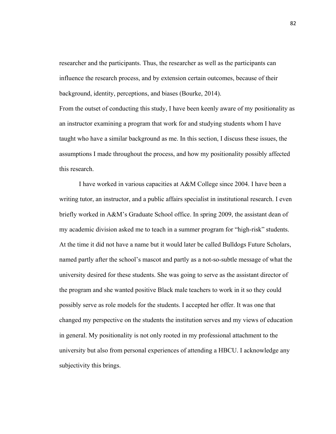researcher and the participants. Thus, the researcher as well as the participants can influence the research process, and by extension certain outcomes, because of their background, identity, perceptions, and biases (Bourke, 2014).

From the outset of conducting this study, I have been keenly aware of my positionality as an instructor examining a program that work for and studying students whom I have taught who have a similar background as me. In this section, I discuss these issues, the assumptions I made throughout the process, and how my positionality possibly affected this research.

 I have worked in various capacities at A&M College since 2004. I have been a writing tutor, an instructor, and a public affairs specialist in institutional research. I even briefly worked in A&M's Graduate School office. In spring 2009, the assistant dean of my academic division asked me to teach in a summer program for "high-risk" students. At the time it did not have a name but it would later be called Bulldogs Future Scholars, named partly after the school's mascot and partly as a not-so-subtle message of what the university desired for these students. She was going to serve as the assistant director of the program and she wanted positive Black male teachers to work in it so they could possibly serve as role models for the students. I accepted her offer. It was one that changed my perspective on the students the institution serves and my views of education in general. My positionality is not only rooted in my professional attachment to the university but also from personal experiences of attending a HBCU. I acknowledge any subjectivity this brings.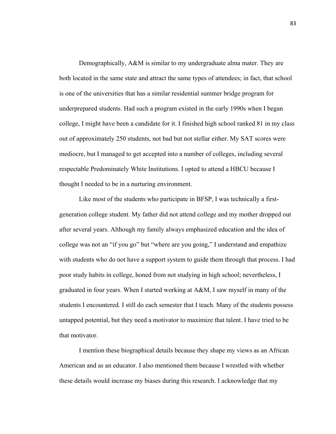Demographically, A&M is similar to my undergraduate alma mater. They are both located in the same state and attract the same types of attendees; in fact, that school is one of the universities that has a similar residential summer bridge program for underprepared students. Had such a program existed in the early 1990s when I began college, I might have been a candidate for it. I finished high school ranked 81 in my class out of approximately 250 students, not bad but not stellar either. My SAT scores were mediocre, but I managed to get accepted into a number of colleges, including several respectable Predominately White Institutions. I opted to attend a HBCU because I thought I needed to be in a nurturing environment.

 Like most of the students who participate in BFSP, I was technically a firstgeneration college student. My father did not attend college and my mother dropped out after several years. Although my family always emphasized education and the idea of college was not an "if you go" but "where are you going," I understand and empathize with students who do not have a support system to guide them through that process. I had poor study habits in college, honed from not studying in high school; nevertheless, I graduated in four years. When I started working at A&M, I saw myself in many of the students I encountered. I still do each semester that I teach. Many of the students possess untapped potential, but they need a motivator to maximize that talent. I have tried to be that motivator.

 I mention these biographical details because they shape my views as an African American and as an educator. I also mentioned them because I wrestled with whether these details would increase my biases during this research. I acknowledge that my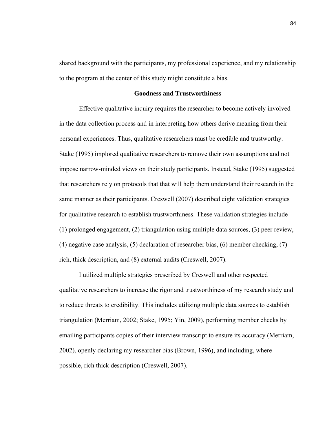shared background with the participants, my professional experience, and my relationship to the program at the center of this study might constitute a bias.

#### **Goodness and Trustworthiness**

Effective qualitative inquiry requires the researcher to become actively involved in the data collection process and in interpreting how others derive meaning from their personal experiences. Thus, qualitative researchers must be credible and trustworthy. Stake (1995) implored qualitative researchers to remove their own assumptions and not impose narrow-minded views on their study participants. Instead, Stake (1995) suggested that researchers rely on protocols that that will help them understand their research in the same manner as their participants. Creswell (2007) described eight validation strategies for qualitative research to establish trustworthiness. These validation strategies include (1) prolonged engagement, (2) triangulation using multiple data sources, (3) peer review, (4) negative case analysis, (5) declaration of researcher bias, (6) member checking, (7) rich, thick description, and (8) external audits (Creswell, 2007).

 I utilized multiple strategies prescribed by Creswell and other respected qualitative researchers to increase the rigor and trustworthiness of my research study and to reduce threats to credibility. This includes utilizing multiple data sources to establish triangulation (Merriam, 2002; Stake, 1995; Yin, 2009), performing member checks by emailing participants copies of their interview transcript to ensure its accuracy (Merriam, 2002), openly declaring my researcher bias (Brown, 1996), and including, where possible, rich thick description (Creswell, 2007).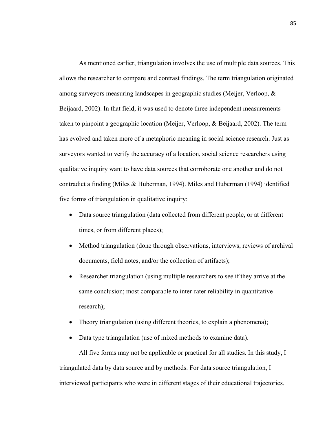As mentioned earlier, triangulation involves the use of multiple data sources. This allows the researcher to compare and contrast findings. The term triangulation originated among surveyors measuring landscapes in geographic studies (Meijer, Verloop, & Beijaard, 2002). In that field, it was used to denote three independent measurements taken to pinpoint a geographic location (Meijer, Verloop, & Beijaard, 2002). The term has evolved and taken more of a metaphoric meaning in social science research. Just as surveyors wanted to verify the accuracy of a location, social science researchers using qualitative inquiry want to have data sources that corroborate one another and do not contradict a finding (Miles & Huberman, 1994). Miles and Huberman (1994) identified five forms of triangulation in qualitative inquiry:

- Data source triangulation (data collected from different people, or at different times, or from different places);
- Method triangulation (done through observations, interviews, reviews of archival documents, field notes, and/or the collection of artifacts);
- Researcher triangulation (using multiple researchers to see if they arrive at the same conclusion; most comparable to inter-rater reliability in quantitative research);
- Theory triangulation (using different theories, to explain a phenomena);
- Data type triangulation (use of mixed methods to examine data).

 All five forms may not be applicable or practical for all studies. In this study, I triangulated data by data source and by methods. For data source triangulation, I interviewed participants who were in different stages of their educational trajectories.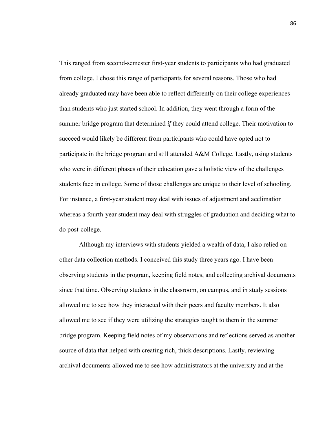This ranged from second-semester first-year students to participants who had graduated from college. I chose this range of participants for several reasons. Those who had already graduated may have been able to reflect differently on their college experiences than students who just started school. In addition, they went through a form of the summer bridge program that determined *if* they could attend college. Their motivation to succeed would likely be different from participants who could have opted not to participate in the bridge program and still attended A&M College. Lastly, using students who were in different phases of their education gave a holistic view of the challenges students face in college. Some of those challenges are unique to their level of schooling. For instance, a first-year student may deal with issues of adjustment and acclimation whereas a fourth-year student may deal with struggles of graduation and deciding what to do post-college.

 Although my interviews with students yielded a wealth of data, I also relied on other data collection methods. I conceived this study three years ago. I have been observing students in the program, keeping field notes, and collecting archival documents since that time. Observing students in the classroom, on campus, and in study sessions allowed me to see how they interacted with their peers and faculty members. It also allowed me to see if they were utilizing the strategies taught to them in the summer bridge program. Keeping field notes of my observations and reflections served as another source of data that helped with creating rich, thick descriptions. Lastly, reviewing archival documents allowed me to see how administrators at the university and at the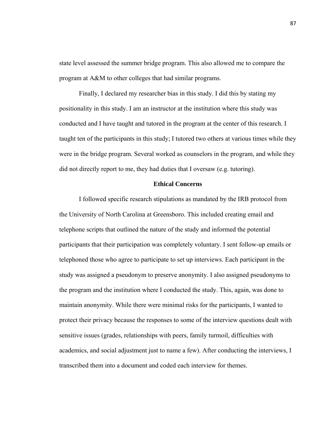state level assessed the summer bridge program. This also allowed me to compare the program at A&M to other colleges that had similar programs.

 Finally, I declared my researcher bias in this study. I did this by stating my positionality in this study. I am an instructor at the institution where this study was conducted and I have taught and tutored in the program at the center of this research. I taught ten of the participants in this study; I tutored two others at various times while they were in the bridge program. Several worked as counselors in the program, and while they did not directly report to me, they had duties that I oversaw (e.g. tutoring).

#### **Ethical Concerns**

 I followed specific research stipulations as mandated by the IRB protocol from the University of North Carolina at Greensboro. This included creating email and telephone scripts that outlined the nature of the study and informed the potential participants that their participation was completely voluntary. I sent follow-up emails or telephoned those who agree to participate to set up interviews. Each participant in the study was assigned a pseudonym to preserve anonymity. I also assigned pseudonyms to the program and the institution where I conducted the study. This, again, was done to maintain anonymity. While there were minimal risks for the participants, I wanted to protect their privacy because the responses to some of the interview questions dealt with sensitive issues (grades, relationships with peers, family turmoil, difficulties with academics, and social adjustment just to name a few). After conducting the interviews, I transcribed them into a document and coded each interview for themes.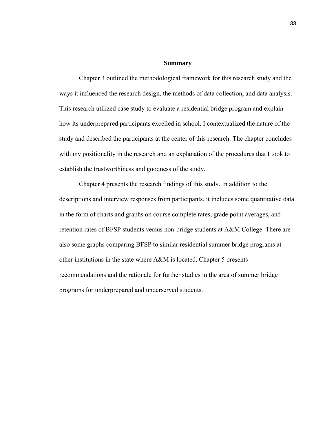#### **Summary**

Chapter 3 outlined the methodological framework for this research study and the ways it influenced the research design, the methods of data collection, and data analysis. This research utilized case study to evaluate a residential bridge program and explain how its underprepared participants excelled in school. I contextualized the nature of the study and described the participants at the center of this research. The chapter concludes with my positionality in the research and an explanation of the procedures that I took to establish the trustworthiness and goodness of the study.

 Chapter 4 presents the research findings of this study. In addition to the descriptions and interview responses from participants, it includes some quantitative data in the form of charts and graphs on course complete rates, grade point averages, and retention rates of BFSP students versus non-bridge students at A&M College. There are also some graphs comparing BFSP to similar residential summer bridge programs at other institutions in the state where A&M is located. Chapter 5 presents recommendations and the rationale for further studies in the area of summer bridge programs for underprepared and underserved students.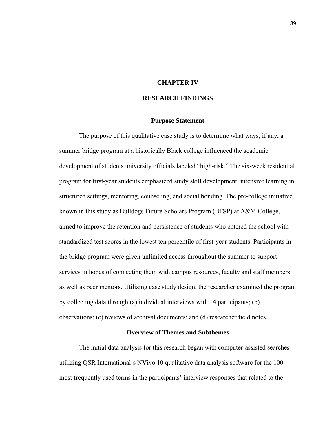#### **CHAPTER IV**

# **RESEARCH FINDINGS**

#### **Purpose Statement**

 The purpose of this qualitative case study is to determine what ways, if any, a summer bridge program at a historically Black college influenced the academic development of students university officials labeled "high-risk." The six-week residential program for first-year students emphasized study skill development, intensive learning in structured settings, mentoring, counseling, and social bonding. The pre-college initiative, known in this study as Bulldogs Future Scholars Program (BFSP) at A&M College, aimed to improve the retention and persistence of students who entered the school with standardized test scores in the lowest ten percentile of first-year students. Participants in the bridge program were given unlimited access throughout the summer to support services in hopes of connecting them with campus resources, faculty and staff members as well as peer mentors. Utilizing case study design, the researcher examined the program by collecting data through (a) individual interviews with 14 participants; (b) observations; (c) reviews of archival documents; and (d) researcher field notes.

# **Overview of Themes and Subthemes**

 The initial data analysis for this research began with computer-assisted searches utilizing QSR International's NVivo 10 qualitative data analysis software for the 100 most frequently used terms in the participants' interview responses that related to the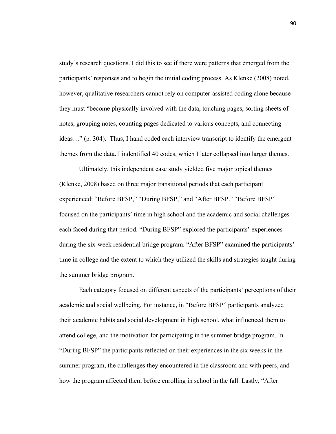study's research questions. I did this to see if there were patterns that emerged from the participants' responses and to begin the initial coding process. As Klenke (2008) noted, however, qualitative researchers cannot rely on computer-assisted coding alone because they must "become physically involved with the data, touching pages, sorting sheets of notes, grouping notes, counting pages dedicated to various concepts, and connecting ideas…" (p. 304). Thus, I hand coded each interview transcript to identify the emergent themes from the data. I indentified 40 codes, which I later collapsed into larger themes.

Ultimately, this independent case study yielded five major topical themes (Klenke, 2008) based on three major transitional periods that each participant experienced: "Before BFSP," "During BFSP," and "After BFSP." "Before BFSP" focused on the participants' time in high school and the academic and social challenges each faced during that period. "During BFSP" explored the participants' experiences during the six-week residential bridge program. "After BFSP" examined the participants' time in college and the extent to which they utilized the skills and strategies taught during the summer bridge program.

Each category focused on different aspects of the participants' perceptions of their academic and social wellbeing. For instance, in "Before BFSP" participants analyzed their academic habits and social development in high school, what influenced them to attend college, and the motivation for participating in the summer bridge program. In "During BFSP" the participants reflected on their experiences in the six weeks in the summer program, the challenges they encountered in the classroom and with peers, and how the program affected them before enrolling in school in the fall. Lastly, "After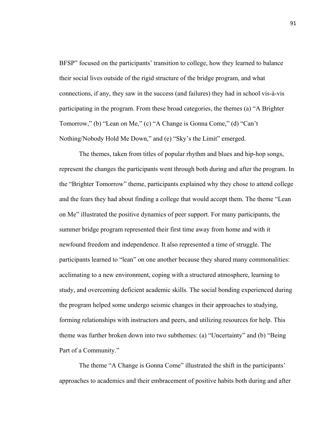BFSP" focused on the participants' transition to college, how they learned to balance their social lives outside of the rigid structure of the bridge program, and what connections, if any, they saw in the success (and failures) they had in school vis-à-vis participating in the program. From these broad categories, the themes (a) "A Brighter Tomorrow," (b) "Lean on Me," (c) "A Change is Gonna Come," (d) "Can't Nothing/Nobody Hold Me Down," and (e) "Sky's the Limit" emerged.

 The themes, taken from titles of popular rhythm and blues and hip-hop songs, represent the changes the participants went through both during and after the program. In the "Brighter Tomorrow" theme, participants explained why they chose to attend college and the fears they had about finding a college that would accept them. The theme "Lean on Me" illustrated the positive dynamics of peer support. For many participants, the summer bridge program represented their first time away from home and with it newfound freedom and independence. It also represented a time of struggle. The participants learned to "lean" on one another because they shared many commonalities: acclimating to a new environment, coping with a structured atmosphere, learning to study, and overcoming deficient academic skills. The social bonding experienced during the program helped some undergo seismic changes in their approaches to studying, forming relationships with instructors and peers, and utilizing resources for help. This theme was further broken down into two subthemes: (a) "Uncertainty" and (b) "Being Part of a Community."

 The theme "A Change is Gonna Come" illustrated the shift in the participants' approaches to academics and their embracement of positive habits both during and after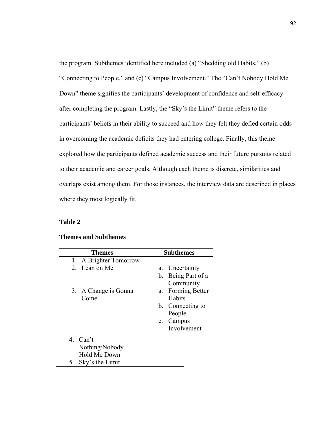the program. Subthemes identified here included (a) "Shedding old Habits," (b) "Connecting to People," and (c) "Campus Involvement." The "Can't Nobody Hold Me Down" theme signifies the participants' development of confidence and self-efficacy after completing the program. Lastly, the "Sky's the Limit" theme refers to the participants' beliefs in their ability to succeed and how they felt they defied certain odds in overcoming the academic deficits they had entering college. Finally, this theme explored how the participants defined academic success and their future pursuits related to their academic and career goals. Although each theme is discrete, similarities and overlaps exist among them. For those instances, the interview data are described in places where they most logically fit.

# **Table 2**

#### **Themes and Subthemes**

| <b>Themes</b>          | <b>Subthemes</b>   |  |
|------------------------|--------------------|--|
| 1. A Brighter Tomorrow |                    |  |
| 2. Lean on Me          | a. Uncertainty     |  |
|                        | b. Being Part of a |  |
|                        | Community          |  |
| 3. A Change is Gonna   | a. Forming Better  |  |
| Come                   | Habits             |  |
|                        | b. Connecting to   |  |
|                        | People             |  |
|                        | c. Campus          |  |
|                        | Involvement        |  |
| 4 Can't                |                    |  |
| Nothing/Nobody         |                    |  |
| <b>Hold Me Down</b>    |                    |  |
| 5. Sky's the Limit     |                    |  |

92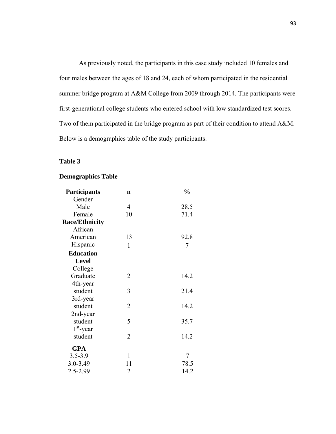As previously noted, the participants in this case study included 10 females and four males between the ages of 18 and 24, each of whom participated in the residential summer bridge program at A&M College from 2009 through 2014. The participants were first-generational college students who entered school with low standardized test scores. Two of them participated in the bridge program as part of their condition to attend A&M. Below is a demographics table of the study participants.

# **Table 3**

# **Demographics Table**

| <b>Participants</b>   | n              | $\frac{0}{0}$ |
|-----------------------|----------------|---------------|
| Gender                |                |               |
| Male                  | 4              | 28.5          |
| Female                | 10             | 71.4          |
| <b>Race/Ethnicity</b> |                |               |
| African               |                |               |
| American              | 13             | 92.8          |
| Hispanic              | 1              | 7             |
| <b>Education</b>      |                |               |
| <b>Level</b>          |                |               |
| College               |                |               |
| Graduate              | 2              | 14.2          |
| 4th-year              |                |               |
| student               | 3              | 21.4          |
| 3rd-year              |                |               |
| student               | 2              | 14.2          |
| 2nd-year              |                |               |
| student               | 5              | 35.7          |
| $1st$ -year           |                |               |
| student               | $\overline{2}$ | 14.2          |
| <b>GPA</b>            |                |               |
| $3.5 - 3.9$           | $\mathbf{1}$   | 7             |
| 3.0-3.49              | 11             | 78.5          |
| 2.5-2.99              | 2              | 14.2          |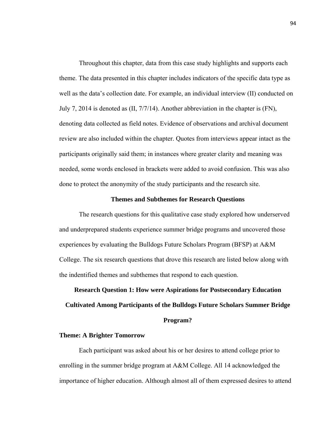Throughout this chapter, data from this case study highlights and supports each theme. The data presented in this chapter includes indicators of the specific data type as well as the data's collection date. For example, an individual interview (II) conducted on July 7, 2014 is denoted as (II, 7/7/14). Another abbreviation in the chapter is (FN), denoting data collected as field notes. Evidence of observations and archival document review are also included within the chapter. Quotes from interviews appear intact as the participants originally said them; in instances where greater clarity and meaning was needed, some words enclosed in brackets were added to avoid confusion. This was also done to protect the anonymity of the study participants and the research site.

#### **Themes and Subthemes for Research Questions**

 The research questions for this qualitative case study explored how underserved and underprepared students experience summer bridge programs and uncovered those experiences by evaluating the Bulldogs Future Scholars Program (BFSP) at A&M College. The six research questions that drove this research are listed below along with the indentified themes and subthemes that respond to each question.

# **Research Question 1: How were Aspirations for Postsecondary Education Cultivated Among Participants of the Bulldogs Future Scholars Summer Bridge Program?**

#### **Theme: A Brighter Tomorrow**

 Each participant was asked about his or her desires to attend college prior to enrolling in the summer bridge program at A&M College. All 14 acknowledged the importance of higher education. Although almost all of them expressed desires to attend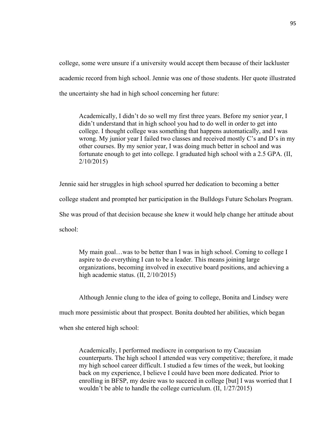college, some were unsure if a university would accept them because of their lackluster academic record from high school. Jennie was one of those students. Her quote illustrated the uncertainty she had in high school concerning her future:

Academically, I didn't do so well my first three years. Before my senior year, I didn't understand that in high school you had to do well in order to get into college. I thought college was something that happens automatically, and I was wrong. My junior year I failed two classes and received mostly C's and D's in my other courses. By my senior year, I was doing much better in school and was fortunate enough to get into college. I graduated high school with a 2.5 GPA. (II, 2/10/2015)

Jennie said her struggles in high school spurred her dedication to becoming a better college student and prompted her participation in the Bulldogs Future Scholars Program. She was proud of that decision because she knew it would help change her attitude about school:

 My main goal…was to be better than I was in high school. Coming to college I aspire to do everything I can to be a leader. This means joining large organizations, becoming involved in executive board positions, and achieving a high academic status. (II,  $2/10/2015$ )

 Although Jennie clung to the idea of going to college, Bonita and Lindsey were much more pessimistic about that prospect. Bonita doubted her abilities, which began when she entered high school:

Academically, I performed mediocre in comparison to my Caucasian counterparts. The high school I attended was very competitive; therefore, it made my high school career difficult. I studied a few times of the week, but looking back on my experience, I believe I could have been more dedicated. Prior to enrolling in BFSP, my desire was to succeed in college [but] I was worried that I wouldn't be able to handle the college curriculum. (II, 1/27/2015)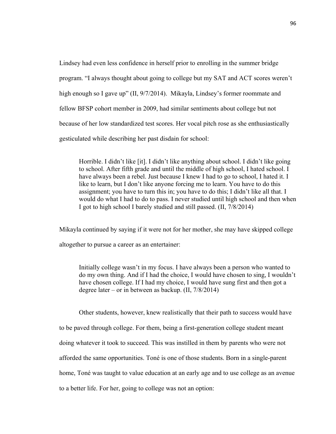Lindsey had even less confidence in herself prior to enrolling in the summer bridge program. "I always thought about going to college but my SAT and ACT scores weren't high enough so I gave up" (II, 9/7/2014). Mikayla, Lindsey's former roommate and fellow BFSP cohort member in 2009, had similar sentiments about college but not because of her low standardized test scores. Her vocal pitch rose as she enthusiastically gesticulated while describing her past disdain for school:

Horrible. I didn't like [it]. I didn't like anything about school. I didn't like going to school. After fifth grade and until the middle of high school, I hated school. I have always been a rebel. Just because I knew I had to go to school, I hated it. I like to learn, but I don't like anyone forcing me to learn. You have to do this assignment; you have to turn this in; you have to do this; I didn't like all that. I would do what I had to do to pass. I never studied until high school and then when I got to high school I barely studied and still passed. (II, 7/8/2014)

Mikayla continued by saying if it were not for her mother, she may have skipped college altogether to pursue a career as an entertainer:

Initially college wasn't in my focus. I have always been a person who wanted to do my own thing. And if I had the choice, I would have chosen to sing, I wouldn't have chosen college. If I had my choice, I would have sung first and then got a degree later – or in between as backup. (II, 7/8/2014)

 Other students, however, knew realistically that their path to success would have to be paved through college. For them, being a first-generation college student meant doing whatever it took to succeed. This was instilled in them by parents who were not afforded the same opportunities. Toné is one of those students. Born in a single-parent home, Toné was taught to value education at an early age and to use college as an avenue to a better life. For her, going to college was not an option: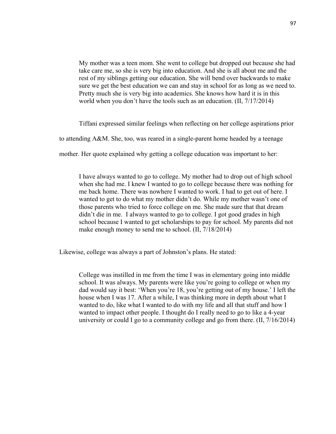My mother was a teen mom. She went to college but dropped out because she had take care me, so she is very big into education. And she is all about me and the rest of my siblings getting our education. She will bend over backwards to make sure we get the best education we can and stay in school for as long as we need to. Pretty much she is very big into academics. She knows how hard it is in this world when you don't have the tools such as an education. (II, 7/17/2014)

Tiffani expressed similar feelings when reflecting on her college aspirations prior

to attending A&M. She, too, was reared in a single-parent home headed by a teenage

mother. Her quote explained why getting a college education was important to her:

 I have always wanted to go to college. My mother had to drop out of high school when she had me. I knew I wanted to go to college because there was nothing for me back home. There was nowhere I wanted to work. I had to get out of here. I wanted to get to do what my mother didn't do. While my mother wasn't one of those parents who tried to force college on me. She made sure that that dream didn't die in me. I always wanted to go to college. I got good grades in high school because I wanted to get scholarships to pay for school. My parents did not make enough money to send me to school. (II, 7/18/2014)

Likewise, college was always a part of Johnston's plans. He stated:

 College was instilled in me from the time I was in elementary going into middle school. It was always. My parents were like you're going to college or when my dad would say it best: 'When you're 18, you're getting out of my house.' I left the house when I was 17. After a while, I was thinking more in depth about what I wanted to do, like what I wanted to do with my life and all that stuff and how I wanted to impact other people. I thought do I really need to go to like a 4-year university or could I go to a community college and go from there. (II, 7/16/2014)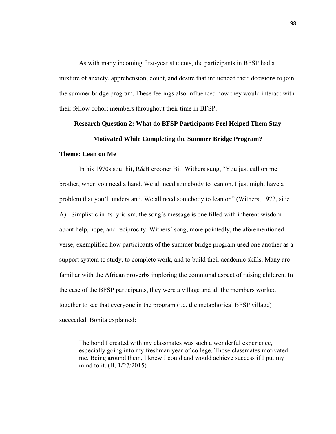As with many incoming first-year students, the participants in BFSP had a mixture of anxiety, apprehension, doubt, and desire that influenced their decisions to join the summer bridge program. These feelings also influenced how they would interact with their fellow cohort members throughout their time in BFSP.

## **Research Question 2: What do BFSP Participants Feel Helped Them Stay Motivated While Completing the Summer Bridge Program?**

### **Theme: Lean on Me**

 In his 1970s soul hit, R&B crooner Bill Withers sung, "You just call on me brother, when you need a hand. We all need somebody to lean on. I just might have a problem that you'll understand. We all need somebody to lean on" (Withers, 1972, side A). Simplistic in its lyricism, the song's message is one filled with inherent wisdom about help, hope, and reciprocity. Withers' song, more pointedly, the aforementioned verse, exemplified how participants of the summer bridge program used one another as a support system to study, to complete work, and to build their academic skills. Many are familiar with the African proverbs imploring the communal aspect of raising children. In the case of the BFSP participants, they were a village and all the members worked together to see that everyone in the program (i.e. the metaphorical BFSP village) succeeded. Bonita explained:

 The bond I created with my classmates was such a wonderful experience, especially going into my freshman year of college. Those classmates motivated me. Being around them, I knew I could and would achieve success if I put my mind to it. (II, 1/27/2015)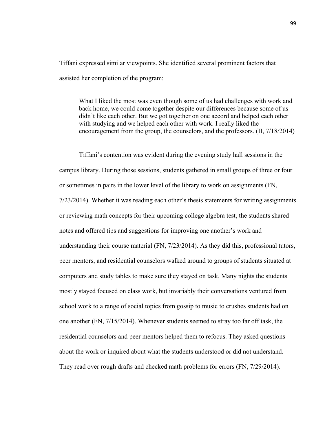Tiffani expressed similar viewpoints. She identified several prominent factors that assisted her completion of the program:

 What I liked the most was even though some of us had challenges with work and back home, we could come together despite our differences because some of us didn't like each other. But we got together on one accord and helped each other with studying and we helped each other with work. I really liked the encouragement from the group, the counselors, and the professors. (II, 7/18/2014)

 Tiffani's contention was evident during the evening study hall sessions in the campus library. During those sessions, students gathered in small groups of three or four or sometimes in pairs in the lower level of the library to work on assignments (FN, 7/23/2014). Whether it was reading each other's thesis statements for writing assignments or reviewing math concepts for their upcoming college algebra test, the students shared notes and offered tips and suggestions for improving one another's work and understanding their course material (FN, 7/23/2014). As they did this, professional tutors, peer mentors, and residential counselors walked around to groups of students situated at computers and study tables to make sure they stayed on task. Many nights the students mostly stayed focused on class work, but invariably their conversations ventured from school work to a range of social topics from gossip to music to crushes students had on one another (FN, 7/15/2014). Whenever students seemed to stray too far off task, the residential counselors and peer mentors helped them to refocus. They asked questions about the work or inquired about what the students understood or did not understand. They read over rough drafts and checked math problems for errors (FN, 7/29/2014).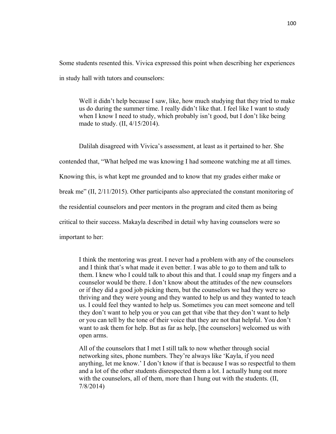Some students resented this. Vivica expressed this point when describing her experiences in study hall with tutors and counselors:

Well it didn't help because I saw, like, how much studying that they tried to make us do during the summer time. I really didn't like that. I feel like I want to study when I know I need to study, which probably isn't good, but I don't like being made to study. (II, 4/15/2014).

 Dalilah disagreed with Vivica's assessment, at least as it pertained to her. She contended that, "What helped me was knowing I had someone watching me at all times. Knowing this, is what kept me grounded and to know that my grades either make or break me" (II, 2/11/2015). Other participants also appreciated the constant monitoring of the residential counselors and peer mentors in the program and cited them as being critical to their success. Makayla described in detail why having counselors were so important to her:

 I think the mentoring was great. I never had a problem with any of the counselors and I think that's what made it even better. I was able to go to them and talk to them. I knew who I could talk to about this and that. I could snap my fingers and a counselor would be there. I don't know about the attitudes of the new counselors or if they did a good job picking them, but the counselors we had they were so thriving and they were young and they wanted to help us and they wanted to teach us. I could feel they wanted to help us. Sometimes you can meet someone and tell they don't want to help you or you can get that vibe that they don't want to help or you can tell by the tone of their voice that they are not that helpful. You don't want to ask them for help. But as far as help, [the counselors] welcomed us with open arms.

 All of the counselors that I met I still talk to now whether through social networking sites, phone numbers. They're always like 'Kayla, if you need anything, let me know.' I don't know if that is because I was so respectful to them and a lot of the other students disrespected them a lot. I actually hung out more with the counselors, all of them, more than I hung out with the students. (II, 7/8/2014)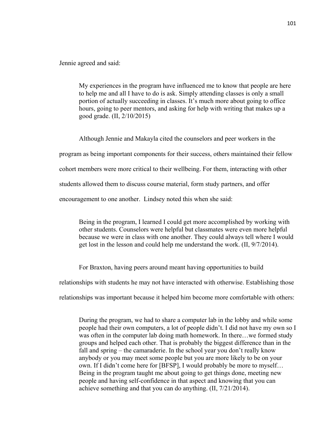Jennie agreed and said:

My experiences in the program have influenced me to know that people are here to help me and all I have to do is ask. Simply attending classes is only a small portion of actually succeeding in classes. It's much more about going to office hours, going to peer mentors, and asking for help with writing that makes up a good grade. (II, 2/10/2015)

 Although Jennie and Makayla cited the counselors and peer workers in the program as being important components for their success, others maintained their fellow cohort members were more critical to their wellbeing. For them, interacting with other students allowed them to discuss course material, form study partners, and offer encouragement to one another. Lindsey noted this when she said:

 Being in the program, I learned I could get more accomplished by working with other students. Counselors were helpful but classmates were even more helpful because we were in class with one another. They could always tell where I would get lost in the lesson and could help me understand the work. (II, 9/7/2014).

For Braxton, having peers around meant having opportunities to build

relationships with students he may not have interacted with otherwise. Establishing those

relationships was important because it helped him become more comfortable with others:

During the program, we had to share a computer lab in the lobby and while some people had their own computers, a lot of people didn't. I did not have my own so I was often in the computer lab doing math homework. In there...we formed study groups and helped each other. That is probably the biggest difference than in the fall and spring – the camaraderie. In the school year you don't really know anybody or you may meet some people but you are more likely to be on your own. If I didn't come here for [BFSP], I would probably be more to myself… Being in the program taught me about going to get things done, meeting new people and having self-confidence in that aspect and knowing that you can achieve something and that you can do anything. (II, 7/21/2014).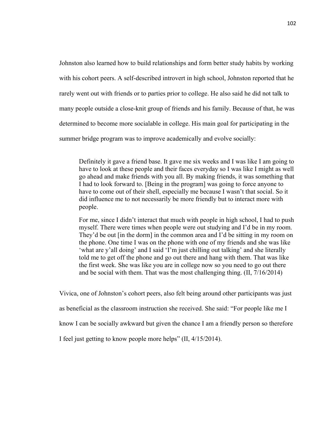Johnston also learned how to build relationships and form better study habits by working with his cohort peers. A self-described introvert in high school, Johnston reported that he rarely went out with friends or to parties prior to college. He also said he did not talk to many people outside a close-knit group of friends and his family. Because of that, he was determined to become more socialable in college. His main goal for participating in the summer bridge program was to improve academically and evolve socially:

 Definitely it gave a friend base. It gave me six weeks and I was like I am going to have to look at these people and their faces everyday so I was like I might as well go ahead and make friends with you all. By making friends, it was something that I had to look forward to. [Being in the program] was going to force anyone to have to come out of their shell, especially me because I wasn't that social. So it did influence me to not necessarily be more friendly but to interact more with people.

 For me, since I didn't interact that much with people in high school, I had to push myself. There were times when people were out studying and I'd be in my room. They'd be out [in the dorm] in the common area and I'd be sitting in my room on the phone. One time I was on the phone with one of my friends and she was like 'what are y'all doing' and I said 'I'm just chilling out talking' and she literally told me to get off the phone and go out there and hang with them. That was like the first week. She was like you are in college now so you need to go out there and be social with them. That was the most challenging thing. (II, 7/16/2014)

Vivica, one of Johnston's cohort peers, also felt being around other participants was just

as beneficial as the classroom instruction she received. She said: "For people like me I

know I can be socially awkward but given the chance I am a friendly person so therefore

I feel just getting to know people more helps" (II, 4/15/2014).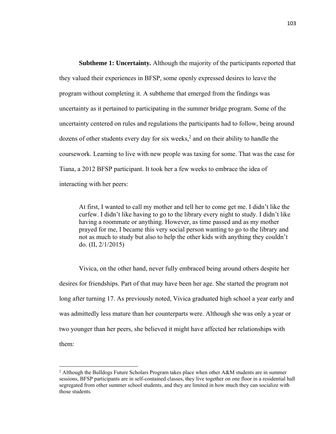**Subtheme 1: Uncertainty***.* Although the majority of the participants reported that they valued their experiences in BFSP, some openly expressed desires to leave the program without completing it. A subtheme that emerged from the findings was uncertainty as it pertained to participating in the summer bridge program. Some of the uncertainty centered on rules and regulations the participants had to follow, being around dozens of other students every day for six weeks, $<sup>2</sup>$  and on their ability to handle the</sup> coursework. Learning to live with new people was taxing for some. That was the case for Tiana, a 2012 BFSP participant. It took her a few weeks to embrace the idea of interacting with her peers:

 At first, I wanted to call my mother and tell her to come get me. I didn't like the curfew. I didn't like having to go to the library every night to study. I didn't like having a roommate or anything. However, as time passed and as my mother prayed for me, I became this very social person wanting to go to the library and not as much to study but also to help the other kids with anything they couldn't do. (II, 2/1/2015)

 Vivica, on the other hand, never fully embraced being around others despite her desires for friendships. Part of that may have been her age. She started the program not long after turning 17. As previously noted, Vivica graduated high school a year early and was admittedly less mature than her counterparts were. Although she was only a year or two younger than her peers, she believed it might have affected her relationships with them:

<sup>&</sup>lt;sup>2</sup> Although the Bulldogs Future Scholars Program takes place when other A&M students are in summer sessions, BFSP participants are in self-contained classes, they live together on one floor in a residential hall segregated from other summer school students, and they are limited in how much they can socialize with those students.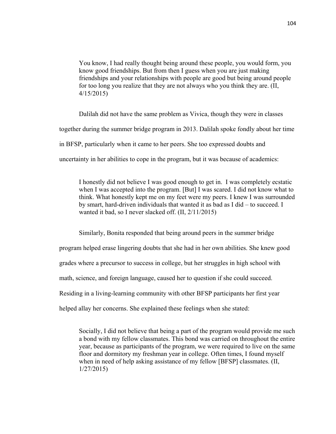You know, I had really thought being around these people, you would form, you know good friendships. But from then I guess when you are just making friendships and your relationships with people are good but being around people for too long you realize that they are not always who you think they are. (II, 4/15/2015)

 Dalilah did not have the same problem as Vivica, though they were in classes together during the summer bridge program in 2013. Dalilah spoke fondly about her time in BFSP, particularly when it came to her peers. She too expressed doubts and uncertainty in her abilities to cope in the program, but it was because of academics:

 I honestly did not believe I was good enough to get in. I was completely ecstatic when I was accepted into the program. [But] I was scared. I did not know what to think. What honestly kept me on my feet were my peers. I knew I was surrounded by smart, hard-driven individuals that wanted it as bad as I did – to succeed. I wanted it bad, so I never slacked off. (II, 2/11/2015)

Similarly, Bonita responded that being around peers in the summer bridge

program helped erase lingering doubts that she had in her own abilities. She knew good

grades where a precursor to success in college, but her struggles in high school with

math, science, and foreign language, caused her to question if she could succeed.

Residing in a living-learning community with other BFSP participants her first year

helped allay her concerns. She explained these feelings when she stated:

 Socially, I did not believe that being a part of the program would provide me such a bond with my fellow classmates. This bond was carried on throughout the entire year, because as participants of the program, we were required to live on the same floor and dormitory my freshman year in college. Often times, I found myself when in need of help asking assistance of my fellow [BFSP] classmates. (II, 1/27/2015)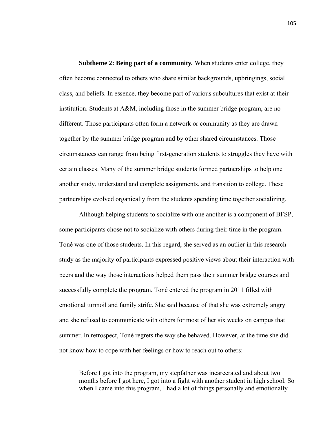**Subtheme 2: Being part of a community***.* When students enter college, they often become connected to others who share similar backgrounds, upbringings, social class, and beliefs. In essence, they become part of various subcultures that exist at their institution. Students at A&M, including those in the summer bridge program, are no different. Those participants often form a network or community as they are drawn together by the summer bridge program and by other shared circumstances. Those circumstances can range from being first-generation students to struggles they have with certain classes. Many of the summer bridge students formed partnerships to help one another study, understand and complete assignments, and transition to college. These partnerships evolved organically from the students spending time together socializing.

 Although helping students to socialize with one another is a component of BFSP, some participants chose not to socialize with others during their time in the program. Toné was one of those students. In this regard, she served as an outlier in this research study as the majority of participants expressed positive views about their interaction with peers and the way those interactions helped them pass their summer bridge courses and successfully complete the program. Toné entered the program in 2011 filled with emotional turmoil and family strife. She said because of that she was extremely angry and she refused to communicate with others for most of her six weeks on campus that summer. In retrospect, Toné regrets the way she behaved. However, at the time she did not know how to cope with her feelings or how to reach out to others:

 Before I got into the program, my stepfather was incarcerated and about two months before I got here, I got into a fight with another student in high school. So when I came into this program, I had a lot of things personally and emotionally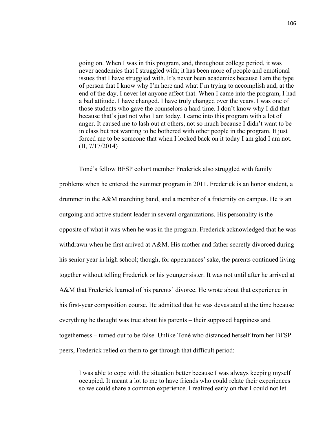going on. When I was in this program, and, throughout college period, it was never academics that I struggled with; it has been more of people and emotional issues that I have struggled with. It's never been academics because I am the type of person that I know why I'm here and what I'm trying to accomplish and, at the end of the day, I never let anyone affect that. When I came into the program, I had a bad attitude. I have changed. I have truly changed over the years. I was one of those students who gave the counselors a hard time. I don't know why I did that because that's just not who I am today. I came into this program with a lot of anger. It caused me to lash out at others, not so much because I didn't want to be in class but not wanting to be bothered with other people in the program. It just forced me to be someone that when I looked back on it today I am glad I am not. (II, 7/17/2014)

 Toné's fellow BFSP cohort member Frederick also struggled with family problems when he entered the summer program in 2011. Frederick is an honor student, a drummer in the A&M marching band, and a member of a fraternity on campus. He is an outgoing and active student leader in several organizations. His personality is the opposite of what it was when he was in the program. Frederick acknowledged that he was withdrawn when he first arrived at A&M. His mother and father secretly divorced during his senior year in high school; though, for appearances' sake, the parents continued living together without telling Frederick or his younger sister. It was not until after he arrived at A&M that Frederick learned of his parents' divorce. He wrote about that experience in his first-year composition course. He admitted that he was devastated at the time because everything he thought was true about his parents – their supposed happiness and togetherness – turned out to be false. Unlike Toné who distanced herself from her BFSP peers, Frederick relied on them to get through that difficult period:

 I was able to cope with the situation better because I was always keeping myself occupied. It meant a lot to me to have friends who could relate their experiences so we could share a common experience. I realized early on that I could not let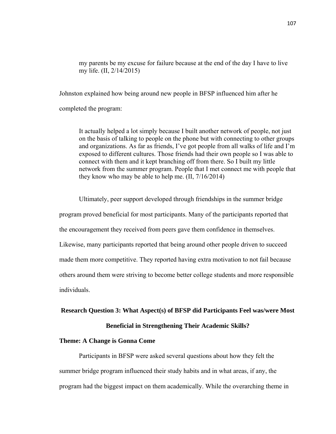my parents be my excuse for failure because at the end of the day I have to live my life. (II, 2/14/2015)

Johnston explained how being around new people in BFSP influenced him after he completed the program:

 It actually helped a lot simply because I built another network of people, not just on the basis of talking to people on the phone but with connecting to other groups and organizations. As far as friends, I've got people from all walks of life and I'm exposed to different cultures. Those friends had their own people so I was able to connect with them and it kept branching off from there. So I built my little network from the summer program. People that I met connect me with people that they know who may be able to help me. (II, 7/16/2014)

 Ultimately, peer support developed through friendships in the summer bridge program proved beneficial for most participants. Many of the participants reported that the encouragement they received from peers gave them confidence in themselves. Likewise, many participants reported that being around other people driven to succeed made them more competitive. They reported having extra motivation to not fail because others around them were striving to become better college students and more responsible individuals.

# **Research Question 3: What Aspect(s) of BFSP did Participants Feel was/were Most Beneficial in Strengthening Their Academic Skills?**

### **Theme: A Change is Gonna Come**

 Participants in BFSP were asked several questions about how they felt the summer bridge program influenced their study habits and in what areas, if any, the program had the biggest impact on them academically. While the overarching theme in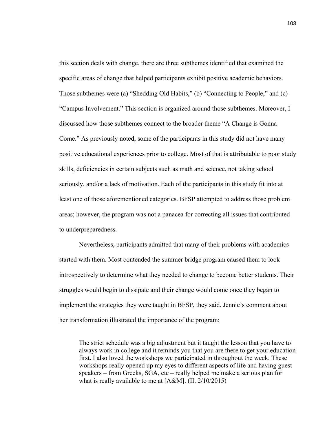this section deals with change, there are three subthemes identified that examined the specific areas of change that helped participants exhibit positive academic behaviors. Those subthemes were (a) "Shedding Old Habits," (b) "Connecting to People," and (c) "Campus Involvement." This section is organized around those subthemes. Moreover, I discussed how those subthemes connect to the broader theme "A Change is Gonna Come." As previously noted, some of the participants in this study did not have many positive educational experiences prior to college. Most of that is attributable to poor study skills, deficiencies in certain subjects such as math and science, not taking school seriously, and/or a lack of motivation. Each of the participants in this study fit into at least one of those aforementioned categories. BFSP attempted to address those problem areas; however, the program was not a panacea for correcting all issues that contributed to underpreparedness.

 Nevertheless, participants admitted that many of their problems with academics started with them. Most contended the summer bridge program caused them to look introspectively to determine what they needed to change to become better students. Their struggles would begin to dissipate and their change would come once they began to implement the strategies they were taught in BFSP, they said. Jennie's comment about her transformation illustrated the importance of the program:

 The strict schedule was a big adjustment but it taught the lesson that you have to always work in college and it reminds you that you are there to get your education first. I also loved the workshops we participated in throughout the week. These workshops really opened up my eyes to different aspects of life and having guest speakers – from Greeks, SGA, etc – really helped me make a serious plan for what is really available to me at [A&M]. (II, 2/10/2015)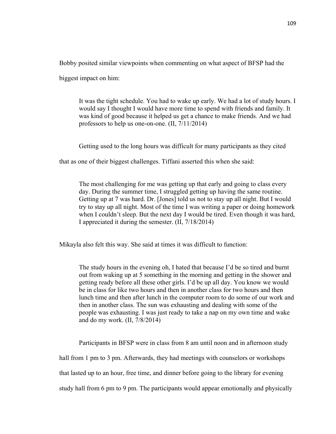Bobby posited similar viewpoints when commenting on what aspect of BFSP had the

biggest impact on him:

 It was the tight schedule. You had to wake up early. We had a lot of study hours. I would say I thought I would have more time to spend with friends and family. It was kind of good because it helped us get a chance to make friends. And we had professors to help us one-on-one. (II, 7/11/2014)

Getting used to the long hours was difficult for many participants as they cited

that as one of their biggest challenges. Tiffani asserted this when she said:

 The most challenging for me was getting up that early and going to class every day. During the summer time, I struggled getting up having the same routine. Getting up at 7 was hard. Dr. [Jones] told us not to stay up all night. But I would try to stay up all night. Most of the time I was writing a paper or doing homework when I couldn't sleep. But the next day I would be tired. Even though it was hard, I appreciated it during the semester. (II, 7/18/2014)

Mikayla also felt this way. She said at times it was difficult to function:

 The study hours in the evening oh, I hated that because I'd be so tired and burnt out from waking up at 5 something in the morning and getting in the shower and getting ready before all these other girls. I'd be up all day. You know we would be in class for like two hours and then in another class for two hours and then lunch time and then after lunch in the computer room to do some of our work and then in another class. The sun was exhausting and dealing with some of the people was exhausting. I was just ready to take a nap on my own time and wake and do my work. (II, 7/8/2014)

 Participants in BFSP were in class from 8 am until noon and in afternoon study hall from 1 pm to 3 pm. Afterwards, they had meetings with counselors or workshops that lasted up to an hour, free time, and dinner before going to the library for evening study hall from 6 pm to 9 pm. The participants would appear emotionally and physically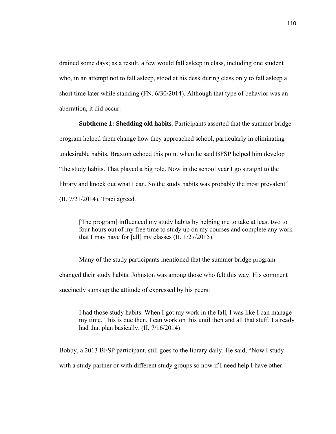drained some days; as a result, a few would fall asleep in class, including one student who, in an attempt not to fall asleep, stood at his desk during class only to fall asleep a short time later while standing (FN, 6/30/2014). Although that type of behavior was an aberration, it did occur.

 **Subtheme 1: Shedding old habits***.* Participants asserted that the summer bridge program helped them change how they approached school, particularly in eliminating undesirable habits. Braxton echoed this point when he said BFSP helped him develop "the study habits. That played a big role. Now in the school year I go straight to the library and knock out what I can. So the study habits was probably the most prevalent" (II, 7/21/2014). Traci agreed.

 [The program] influenced my study habits by helping me to take at least two to four hours out of my free time to study up on my courses and complete any work that I may have for [all] my classes  $(II, 1/27/2015)$ .

 Many of the study participants mentioned that the summer bridge program changed their study habits. Johnston was among those who felt this way. His comment succinctly sums up the attitude of expressed by his peers:

 I had those study habits. When I got my work in the fall, I was like I can manage my time. This is due then. I can work on this until then and all that stuff. I already had that plan basically. (II, 7/16/2014)

Bobby, a 2013 BFSP participant, still goes to the library daily. He said, "Now I study with a study partner or with different study groups so now if I need help I have other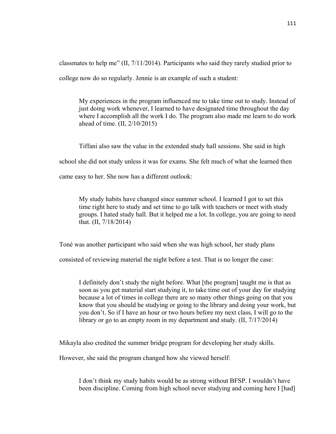classmates to help me" (II, 7/11/2014). Participants who said they rarely studied prior to college now do so regularly. Jennie is an example of such a student:

 My experiences in the program influenced me to take time out to study. Instead of just doing work whenever, I learned to have designated time throughout the day where I accomplish all the work I do. The program also made me learn to do work ahead of time. (II, 2/10/2015)

Tiffani also saw the value in the extended study hall sessions. She said in high

school she did not study unless it was for exams. She felt much of what she learned then

came easy to her. She now has a different outlook:

 My study habits have changed since summer school. I learned I got to set this time right here to study and set time to go talk with teachers or meet with study groups. I hated study hall. But it helped me a lot. In college, you are going to need that. (II, 7/18/2014)

Toné was another participant who said when she was high school, her study plans

consisted of reviewing material the night before a test. That is no longer the case:

 I definitely don't study the night before. What [the program] taught me is that as soon as you get material start studying it, to take time out of your day for studying because a lot of times in college there are so many other things going on that you know that you should be studying or going to the library and doing your work, but you don't. So if I have an hour or two hours before my next class, I will go to the library or go to an empty room in my department and study. (II, 7/17/2014)

Mikayla also credited the summer bridge program for developing her study skills.

However, she said the program changed how she viewed herself:

I don't think my study habits would be as strong without BFSP. I wouldn't have been discipline. Coming from high school never studying and coming here I [had]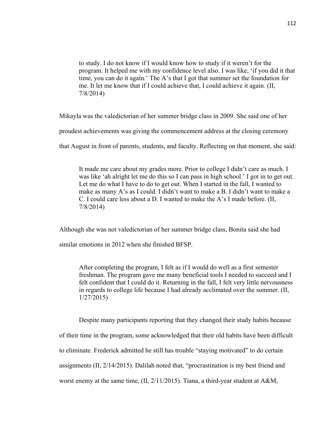to study. I do not know if I would know how to study if it weren't for the program. It helped me with my confidence level also. I was like, 'if you did it that time, you can do it again.' The A's that I got that summer set the foundation for me. It let me know that if I could achieve that, I could achieve it again. (II, 7/8/2014)

Mikayla was the valedictorian of her summer bridge class in 2009. She said one of her

proudest achievements was giving the commencement address at the closing ceremony

that August in front of parents, students, and faculty. Reflecting on that moment, she said:

 It made me care about my grades more. Prior to college I didn't care as much. I was like 'ah alright let me do this so I can pass in high school.' I got in to get out. Let me do what I have to do to get out. When I started in the fall, I wanted to make as many A's as I could. I didn't want to make a B. I didn't want to make a C. I could care less about a D. I wanted to make the A's I made before. (II, 7/8/2014)

Although she was not valedictorian of her summer bridge class, Bonita said she had

similar emotions in 2012 when she finished BFSP.

 After completing the program, I felt as if I would do well as a first semester freshman. The program gave me many beneficial tools I needed to succeed and I felt confident that I could do it. Returning in the fall, I felt very little nervousness in regards to college life because I had already acclimated over the summer. (II, 1/27/2015)

Despite many participants reporting that they changed their study habits because of their time in the program, some acknowledged that their old habits have been difficult to eliminate. Frederick admitted he still has trouble "staying motivated" to do certain assignments (II, 2/14/2015). Dalilah noted that, "procrastination is my best friend and worst enemy at the same time,  $(II, 2/11/2015)$ . Tiana, a third-year student at A&M,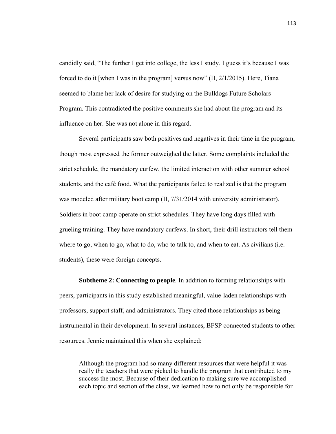candidly said, "The further I get into college, the less I study. I guess it's because I was forced to do it [when I was in the program] versus now" (II, 2/1/2015). Here, Tiana seemed to blame her lack of desire for studying on the Bulldogs Future Scholars Program. This contradicted the positive comments she had about the program and its influence on her. She was not alone in this regard.

Several participants saw both positives and negatives in their time in the program, though most expressed the former outweighed the latter. Some complaints included the strict schedule, the mandatory curfew, the limited interaction with other summer school students, and the café food. What the participants failed to realized is that the program was modeled after military boot camp (II, 7/31/2014 with university administrator). Soldiers in boot camp operate on strict schedules. They have long days filled with grueling training. They have mandatory curfews. In short, their drill instructors tell them where to go, when to go, what to do, who to talk to, and when to eat. As civilians (i.e. students), these were foreign concepts.

**Subtheme 2: Connecting to people***.* In addition to forming relationships with peers, participants in this study established meaningful, value-laden relationships with professors, support staff, and administrators. They cited those relationships as being instrumental in their development. In several instances, BFSP connected students to other resources. Jennie maintained this when she explained:

 Although the program had so many different resources that were helpful it was really the teachers that were picked to handle the program that contributed to my success the most. Because of their dedication to making sure we accomplished each topic and section of the class, we learned how to not only be responsible for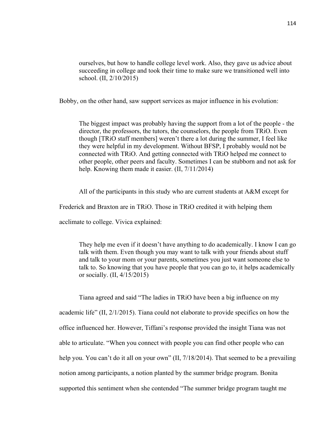ourselves, but how to handle college level work. Also, they gave us advice about succeeding in college and took their time to make sure we transitioned well into school. (II, 2/10/2015)

Bobby, on the other hand, saw support services as major influence in his evolution:

 The biggest impact was probably having the support from a lot of the people - the director, the professors, the tutors, the counselors, the people from TRiO. Even though [TRiO staff members] weren't there a lot during the summer, I feel like they were helpful in my development. Without BFSP, I probably would not be connected with TRiO. And getting connected with TRiO helped me connect to other people, other peers and faculty. Sometimes I can be stubborn and not ask for help. Knowing them made it easier. (II, 7/11/2014)

All of the participants in this study who are current students at A&M except for Frederick and Braxton are in TRiO. Those in TRiO credited it with helping them acclimate to college. Vivica explained:

 They help me even if it doesn't have anything to do academically. I know I can go talk with them. Even though you may want to talk with your friends about stuff and talk to your mom or your parents, sometimes you just want someone else to talk to. So knowing that you have people that you can go to, it helps academically or socially. (II, 4/15/2015)

 Tiana agreed and said "The ladies in TRiO have been a big influence on my academic life" (II, 2/1/2015). Tiana could not elaborate to provide specifics on how the office influenced her. However, Tiffani's response provided the insight Tiana was not able to articulate. "When you connect with people you can find other people who can help you. You can't do it all on your own" (II, 7/18/2014). That seemed to be a prevailing notion among participants, a notion planted by the summer bridge program. Bonita supported this sentiment when she contended "The summer bridge program taught me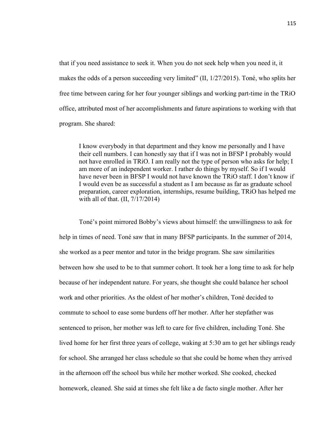that if you need assistance to seek it. When you do not seek help when you need it, it makes the odds of a person succeeding very limited" (II, 1/27/2015). Toné, who splits her free time between caring for her four younger siblings and working part-time in the TRiO office, attributed most of her accomplishments and future aspirations to working with that program. She shared:

 I know everybody in that department and they know me personally and I have their cell numbers. I can honestly say that if I was not in BFSP I probably would not have enrolled in TRiO. I am really not the type of person who asks for help; I am more of an independent worker. I rather do things by myself. So if I would have never been in BFSP I would not have known the TRiO staff. I don't know if I would even be as successful a student as I am because as far as graduate school preparation, career exploration, internships, resume building, TRiO has helped me with all of that. (II, 7/17/2014)

 Toné's point mirrored Bobby's views about himself: the unwillingness to ask for help in times of need. Toné saw that in many BFSP participants. In the summer of 2014, she worked as a peer mentor and tutor in the bridge program. She saw similarities between how she used to be to that summer cohort. It took her a long time to ask for help because of her independent nature. For years, she thought she could balance her school work and other priorities. As the oldest of her mother's children, Toné decided to commute to school to ease some burdens off her mother. After her stepfather was sentenced to prison, her mother was left to care for five children, including Toné. She lived home for her first three years of college, waking at 5:30 am to get her siblings ready for school. She arranged her class schedule so that she could be home when they arrived in the afternoon off the school bus while her mother worked. She cooked, checked homework, cleaned. She said at times she felt like a de facto single mother. After her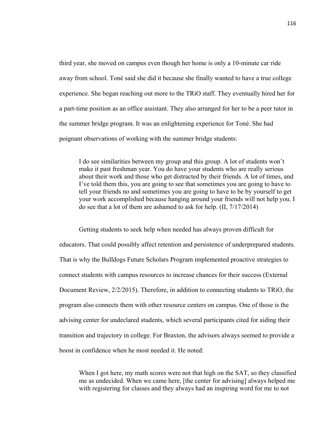third year, she moved on campus even though her home is only a 10-minute car ride away from school. Toné said she did it because she finally wanted to have a true college experience. She began reaching out more to the TRiO staff. They eventually hired her for a part-time position as an office assistant. They also arranged for her to be a peer tutor in the summer bridge program. It was an enlightening experience for Toné. She had poignant observations of working with the summer bridge students:

I do see similarities between my group and this group. A lot of students won't make it past freshman year. You do have your students who are really serious about their work and those who get distracted by their friends. A lot of times, and I've told them this, you are going to see that sometimes you are going to have to tell your friends no and sometimes you are going to have to be by yourself to get your work accomplished because hanging around your friends will not help you. I do see that a lot of them are ashamed to ask for help. (II, 7/17/2014)

 Getting students to seek help when needed has always proven difficult for educators. That could possibly affect retention and persistence of underprepared students. That is why the Bulldogs Future Scholars Program implemented proactive strategies to connect students with campus resources to increase chances for their success (External Document Review, 2/2/2015). Therefore, in addition to connecting students to TRiO, the program also connects them with other resource centers on campus. One of those is the advising center for undeclared students, which several participants cited for aiding their transition and trajectory in college. For Braxton, the advisors always seemed to provide a boost in confidence when he most needed it. He noted:

When I got here, my math scores were not that high on the SAT, so they classified me as undecided. When we came here, [the center for advising] always helped me with registering for classes and they always had an inspiring word for me to not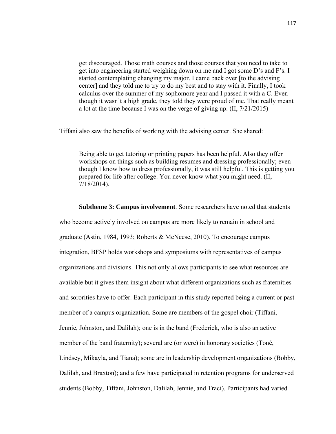get discouraged. Those math courses and those courses that you need to take to get into engineering started weighing down on me and I got some D's and F's. I started contemplating changing my major. I came back over [to the advising center] and they told me to try to do my best and to stay with it. Finally, I took calculus over the summer of my sophomore year and I passed it with a C. Even though it wasn't a high grade, they told they were proud of me. That really meant a lot at the time because I was on the verge of giving up. (II, 7/21/2015)

Tiffani also saw the benefits of working with the advising center. She shared:

 Being able to get tutoring or printing papers has been helpful. Also they offer workshops on things such as building resumes and dressing professionally; even though I know how to dress professionally, it was still helpful. This is getting you prepared for life after college. You never know what you might need. (II, 7/18/2014).

 **Subtheme 3: Campus involvement**. Some researchers have noted that students who become actively involved on campus are more likely to remain in school and graduate (Astin, 1984, 1993; Roberts & McNeese, 2010). To encourage campus integration, BFSP holds workshops and symposiums with representatives of campus organizations and divisions. This not only allows participants to see what resources are available but it gives them insight about what different organizations such as fraternities and sororities have to offer. Each participant in this study reported being a current or past member of a campus organization. Some are members of the gospel choir (Tiffani, Jennie, Johnston, and Dalilah); one is in the band (Frederick, who is also an active member of the band fraternity); several are (or were) in honorary societies (Toné, Lindsey, Mikayla, and Tiana); some are in leadership development organizations (Bobby, Dalilah, and Braxton); and a few have participated in retention programs for underserved students (Bobby, Tiffani, Johnston, Dalilah, Jennie, and Traci). Participants had varied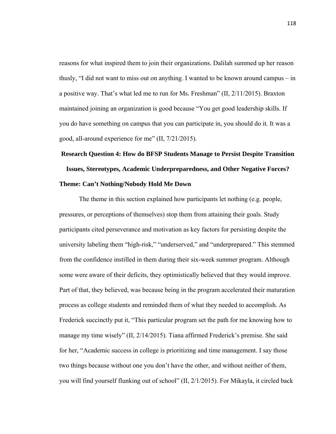reasons for what inspired them to join their organizations. Dalilah summed up her reason thusly, "I did not want to miss out on anything. I wanted to be known around campus – in a positive way. That's what led me to run for Ms. Freshman" (II, 2/11/2015). Braxton maintained joining an organization is good because "You get good leadership skills. If you do have something on campus that you can participate in, you should do it. It was a good, all-around experience for me" (II, 7/21/2015).

# **Research Question 4: How do BFSP Students Manage to Persist Despite Transition Issues, Stereotypes, Academic Underpreparedness, and Other Negative Forces? Theme: Can't Nothing/Nobody Hold Me Down**

 The theme in this section explained how participants let nothing (e.g. people, pressures, or perceptions of themselves) stop them from attaining their goals. Study participants cited perseverance and motivation as key factors for persisting despite the university labeling them "high-risk," "underserved," and "underprepared." This stemmed from the confidence instilled in them during their six-week summer program. Although some were aware of their deficits, they optimistically believed that they would improve. Part of that, they believed, was because being in the program accelerated their maturation process as college students and reminded them of what they needed to accomplish. As Frederick succinctly put it, "This particular program set the path for me knowing how to manage my time wisely" (II, 2/14/2015). Tiana affirmed Frederick's premise. She said for her, "Academic success in college is prioritizing and time management. I say those two things because without one you don't have the other, and without neither of them, you will find yourself flunking out of school" (II, 2/1/2015). For Mikayla, it circled back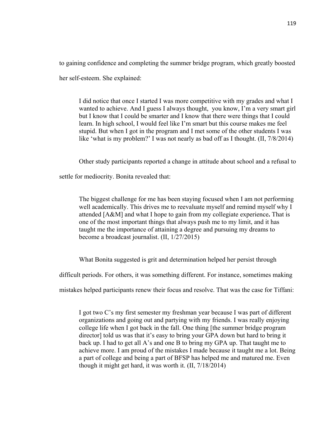to gaining confidence and completing the summer bridge program, which greatly boosted her self-esteem. She explained:

 I did notice that once I started I was more competitive with my grades and what I wanted to achieve. And I guess I always thought, you know, I'm a very smart girl but I know that I could be smarter and I know that there were things that I could learn. In high school, I would feel like I'm smart but this course makes me feel stupid. But when I got in the program and I met some of the other students I was like 'what is my problem?' I was not nearly as bad off as I thought. (II, 7/8/2014)

Other study participants reported a change in attitude about school and a refusal to

settle for mediocrity. Bonita revealed that:

 The biggest challenge for me has been staying focused when I am not performing well academically. This drives me to reevaluate myself and remind myself why I attended [A&M] and what I hope to gain from my collegiate experience**.** That is one of the most important things that always push me to my limit, and it has taught me the importance of attaining a degree and pursuing my dreams to become a broadcast journalist. (II, 1/27/2015)

What Bonita suggested is grit and determination helped her persist through

difficult periods. For others, it was something different. For instance, sometimes making

mistakes helped participants renew their focus and resolve. That was the case for Tiffani:

 I got two C's my first semester my freshman year because I was part of different organizations and going out and partying with my friends. I was really enjoying college life when I got back in the fall. One thing [the summer bridge program director] told us was that it's easy to bring your GPA down but hard to bring it back up. I had to get all A's and one B to bring my GPA up. That taught me to achieve more. I am proud of the mistakes I made because it taught me a lot. Being a part of college and being a part of BFSP has helped me and matured me. Even though it might get hard, it was worth it. (II, 7/18/2014)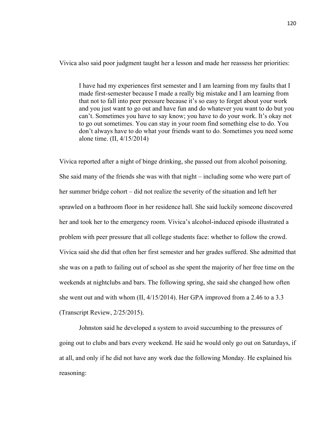Vivica also said poor judgment taught her a lesson and made her reassess her priorities:

 I have had my experiences first semester and I am learning from my faults that I made first-semester because I made a really big mistake and I am learning from that not to fall into peer pressure because it's so easy to forget about your work and you just want to go out and have fun and do whatever you want to do but you can't. Sometimes you have to say know; you have to do your work. It's okay not to go out sometimes. You can stay in your room find something else to do. You don't always have to do what your friends want to do. Sometimes you need some alone time. (II, 4/15/2014)

Vivica reported after a night of binge drinking, she passed out from alcohol poisoning. She said many of the friends she was with that night – including some who were part of her summer bridge cohort – did not realize the severity of the situation and left her sprawled on a bathroom floor in her residence hall. She said luckily someone discovered her and took her to the emergency room. Vivica's alcohol-induced episode illustrated a problem with peer pressure that all college students face: whether to follow the crowd. Vivica said she did that often her first semester and her grades suffered. She admitted that she was on a path to failing out of school as she spent the majority of her free time on the weekends at nightclubs and bars. The following spring, she said she changed how often she went out and with whom (II, 4/15/2014). Her GPA improved from a 2.46 to a 3.3 (Transcript Review, 2/25/2015).

 Johnston said he developed a system to avoid succumbing to the pressures of going out to clubs and bars every weekend. He said he would only go out on Saturdays, if at all, and only if he did not have any work due the following Monday. He explained his reasoning: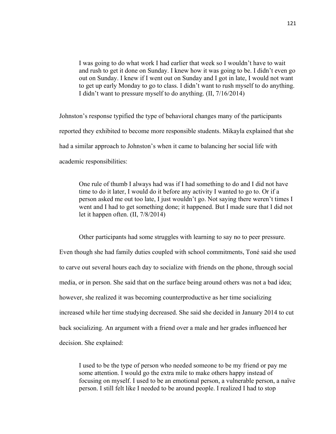I was going to do what work I had earlier that week so I wouldn't have to wait and rush to get it done on Sunday. I knew how it was going to be. I didn't even go out on Sunday. I knew if I went out on Sunday and I got in late, I would not want to get up early Monday to go to class. I didn't want to rush myself to do anything. I didn't want to pressure myself to do anything. (II, 7/16/2014)

Johnston's response typified the type of behavioral changes many of the participants reported they exhibited to become more responsible students. Mikayla explained that she had a similar approach to Johnston's when it came to balancing her social life with academic responsibilities:

 One rule of thumb I always had was if I had something to do and I did not have time to do it later, I would do it before any activity I wanted to go to. Or if a person asked me out too late, I just wouldn't go. Not saying there weren't times I went and I had to get something done; it happened. But I made sure that I did not let it happen often. (II, 7/8/2014)

 Other participants had some struggles with learning to say no to peer pressure. Even though she had family duties coupled with school commitments, Toné said she used to carve out several hours each day to socialize with friends on the phone, through social media, or in person. She said that on the surface being around others was not a bad idea; however, she realized it was becoming counterproductive as her time socializing increased while her time studying decreased. She said she decided in January 2014 to cut back socializing. An argument with a friend over a male and her grades influenced her decision. She explained:

I used to be the type of person who needed someone to be my friend or pay me some attention. I would go the extra mile to make others happy instead of focusing on myself. I used to be an emotional person, a vulnerable person, a naïve person. I still felt like I needed to be around people. I realized I had to stop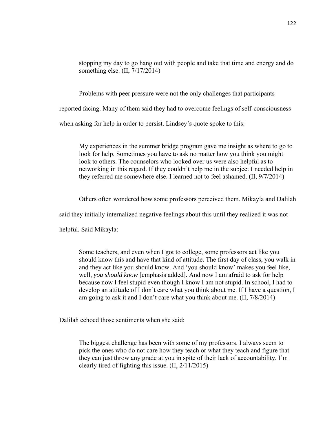stopping my day to go hang out with people and take that time and energy and do something else. (II, 7/17/2014)

Problems with peer pressure were not the only challenges that participants

reported facing. Many of them said they had to overcome feelings of self-consciousness

when asking for help in order to persist. Lindsey's quote spoke to this:

 My experiences in the summer bridge program gave me insight as where to go to look for help. Sometimes you have to ask no matter how you think you might look to others. The counselors who looked over us were also helpful as to networking in this regard. If they couldn't help me in the subject I needed help in they referred me somewhere else. I learned not to feel ashamed. (II, 9/7/2014)

Others often wondered how some professors perceived them. Mikayla and Dalilah

said they initially internalized negative feelings about this until they realized it was not

helpful. Said Mikayla:

 Some teachers, and even when I got to college, some professors act like you should know this and have that kind of attitude. The first day of class, you walk in and they act like you should know. And 'you should know' makes you feel like, well, *you should know* [emphasis added]. And now I am afraid to ask for help because now I feel stupid even though I know I am not stupid. In school, I had to develop an attitude of I don't care what you think about me. If I have a question, I am going to ask it and I don't care what you think about me. (II, 7/8/2014)

Dalilah echoed those sentiments when she said:

 The biggest challenge has been with some of my professors. I always seem to pick the ones who do not care how they teach or what they teach and figure that they can just throw any grade at you in spite of their lack of accountability. I'm clearly tired of fighting this issue. (II, 2/11/2015)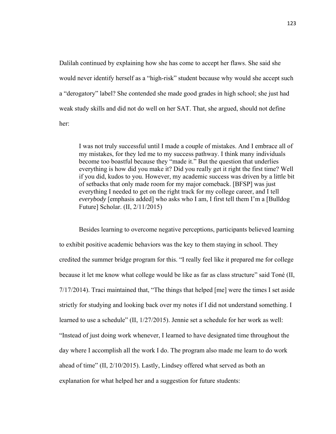Dalilah continued by explaining how she has come to accept her flaws. She said she would never identify herself as a "high-risk" student because why would she accept such a "derogatory" label? She contended she made good grades in high school; she just had weak study skills and did not do well on her SAT. That, she argued, should not define her:

I was not truly successful until I made a couple of mistakes. And I embrace all of my mistakes, for they led me to my success pathway. I think many individuals become too boastful because they "made it." But the question that underlies everything is how did you make it? Did you really get it right the first time? Well if you did, kudos to you. However, my academic success was driven by a little bit of setbacks that only made room for my major comeback. [BFSP] was just everything I needed to get on the right track for my college career, and I tell *everybody* [emphasis added] who asks who I am, I first tell them I'm a [Bulldog Future] Scholar. (II, 2/11/2015)

 Besides learning to overcome negative perceptions, participants believed learning to exhibit positive academic behaviors was the key to them staying in school. They credited the summer bridge program for this. "I really feel like it prepared me for college because it let me know what college would be like as far as class structure" said Toné (II, 7/17/2014). Traci maintained that, "The things that helped [me] were the times I set aside strictly for studying and looking back over my notes if I did not understand something. I learned to use a schedule" (II, 1/27/2015). Jennie set a schedule for her work as well: "Instead of just doing work whenever, I learned to have designated time throughout the day where I accomplish all the work I do. The program also made me learn to do work ahead of time" (II, 2/10/2015). Lastly, Lindsey offered what served as both an explanation for what helped her and a suggestion for future students: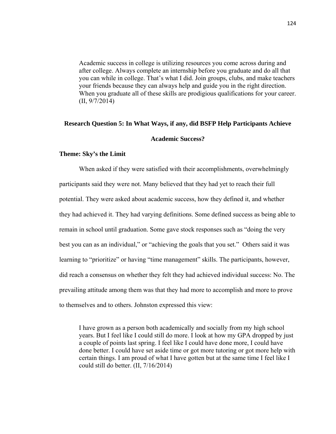Academic success in college is utilizing resources you come across during and after college. Always complete an internship before you graduate and do all that you can while in college. That's what I did. Join groups, clubs, and make teachers your friends because they can always help and guide you in the right direction. When you graduate all of these skills are prodigious qualifications for your career. (II, 9/7/2014)

### **Research Question 5: In What Ways, if any, did BSFP Help Participants Achieve Academic Success?**

### **Theme: Sky's the Limit**

 When asked if they were satisfied with their accomplishments, overwhelmingly participants said they were not. Many believed that they had yet to reach their full potential. They were asked about academic success, how they defined it, and whether they had achieved it. They had varying definitions. Some defined success as being able to remain in school until graduation. Some gave stock responses such as "doing the very best you can as an individual," or "achieving the goals that you set." Others said it was learning to "prioritize" or having "time management" skills. The participants, however, did reach a consensus on whether they felt they had achieved individual success: No. The prevailing attitude among them was that they had more to accomplish and more to prove to themselves and to others. Johnston expressed this view:

 I have grown as a person both academically and socially from my high school years. But I feel like I could still do more. I look at how my GPA dropped by just a couple of points last spring. I feel like I could have done more, I could have done better. I could have set aside time or got more tutoring or got more help with certain things. I am proud of what I have gotten but at the same time I feel like I could still do better. (II, 7/16/2014)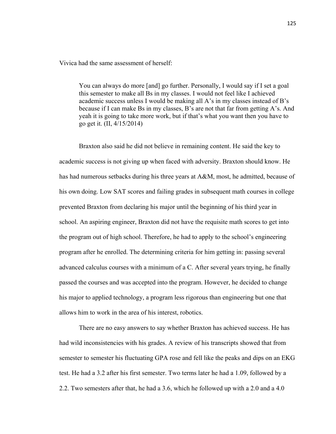Vivica had the same assessment of herself:

 You can always do more [and] go further. Personally, I would say if I set a goal this semester to make all Bs in my classes. I would not feel like I achieved academic success unless I would be making all A's in my classes instead of B's because if I can make Bs in my classes, B's are not that far from getting A's. And yeah it is going to take more work, but if that's what you want then you have to go get it. (II, 4/15/2014)

 Braxton also said he did not believe in remaining content. He said the key to academic success is not giving up when faced with adversity. Braxton should know. He has had numerous setbacks during his three years at A&M, most, he admitted, because of his own doing. Low SAT scores and failing grades in subsequent math courses in college prevented Braxton from declaring his major until the beginning of his third year in school. An aspiring engineer, Braxton did not have the requisite math scores to get into the program out of high school. Therefore, he had to apply to the school's engineering program after he enrolled. The determining criteria for him getting in: passing several advanced calculus courses with a minimum of a C. After several years trying, he finally passed the courses and was accepted into the program. However, he decided to change his major to applied technology, a program less rigorous than engineering but one that allows him to work in the area of his interest, robotics.

 There are no easy answers to say whether Braxton has achieved success. He has had wild inconsistencies with his grades. A review of his transcripts showed that from semester to semester his fluctuating GPA rose and fell like the peaks and dips on an EKG test. He had a 3.2 after his first semester. Two terms later he had a 1.09, followed by a 2.2. Two semesters after that, he had a 3.6, which he followed up with a 2.0 and a 4.0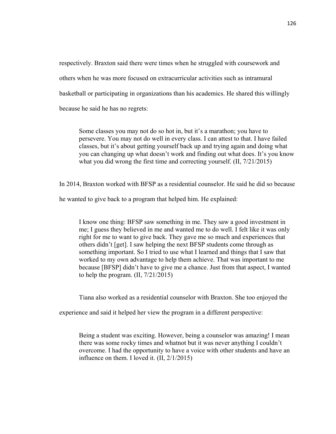respectively. Braxton said there were times when he struggled with coursework and others when he was more focused on extracurricular activities such as intramural basketball or participating in organizations than his academics. He shared this willingly because he said he has no regrets:

 Some classes you may not do so hot in, but it's a marathon; you have to persevere. You may not do well in every class. I can attest to that. I have failed classes, but it's about getting yourself back up and trying again and doing what you can changing up what doesn't work and finding out what does. It's you know what you did wrong the first time and correcting yourself. (II,  $7/21/2015$ )

In 2014, Braxton worked with BFSP as a residential counselor. He said he did so because

he wanted to give back to a program that helped him. He explained:

 I know one thing: BFSP saw something in me. They saw a good investment in me; I guess they believed in me and wanted me to do well. I felt like it was only right for me to want to give back. They gave me so much and experiences that others didn't [get]. I saw helping the next BFSP students come through as something important. So I tried to use what I learned and things that I saw that worked to my own advantage to help them achieve. That was important to me because [BFSP] didn't have to give me a chance. Just from that aspect, I wanted to help the program.  $(II, 7/21/2015)$ 

Tiana also worked as a residential counselor with Braxton. She too enjoyed the

experience and said it helped her view the program in a different perspective:

 Being a student was exciting. However, being a counselor was amazing! I mean there was some rocky times and whatnot but it was never anything I couldn't overcome. I had the opportunity to have a voice with other students and have an influence on them. I loved it. (II, 2/1/2015)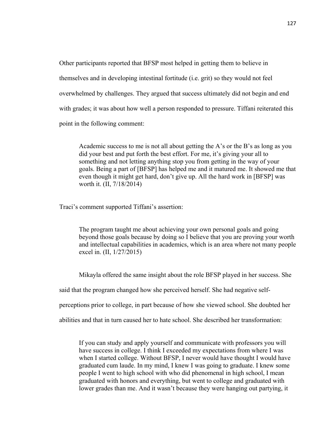Other participants reported that BFSP most helped in getting them to believe in themselves and in developing intestinal fortitude (i.e. grit) so they would not feel overwhelmed by challenges. They argued that success ultimately did not begin and end with grades; it was about how well a person responded to pressure. Tiffani reiterated this point in the following comment:

 Academic success to me is not all about getting the A's or the B's as long as you did your best and put forth the best effort. For me, it's giving your all to something and not letting anything stop you from getting in the way of your goals. Being a part of [BFSP] has helped me and it matured me. It showed me that even though it might get hard, don't give up. All the hard work in [BFSP] was worth it. (II, 7/18/2014)

Traci's comment supported Tiffani's assertion:

 The program taught me about achieving your own personal goals and going beyond those goals because by doing so I believe that you are proving your worth and intellectual capabilities in academics, which is an area where not many people excel in. (II, 1/27/2015)

Mikayla offered the same insight about the role BFSP played in her success. She

said that the program changed how she perceived herself. She had negative self-

perceptions prior to college, in part because of how she viewed school. She doubted her

abilities and that in turn caused her to hate school. She described her transformation:

 If you can study and apply yourself and communicate with professors you will have success in college. I think I exceeded my expectations from where I was when I started college. Without BFSP, I never would have thought I would have graduated cum laude. In my mind, I knew I was going to graduate. I knew some people I went to high school with who did phenomenal in high school, I mean graduated with honors and everything, but went to college and graduated with lower grades than me. And it wasn't because they were hanging out partying, it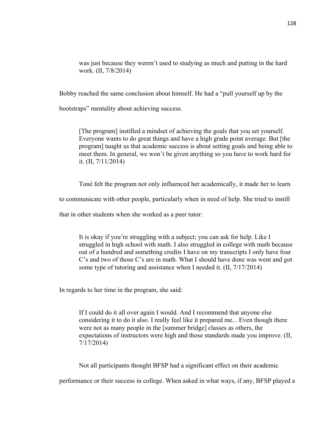was just because they weren't used to studying as much and putting in the hard work. (II, 7/8/2014)

Bobby reached the same conclusion about himself. He had a "pull yourself up by the

bootstraps" mentality about achieving success.

 [The program] instilled a mindset of achieving the goals that you set yourself. Everyone wants to do great things and have a high grade point average. But [the program] taught us that academic success is about setting goals and being able to meet them. In general, we won't be given anything so you have to work hard for it. (II, 7/11/2014)

Toné felt the program not only influenced her academically, it made her to learn

to communicate with other people, particularly when in need of help. She tried to instill

that in other students when she worked as a peer tutor:

 It is okay if you're struggling with a subject; you can ask for help. Like I struggled in high school with math. I also struggled in college with math because out of a hundred and something credits I have on my transcripts I only have four C's and two of those C's are in math. What I should have done was went and got some type of tutoring and assistance when I needed it. (II, 7/17/2014)

In regards to her time in the program, she said:

 If I could do it all over again I would. And I recommend that anyone else considering it to do it also. I really feel like it prepared me... Even though there were not as many people in the [summer bridge] classes as others, the expectations of instructors were high and those standards made you improve. (II, 7/17/2014)

Not all participants thought BFSP had a significant effect on their academic

performance or their success in college. When asked in what ways, if any, BFSP played a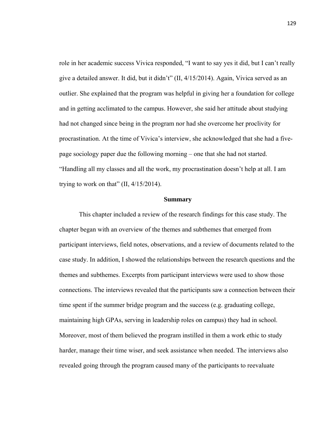role in her academic success Vivica responded, "I want to say yes it did, but I can't really give a detailed answer. It did, but it didn't" (II, 4/15/2014). Again, Vivica served as an outlier. She explained that the program was helpful in giving her a foundation for college and in getting acclimated to the campus. However, she said her attitude about studying had not changed since being in the program nor had she overcome her proclivity for procrastination. At the time of Vivica's interview, she acknowledged that she had a fivepage sociology paper due the following morning – one that she had not started. "Handling all my classes and all the work, my procrastination doesn't help at all. I am trying to work on that"  $(II, 4/15/2014)$ .

#### **Summary**

 This chapter included a review of the research findings for this case study. The chapter began with an overview of the themes and subthemes that emerged from participant interviews, field notes, observations, and a review of documents related to the case study. In addition, I showed the relationships between the research questions and the themes and subthemes. Excerpts from participant interviews were used to show those connections. The interviews revealed that the participants saw a connection between their time spent if the summer bridge program and the success (e.g. graduating college, maintaining high GPAs, serving in leadership roles on campus) they had in school. Moreover, most of them believed the program instilled in them a work ethic to study harder, manage their time wiser, and seek assistance when needed. The interviews also revealed going through the program caused many of the participants to reevaluate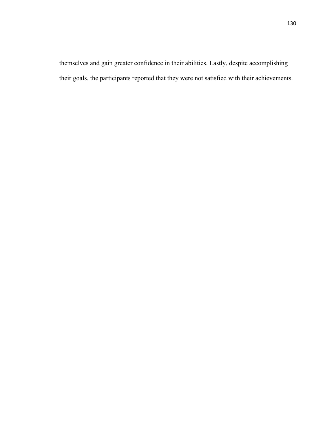themselves and gain greater confidence in their abilities. Lastly, despite accomplishing their goals, the participants reported that they were not satisfied with their achievements.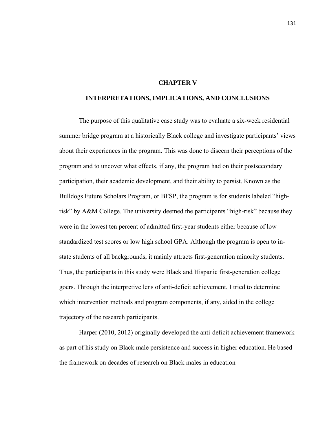### **CHAPTER V**

### **INTERPRETATIONS, IMPLICATIONS, AND CONCLUSIONS**

The purpose of this qualitative case study was to evaluate a six-week residential summer bridge program at a historically Black college and investigate participants' views about their experiences in the program. This was done to discern their perceptions of the program and to uncover what effects, if any, the program had on their postsecondary participation, their academic development, and their ability to persist. Known as the Bulldogs Future Scholars Program, or BFSP, the program is for students labeled "highrisk" by A&M College. The university deemed the participants "high-risk" because they were in the lowest ten percent of admitted first-year students either because of low standardized test scores or low high school GPA. Although the program is open to instate students of all backgrounds, it mainly attracts first-generation minority students. Thus, the participants in this study were Black and Hispanic first-generation college goers. Through the interpretive lens of anti-deficit achievement, I tried to determine which intervention methods and program components, if any, aided in the college trajectory of the research participants.

Harper (2010, 2012) originally developed the anti-deficit achievement framework as part of his study on Black male persistence and success in higher education. He based the framework on decades of research on Black males in education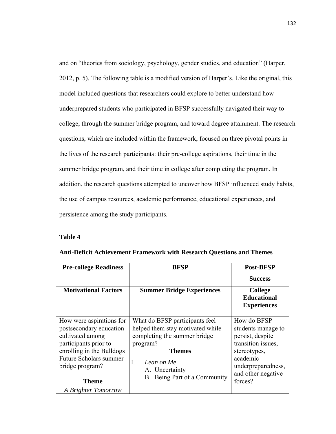and on "theories from sociology, psychology, gender studies, and education" (Harper, 2012, p. 5). The following table is a modified version of Harper's. Like the original, this model included questions that researchers could explore to better understand how underprepared students who participated in BFSP successfully navigated their way to college, through the summer bridge program, and toward degree attainment. The research questions, which are included within the framework, focused on three pivotal points in the lives of the research participants: their pre-college aspirations, their time in the summer bridge program, and their time in college after completing the program. In addition, the research questions attempted to uncover how BFSP influenced study habits, the use of campus resources, academic performance, educational experiences, and persistence among the study participants.

### **Table 4**

| <b>Anti-Deficit Achievement Framework with Research Questions and Themes</b> |  |  |  |  |
|------------------------------------------------------------------------------|--|--|--|--|
|------------------------------------------------------------------------------|--|--|--|--|

| <b>Pre-college Readiness</b>                                                                                                                                                               | <b>BFSP</b>                                                                                                                                                                                           | Post-BFSP                                                                                                                                                      |  |
|--------------------------------------------------------------------------------------------------------------------------------------------------------------------------------------------|-------------------------------------------------------------------------------------------------------------------------------------------------------------------------------------------------------|----------------------------------------------------------------------------------------------------------------------------------------------------------------|--|
|                                                                                                                                                                                            |                                                                                                                                                                                                       | <b>Success</b>                                                                                                                                                 |  |
| <b>Motivational Factors</b>                                                                                                                                                                | <b>Summer Bridge Experiences</b>                                                                                                                                                                      | <b>College</b><br><b>Educational</b><br><b>Experiences</b>                                                                                                     |  |
| How were aspirations for<br>postsecondary education<br>cultivated among<br>participants prior to<br>enrolling in the Bulldogs<br><b>Future Scholars summer</b><br>bridge program?<br>Theme | What do BFSP participants feel<br>helped them stay motivated while<br>completing the summer bridge<br>program?<br><b>Themes</b><br>I.<br>Lean on Me<br>A. Uncertainty<br>B. Being Part of a Community | How do BFSP<br>students manage to<br>persist, despite<br>transition issues,<br>stereotypes,<br>academic<br>underpreparedness,<br>and other negative<br>forces? |  |
| A Brighter Tomorrow                                                                                                                                                                        |                                                                                                                                                                                                       |                                                                                                                                                                |  |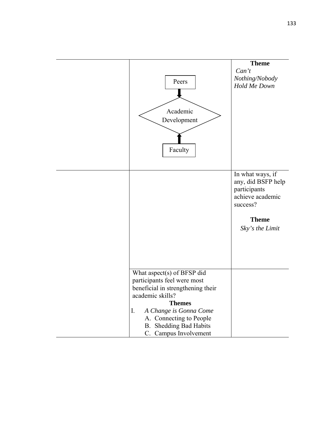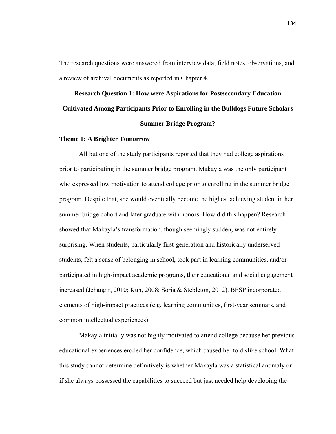The research questions were answered from interview data, field notes, observations, and a review of archival documents as reported in Chapter 4.

# **Research Question 1: How were Aspirations for Postsecondary Education Cultivated Among Participants Prior to Enrolling in the Bulldogs Future Scholars Summer Bridge Program?**

#### **Theme 1: A Brighter Tomorrow**

 All but one of the study participants reported that they had college aspirations prior to participating in the summer bridge program. Makayla was the only participant who expressed low motivation to attend college prior to enrolling in the summer bridge program. Despite that, she would eventually become the highest achieving student in her summer bridge cohort and later graduate with honors. How did this happen? Research showed that Makayla's transformation, though seemingly sudden, was not entirely surprising. When students, particularly first-generation and historically underserved students, felt a sense of belonging in school, took part in learning communities, and/or participated in high-impact academic programs, their educational and social engagement increased (Jehangir, 2010; Kuh, 2008; Soria & Stebleton, 2012). BFSP incorporated elements of high-impact practices (e.g. learning communities, first-year seminars, and common intellectual experiences).

 Makayla initially was not highly motivated to attend college because her previous educational experiences eroded her confidence, which caused her to dislike school. What this study cannot determine definitively is whether Makayla was a statistical anomaly or if she always possessed the capabilities to succeed but just needed help developing the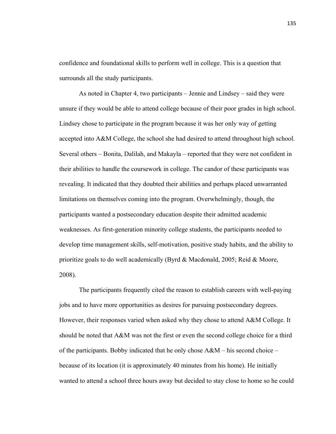confidence and foundational skills to perform well in college. This is a question that surrounds all the study participants.

 As noted in Chapter 4, two participants – Jennie and Lindsey – said they were unsure if they would be able to attend college because of their poor grades in high school. Lindsey chose to participate in the program because it was her only way of getting accepted into A&M College, the school she had desired to attend throughout high school. Several others – Bonita, Dalilah, and Makayla – reported that they were not confident in their abilities to handle the coursework in college. The candor of these participants was revealing. It indicated that they doubted their abilities and perhaps placed unwarranted limitations on themselves coming into the program. Overwhelmingly, though, the participants wanted a postsecondary education despite their admitted academic weaknesses. As first-generation minority college students, the participants needed to develop time management skills, self-motivation, positive study habits, and the ability to prioritize goals to do well academically (Byrd & Macdonald, 2005; Reid & Moore, 2008).

 The participants frequently cited the reason to establish careers with well-paying jobs and to have more opportunities as desires for pursuing postsecondary degrees. However, their responses varied when asked why they chose to attend A&M College. It should be noted that A&M was not the first or even the second college choice for a third of the participants. Bobby indicated that he only chose  $A\&M$  – his second choice – because of its location (it is approximately 40 minutes from his home). He initially wanted to attend a school three hours away but decided to stay close to home so he could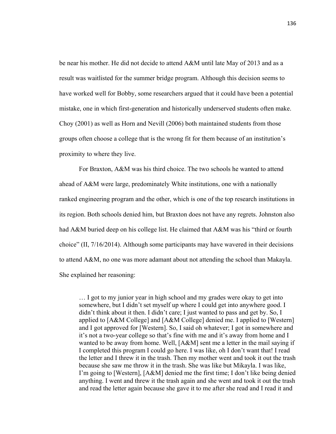be near his mother. He did not decide to attend A&M until late May of 2013 and as a result was waitlisted for the summer bridge program. Although this decision seems to have worked well for Bobby, some researchers argued that it could have been a potential mistake, one in which first-generation and historically underserved students often make. Choy (2001) as well as Horn and Nevill (2006) both maintained students from those groups often choose a college that is the wrong fit for them because of an institution's proximity to where they live.

 For Braxton, A&M was his third choice. The two schools he wanted to attend ahead of A&M were large, predominately White institutions, one with a nationally ranked engineering program and the other, which is one of the top research institutions in its region. Both schools denied him, but Braxton does not have any regrets. Johnston also had A&M buried deep on his college list. He claimed that A&M was his "third or fourth choice" (II, 7/16/2014). Although some participants may have wavered in their decisions to attend A&M, no one was more adamant about not attending the school than Makayla. She explained her reasoning:

 … I got to my junior year in high school and my grades were okay to get into somewhere, but I didn't set myself up where I could get into anywhere good. I didn't think about it then. I didn't care; I just wanted to pass and get by. So, I applied to [A&M College] and [A&M College] denied me. I applied to [Western] and I got approved for [Western]. So, I said oh whatever; I got in somewhere and it's not a two-year college so that's fine with me and it's away from home and I wanted to be away from home. Well, [A&M] sent me a letter in the mail saying if I completed this program I could go here. I was like, oh I don't want that! I read the letter and I threw it in the trash. Then my mother went and took it out the trash because she saw me throw it in the trash. She was like but Mikayla. I was like, I'm going to [Western], [A&M] denied me the first time; I don't like being denied anything. I went and threw it the trash again and she went and took it out the trash and read the letter again because she gave it to me after she read and I read it and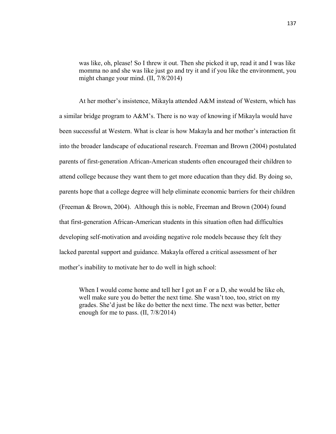was like, oh, please! So I threw it out. Then she picked it up, read it and I was like momma no and she was like just go and try it and if you like the environment, you might change your mind. (II, 7/8/2014)

 At her mother's insistence, Mikayla attended A&M instead of Western, which has a similar bridge program to A&M's. There is no way of knowing if Mikayla would have been successful at Western. What is clear is how Makayla and her mother's interaction fit into the broader landscape of educational research. Freeman and Brown (2004) postulated parents of first-generation African-American students often encouraged their children to attend college because they want them to get more education than they did. By doing so, parents hope that a college degree will help eliminate economic barriers for their children (Freeman & Brown, 2004). Although this is noble, Freeman and Brown (2004) found that first-generation African-American students in this situation often had difficulties developing self-motivation and avoiding negative role models because they felt they lacked parental support and guidance. Makayla offered a critical assessment of her mother's inability to motivate her to do well in high school:

When I would come home and tell her I got an F or a D, she would be like oh, well make sure you do better the next time. She wasn't too, too, strict on my grades. She'd just be like do better the next time. The next was better, better enough for me to pass. (II, 7/8/2014)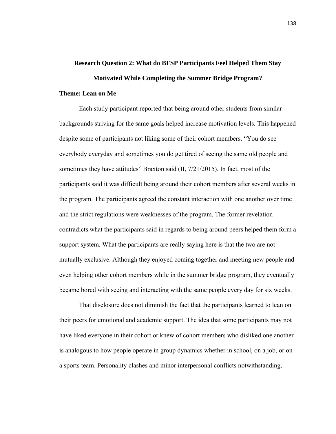## **Research Question 2: What do BFSP Participants Feel Helped Them Stay Motivated While Completing the Summer Bridge Program? Theme: Lean on Me**

 Each study participant reported that being around other students from similar backgrounds striving for the same goals helped increase motivation levels. This happened despite some of participants not liking some of their cohort members. "You do see everybody everyday and sometimes you do get tired of seeing the same old people and sometimes they have attitudes" Braxton said (II, 7/21/2015). In fact, most of the participants said it was difficult being around their cohort members after several weeks in the program. The participants agreed the constant interaction with one another over time and the strict regulations were weaknesses of the program. The former revelation contradicts what the participants said in regards to being around peers helped them form a support system. What the participants are really saying here is that the two are not mutually exclusive. Although they enjoyed coming together and meeting new people and even helping other cohort members while in the summer bridge program, they eventually became bored with seeing and interacting with the same people every day for six weeks.

 That disclosure does not diminish the fact that the participants learned to lean on their peers for emotional and academic support. The idea that some participants may not have liked everyone in their cohort or knew of cohort members who disliked one another is analogous to how people operate in group dynamics whether in school, on a job, or on a sports team. Personality clashes and minor interpersonal conflicts notwithstanding,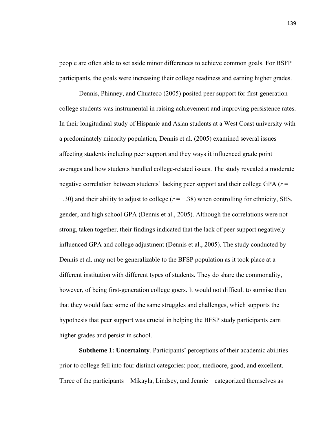people are often able to set aside minor differences to achieve common goals. For BSFP participants, the goals were increasing their college readiness and earning higher grades.

 Dennis, Phinney, and Chuateco (2005) posited peer support for first-generation college students was instrumental in raising achievement and improving persistence rates. In their longitudinal study of Hispanic and Asian students at a West Coast university with a predominately minority population, Dennis et al. (2005) examined several issues affecting students including peer support and they ways it influenced grade point averages and how students handled college-related issues. The study revealed a moderate negative correlation between students' lacking peer support and their college GPA (*r* = −.30) and their ability to adjust to college (*r* = −.38) when controlling for ethnicity, SES, gender, and high school GPA (Dennis et al., 2005). Although the correlations were not strong, taken together, their findings indicated that the lack of peer support negatively influenced GPA and college adjustment (Dennis et al., 2005). The study conducted by Dennis et al. may not be generalizable to the BFSP population as it took place at a different institution with different types of students. They do share the commonality, however, of being first-generation college goers. It would not difficult to surmise then that they would face some of the same struggles and challenges, which supports the hypothesis that peer support was crucial in helping the BFSP study participants earn higher grades and persist in school.

 **Subtheme 1: Uncertainty***.* Participants' perceptions of their academic abilities prior to college fell into four distinct categories: poor, mediocre, good, and excellent. Three of the participants – Mikayla, Lindsey, and Jennie – categorized themselves as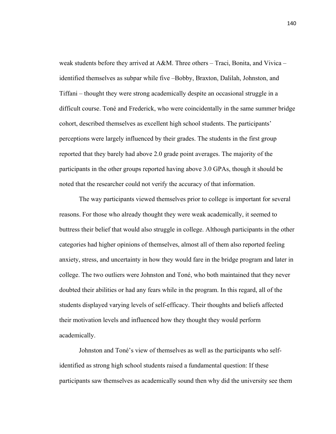weak students before they arrived at A&M. Three others – Traci, Bonita, and Vivica – identified themselves as subpar while five –Bobby, Braxton, Dalilah, Johnston, and Tiffani – thought they were strong academically despite an occasional struggle in a difficult course. Toné and Frederick, who were coincidentally in the same summer bridge cohort, described themselves as excellent high school students. The participants' perceptions were largely influenced by their grades. The students in the first group reported that they barely had above 2.0 grade point averages. The majority of the participants in the other groups reported having above 3.0 GPAs, though it should be noted that the researcher could not verify the accuracy of that information.

 The way participants viewed themselves prior to college is important for several reasons. For those who already thought they were weak academically, it seemed to buttress their belief that would also struggle in college. Although participants in the other categories had higher opinions of themselves, almost all of them also reported feeling anxiety, stress, and uncertainty in how they would fare in the bridge program and later in college. The two outliers were Johnston and Toné, who both maintained that they never doubted their abilities or had any fears while in the program. In this regard, all of the students displayed varying levels of self-efficacy. Their thoughts and beliefs affected their motivation levels and influenced how they thought they would perform academically.

 Johnston and Toné's view of themselves as well as the participants who selfidentified as strong high school students raised a fundamental question: If these participants saw themselves as academically sound then why did the university see them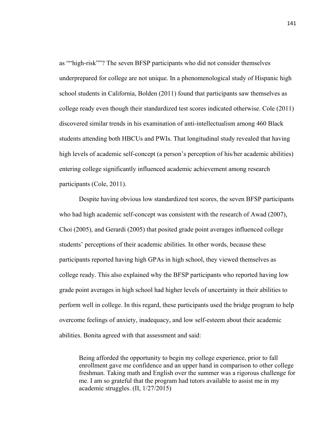as ""high-risk""? The seven BFSP participants who did not consider themselves underprepared for college are not unique. In a phenomenological study of Hispanic high school students in California, Bolden (2011) found that participants saw themselves as college ready even though their standardized test scores indicated otherwise. Cole (2011) discovered similar trends in his examination of anti-intellectualism among 460 Black students attending both HBCUs and PWIs. That longitudinal study revealed that having high levels of academic self-concept (a person's perception of his/her academic abilities) entering college significantly influenced academic achievement among research participants (Cole, 2011).

 Despite having obvious low standardized test scores, the seven BFSP participants who had high academic self-concept was consistent with the research of Awad (2007), Choi (2005), and Gerardi (2005) that posited grade point averages influenced college students' perceptions of their academic abilities. In other words, because these participants reported having high GPAs in high school, they viewed themselves as college ready. This also explained why the BFSP participants who reported having low grade point averages in high school had higher levels of uncertainty in their abilities to perform well in college. In this regard, these participants used the bridge program to help overcome feelings of anxiety, inadequacy, and low self-esteem about their academic abilities. Bonita agreed with that assessment and said:

 Being afforded the opportunity to begin my college experience, prior to fall enrollment gave me confidence and an upper hand in comparison to other college freshman. Taking math and English over the summer was a rigorous challenge for me. I am so grateful that the program had tutors available to assist me in my academic struggles. (II, 1/27/2015)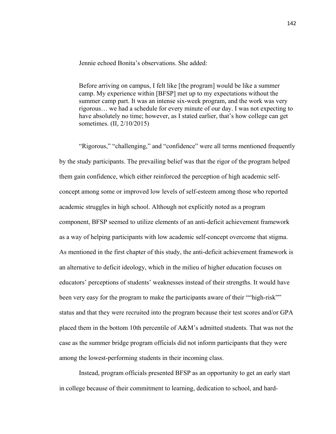Jennie echoed Bonita's observations. She added:

 Before arriving on campus, I felt like [the program] would be like a summer camp. My experience within [BFSP] met up to my expectations without the summer camp part. It was an intense six-week program, and the work was very rigorous… we had a schedule for every minute of our day. I was not expecting to have absolutely no time; however, as I stated earlier, that's how college can get sometimes. (II, 2/10/2015)

 "Rigorous," "challenging," and "confidence" were all terms mentioned frequently by the study participants. The prevailing belief was that the rigor of the program helped them gain confidence, which either reinforced the perception of high academic selfconcept among some or improved low levels of self-esteem among those who reported academic struggles in high school. Although not explicitly noted as a program component, BFSP seemed to utilize elements of an anti-deficit achievement framework as a way of helping participants with low academic self-concept overcome that stigma. As mentioned in the first chapter of this study, the anti-deficit achievement framework is an alternative to deficit ideology, which in the milieu of higher education focuses on educators' perceptions of students' weaknesses instead of their strengths. It would have been very easy for the program to make the participants aware of their ""high-risk"" status and that they were recruited into the program because their test scores and/or GPA placed them in the bottom 10th percentile of A&M's admitted students. That was not the case as the summer bridge program officials did not inform participants that they were among the lowest-performing students in their incoming class.

 Instead, program officials presented BFSP as an opportunity to get an early start in college because of their commitment to learning, dedication to school, and hard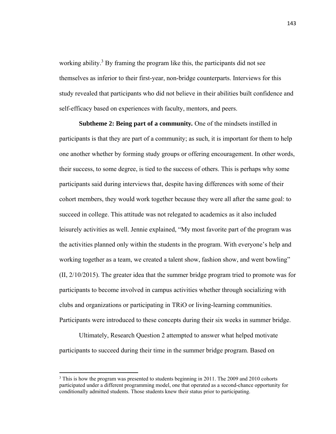working ability.<sup>3</sup> By framing the program like this, the participants did not see themselves as inferior to their first-year, non-bridge counterparts. Interviews for this study revealed that participants who did not believe in their abilities built confidence and self-efficacy based on experiences with faculty, mentors, and peers.

 **Subtheme 2: Being part of a community***.* One of the mindsets instilled in participants is that they are part of a community; as such, it is important for them to help one another whether by forming study groups or offering encouragement. In other words, their success, to some degree, is tied to the success of others. This is perhaps why some participants said during interviews that, despite having differences with some of their cohort members, they would work together because they were all after the same goal: to succeed in college. This attitude was not relegated to academics as it also included leisurely activities as well. Jennie explained, "My most favorite part of the program was the activities planned only within the students in the program. With everyone's help and working together as a team, we created a talent show, fashion show, and went bowling" (II, 2/10/2015). The greater idea that the summer bridge program tried to promote was for participants to become involved in campus activities whether through socializing with clubs and organizations or participating in TRiO or living-learning communities. Participants were introduced to these concepts during their six weeks in summer bridge.

 Ultimately, Research Question 2 attempted to answer what helped motivate participants to succeed during their time in the summer bridge program. Based on

<sup>&</sup>lt;sup>3</sup> This is how the program was presented to students beginning in 2011. The 2009 and 2010 cohorts participated under a different programming model, one that operated as a second-chance opportunity for conditionally admitted students. Those students knew their status prior to participating.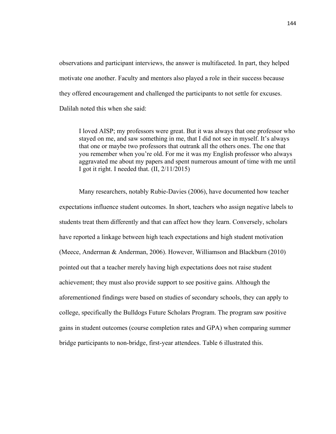observations and participant interviews, the answer is multifaceted. In part, they helped motivate one another. Faculty and mentors also played a role in their success because they offered encouragement and challenged the participants to not settle for excuses. Dalilah noted this when she said:

 I loved AISP; my professors were great. But it was always that one professor who stayed on me, and saw something in me, that I did not see in myself. It's always that one or maybe two professors that outrank all the others ones. The one that you remember when you're old. For me it was my English professor who always aggravated me about my papers and spent numerous amount of time with me until I got it right. I needed that. (II, 2/11/2015)

 Many researchers, notably Rubie-Davies (2006), have documented how teacher expectations influence student outcomes. In short, teachers who assign negative labels to students treat them differently and that can affect how they learn. Conversely, scholars have reported a linkage between high teach expectations and high student motivation (Meece, Anderman & Anderman, 2006). However, Williamson and Blackburn (2010) pointed out that a teacher merely having high expectations does not raise student achievement; they must also provide support to see positive gains. Although the aforementioned findings were based on studies of secondary schools, they can apply to college, specifically the Bulldogs Future Scholars Program. The program saw positive gains in student outcomes (course completion rates and GPA) when comparing summer bridge participants to non-bridge, first-year attendees. Table 6 illustrated this.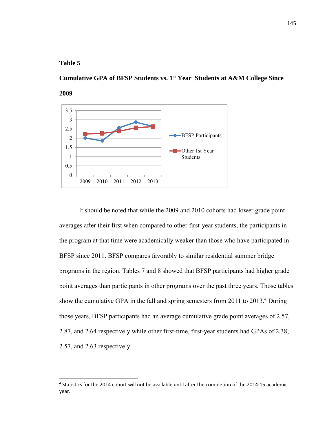### **Cumulative GPA of BFSP Students vs. 1st Year Students at A&M College Since**





It should be noted that while the 2009 and 2010 cohorts had lower grade point averages after their first when compared to other first-year students, the participants in the program at that time were academically weaker than those who have participated in BFSP since 2011. BFSP compares favorably to similar residential summer bridge programs in the region. Tables 7 and 8 showed that BFSP participants had higher grade point averages than participants in other programs over the past three years. Those tables show the cumulative GPA in the fall and spring semesters from 2011 to 2013.<sup>4</sup> During those years, BFSP participants had an average cumulative grade point averages of 2.57, 2.87, and 2.64 respectively while other first-time, first-year students had GPAs of 2.38, 2.57, and 2.63 respectively.

<sup>4</sup> Statistics for the 2014 cohort will not be available until after the completion of the 2014‐15 academic year.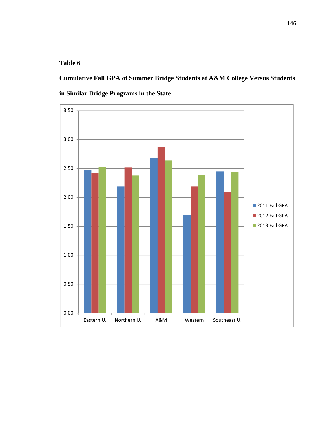**Cumulative Fall GPA of Summer Bridge Students at A&M College Versus Students** 



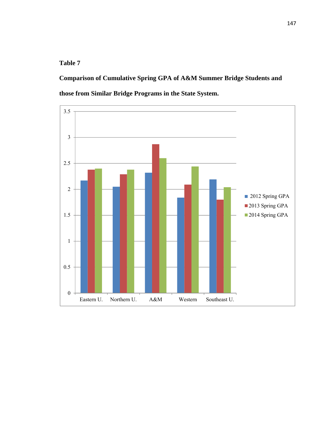**Comparison of Cumulative Spring GPA of A&M Summer Bridge Students and those from Similar Bridge Programs in the State System.** 

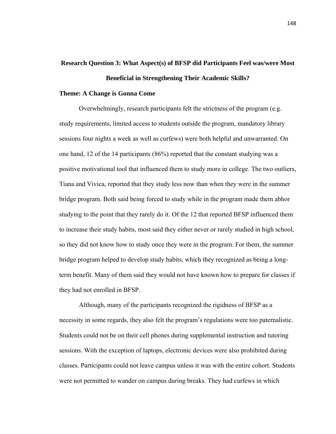## **Research Question 3: What Aspect(s) of BFSP did Participants Feel was/were Most Beneficial in Strengthening Their Academic Skills?**

### **Theme: A Change is Gonna Come**

 Overwhelmingly, research participants felt the strictness of the program (e.g. study requirements, limited access to students outside the program, mandatory library sessions four nights a week as well as curfews) were both helpful and unwarranted. On one hand, 12 of the 14 participants (86%) reported that the constant studying was a positive motivational tool that influenced them to study more in college. The two outliers, Tiana and Vivica, reported that they study less now than when they were in the summer bridge program. Both said being forced to study while in the program made them abhor studying to the point that they rarely do it. Of the 12 that reported BFSP influenced them to increase their study habits, most said they either never or rarely studied in high school, so they did not know how to study once they were in the program. For them, the summer bridge program helped to develop study habits, which they recognized as being a longterm benefit. Many of them said they would not have known how to prepare for classes if they had not enrolled in BFSP.

 Although, many of the participants recognized the rigidness of BFSP as a necessity in some regards, they also felt the program's regulations were too paternalistic. Students could not be on their cell phones during supplemental instruction and tutoring sessions. With the exception of laptops, electronic devices were also prohibited during classes. Participants could not leave campus unless it was with the entire cohort. Students were not permitted to wander on campus during breaks. They had curfews in which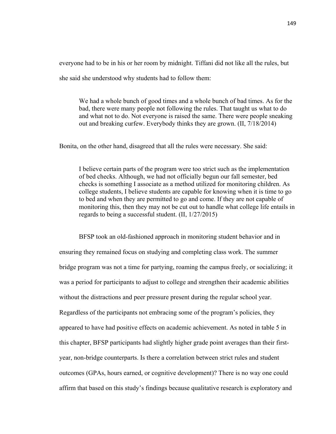everyone had to be in his or her room by midnight. Tiffani did not like all the rules, but she said she understood why students had to follow them:

 We had a whole bunch of good times and a whole bunch of bad times. As for the bad, there were many people not following the rules. That taught us what to do and what not to do. Not everyone is raised the same. There were people sneaking out and breaking curfew. Everybody thinks they are grown. (II, 7/18/2014)

Bonita, on the other hand, disagreed that all the rules were necessary. She said:

 I believe certain parts of the program were too strict such as the implementation of bed checks. Although, we had not officially begun our fall semester, bed checks is something I associate as a method utilized for monitoring children. As college students, I believe students are capable for knowing when it is time to go to bed and when they are permitted to go and come. If they are not capable of monitoring this, then they may not be cut out to handle what college life entails in regards to being a successful student. (II, 1/27/2015)

 BFSP took an old-fashioned approach in monitoring student behavior and in ensuring they remained focus on studying and completing class work. The summer bridge program was not a time for partying, roaming the campus freely, or socializing; it was a period for participants to adjust to college and strengthen their academic abilities without the distractions and peer pressure present during the regular school year. Regardless of the participants not embracing some of the program's policies, they appeared to have had positive effects on academic achievement. As noted in table 5 in this chapter, BFSP participants had slightly higher grade point averages than their firstyear, non-bridge counterparts. Is there a correlation between strict rules and student outcomes (GPAs, hours earned, or cognitive development)? There is no way one could affirm that based on this study's findings because qualitative research is exploratory and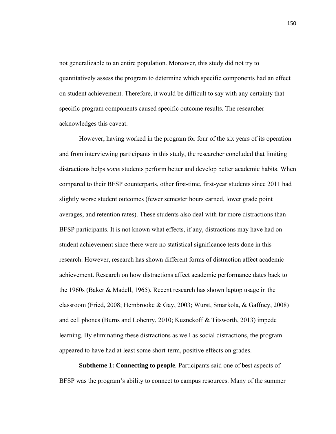not generalizable to an entire population. Moreover, this study did not try to quantitatively assess the program to determine which specific components had an effect on student achievement. Therefore, it would be difficult to say with any certainty that specific program components caused specific outcome results. The researcher acknowledges this caveat.

 However, having worked in the program for four of the six years of its operation and from interviewing participants in this study, the researcher concluded that limiting distractions helps *some* students perform better and develop better academic habits. When compared to their BFSP counterparts, other first-time, first-year students since 2011 had slightly worse student outcomes (fewer semester hours earned, lower grade point averages, and retention rates). These students also deal with far more distractions than BFSP participants. It is not known what effects, if any, distractions may have had on student achievement since there were no statistical significance tests done in this research. However, research has shown different forms of distraction affect academic achievement. Research on how distractions affect academic performance dates back to the 1960s (Baker & Madell, 1965). Recent research has shown laptop usage in the classroom (Fried, 2008; Hembrooke & Gay, 2003; Wurst, Smarkola, & Gaffney, 2008) and cell phones (Burns and Lohenry, 2010; Kuznekoff & Titsworth, 2013) impede learning. By eliminating these distractions as well as social distractions, the program appeared to have had at least some short-term, positive effects on grades.

 **Subtheme 1: Connecting to people***.* Participants said one of best aspects of BFSP was the program's ability to connect to campus resources. Many of the summer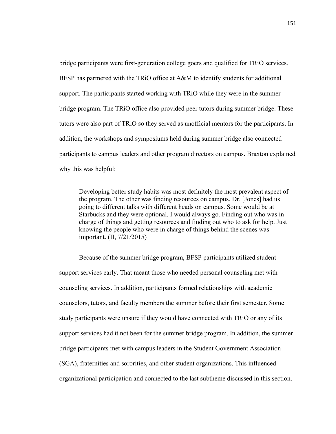bridge participants were first-generation college goers and qualified for TRiO services. BFSP has partnered with the TRiO office at A&M to identify students for additional support. The participants started working with TRiO while they were in the summer bridge program. The TRiO office also provided peer tutors during summer bridge. These tutors were also part of TRiO so they served as unofficial mentors for the participants. In addition, the workshops and symposiums held during summer bridge also connected participants to campus leaders and other program directors on campus. Braxton explained why this was helpful:

 Developing better study habits was most definitely the most prevalent aspect of the program. The other was finding resources on campus. Dr. [Jones] had us going to different talks with different heads on campus. Some would be at Starbucks and they were optional. I would always go. Finding out who was in charge of things and getting resources and finding out who to ask for help. Just knowing the people who were in charge of things behind the scenes was important. (II, 7/21/2015)

 Because of the summer bridge program, BFSP participants utilized student support services early. That meant those who needed personal counseling met with counseling services. In addition, participants formed relationships with academic counselors, tutors, and faculty members the summer before their first semester. Some study participants were unsure if they would have connected with TRiO or any of its support services had it not been for the summer bridge program. In addition, the summer bridge participants met with campus leaders in the Student Government Association (SGA), fraternities and sororities, and other student organizations. This influenced organizational participation and connected to the last subtheme discussed in this section.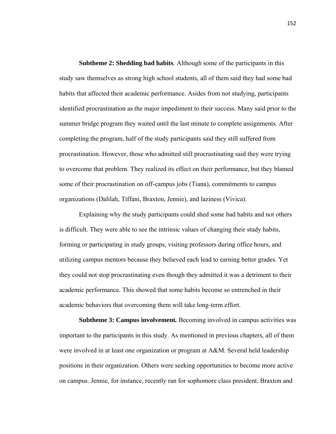**Subtheme 2: Shedding bad habits***.* Although some of the participants in this study saw themselves as strong high school students, all of them said they had some bad habits that affected their academic performance. Asides from not studying, participants identified procrastination as the major impediment to their success. Many said prior to the summer bridge program they waited until the last minute to complete assignments. After completing the program, half of the study participants said they still suffered from procrastination. However, those who admitted still procrastinating said they were trying to overcome that problem. They realized its effect on their performance, but they blamed some of their procrastination on off-campus jobs (Tiana), commitments to campus organizations (Dalilah, Tiffani, Braxton, Jennie), and laziness (Vivica).

 Explaining why the study participants could shed some bad habits and not others is difficult. They were able to see the intrinsic values of changing their study habits, forming or participating in study groups, visiting professors during office hours, and utilizing campus mentors because they believed each lead to earning better grades. Yet they could not stop procrastinating even though they admitted it was a detriment to their academic performance. This showed that some habits become so entrenched in their academic behaviors that overcoming them will take long-term effort.

 **Subtheme 3: Campus involvement***.* Becoming involved in campus activities was important to the participants in this study. As mentioned in previous chapters, all of them were involved in at least one organization or program at A&M. Several held leadership positions in their organization. Others were seeking opportunities to become more active on campus. Jennie, for instance, recently ran for sophomore class president. Braxton and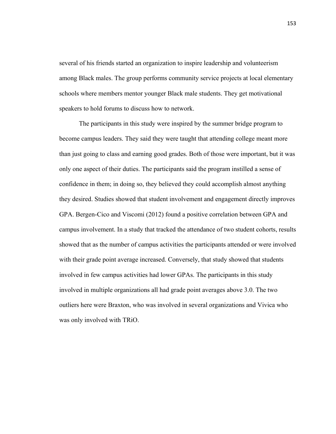several of his friends started an organization to inspire leadership and volunteerism among Black males. The group performs community service projects at local elementary schools where members mentor younger Black male students. They get motivational speakers to hold forums to discuss how to network.

 The participants in this study were inspired by the summer bridge program to become campus leaders. They said they were taught that attending college meant more than just going to class and earning good grades. Both of those were important, but it was only one aspect of their duties. The participants said the program instilled a sense of confidence in them; in doing so, they believed they could accomplish almost anything they desired. Studies showed that student involvement and engagement directly improves GPA. Bergen-Cico and Viscomi (2012) found a positive correlation between GPA and campus involvement. In a study that tracked the attendance of two student cohorts, results showed that as the number of campus activities the participants attended or were involved with their grade point average increased. Conversely, that study showed that students involved in few campus activities had lower GPAs. The participants in this study involved in multiple organizations all had grade point averages above 3.0. The two outliers here were Braxton, who was involved in several organizations and Vivica who was only involved with TRiO.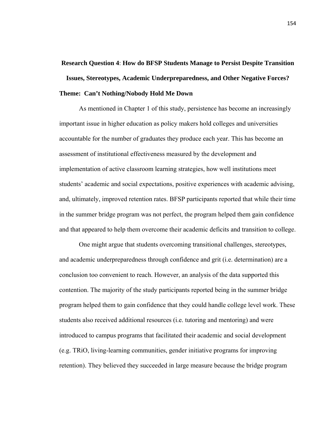# **Research Question 4**: **How do BFSP Students Manage to Persist Despite Transition Issues, Stereotypes, Academic Underpreparedness, and Other Negative Forces? Theme: Can't Nothing/Nobody Hold Me Down**

 As mentioned in Chapter 1 of this study, persistence has become an increasingly important issue in higher education as policy makers hold colleges and universities accountable for the number of graduates they produce each year. This has become an assessment of institutional effectiveness measured by the development and implementation of active classroom learning strategies, how well institutions meet students' academic and social expectations, positive experiences with academic advising, and, ultimately, improved retention rates. BFSP participants reported that while their time in the summer bridge program was not perfect, the program helped them gain confidence and that appeared to help them overcome their academic deficits and transition to college.

 One might argue that students overcoming transitional challenges, stereotypes, and academic underpreparedness through confidence and grit (i.e. determination) are a conclusion too convenient to reach. However, an analysis of the data supported this contention. The majority of the study participants reported being in the summer bridge program helped them to gain confidence that they could handle college level work. These students also received additional resources (i.e. tutoring and mentoring) and were introduced to campus programs that facilitated their academic and social development (e.g. TRiO, living-learning communities, gender initiative programs for improving retention). They believed they succeeded in large measure because the bridge program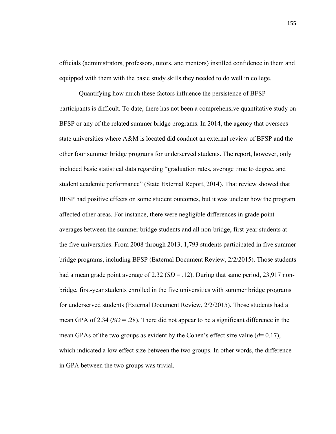officials (administrators, professors, tutors, and mentors) instilled confidence in them and equipped with them with the basic study skills they needed to do well in college.

 Quantifying how much these factors influence the persistence of BFSP participants is difficult. To date, there has not been a comprehensive quantitative study on BFSP or any of the related summer bridge programs. In 2014, the agency that oversees state universities where A&M is located did conduct an external review of BFSP and the other four summer bridge programs for underserved students. The report, however, only included basic statistical data regarding "graduation rates, average time to degree, and student academic performance" (State External Report, 2014). That review showed that BFSP had positive effects on some student outcomes, but it was unclear how the program affected other areas. For instance, there were negligible differences in grade point averages between the summer bridge students and all non-bridge, first-year students at the five universities. From 2008 through 2013, 1,793 students participated in five summer bridge programs, including BFSP (External Document Review, 2/2/2015). Those students had a mean grade point average of 2.32  $(SD = .12)$ . During that same period, 23,917 nonbridge, first-year students enrolled in the five universities with summer bridge programs for underserved students (External Document Review, 2/2/2015). Those students had a mean GPA of 2.34 (*SD* = .28). There did not appear to be a significant difference in the mean GPAs of the two groups as evident by the Cohen's effect size value  $(d=0.17)$ , which indicated a low effect size between the two groups. In other words, the difference in GPA between the two groups was trivial.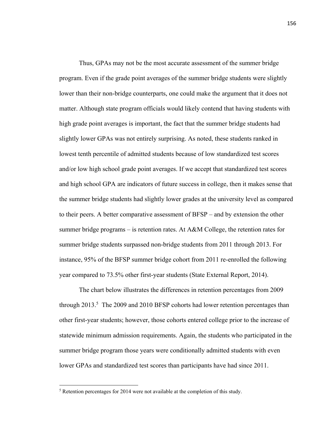Thus, GPAs may not be the most accurate assessment of the summer bridge program. Even if the grade point averages of the summer bridge students were slightly lower than their non-bridge counterparts, one could make the argument that it does not matter. Although state program officials would likely contend that having students with high grade point averages is important, the fact that the summer bridge students had slightly lower GPAs was not entirely surprising. As noted, these students ranked in lowest tenth percentile of admitted students because of low standardized test scores and/or low high school grade point averages. If we accept that standardized test scores and high school GPA are indicators of future success in college, then it makes sense that the summer bridge students had slightly lower grades at the university level as compared to their peers. A better comparative assessment of BFSP – and by extension the other summer bridge programs – is retention rates. At  $A\&M$  College, the retention rates for summer bridge students surpassed non-bridge students from 2011 through 2013. For instance, 95% of the BFSP summer bridge cohort from 2011 re-enrolled the following year compared to 73.5% other first-year students (State External Report, 2014).

 The chart below illustrates the differences in retention percentages from 2009 through  $2013$ .<sup>5</sup> The  $2009$  and  $2010$  BFSP cohorts had lower retention percentages than other first-year students; however, those cohorts entered college prior to the increase of statewide minimum admission requirements. Again, the students who participated in the summer bridge program those years were conditionally admitted students with even lower GPAs and standardized test scores than participants have had since 2011.

 $5$  Retention percentages for 2014 were not available at the completion of this study.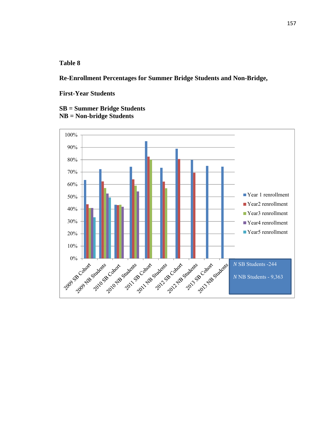**Re-Enrollment Percentages for Summer Bridge Students and Non-Bridge,** 

**First-Year Students** 

**SB = Summer Bridge Students NB = Non-bridge Students** 

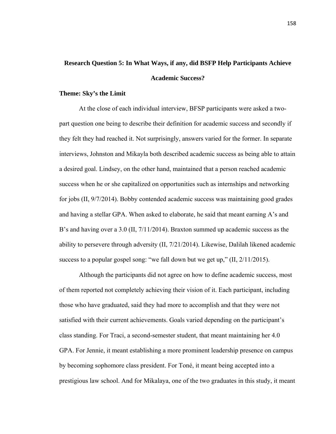## **Research Question 5: In What Ways, if any, did BSFP Help Participants Achieve Academic Success?**

### **Theme: Sky's the Limit**

 At the close of each individual interview, BFSP participants were asked a twopart question one being to describe their definition for academic success and secondly if they felt they had reached it. Not surprisingly, answers varied for the former. In separate interviews, Johnston and Mikayla both described academic success as being able to attain a desired goal. Lindsey, on the other hand, maintained that a person reached academic success when he or she capitalized on opportunities such as internships and networking for jobs (II, 9/7/2014). Bobby contended academic success was maintaining good grades and having a stellar GPA. When asked to elaborate, he said that meant earning A's and B's and having over a 3.0 (II, 7/11/2014). Braxton summed up academic success as the ability to persevere through adversity (II, 7/21/2014). Likewise, Dalilah likened academic success to a popular gospel song: "we fall down but we get up," (II, 2/11/2015).

 Although the participants did not agree on how to define academic success, most of them reported not completely achieving their vision of it. Each participant, including those who have graduated, said they had more to accomplish and that they were not satisfied with their current achievements. Goals varied depending on the participant's class standing. For Traci, a second-semester student, that meant maintaining her 4.0 GPA. For Jennie, it meant establishing a more prominent leadership presence on campus by becoming sophomore class president. For Toné, it meant being accepted into a prestigious law school. And for Mikalaya, one of the two graduates in this study, it meant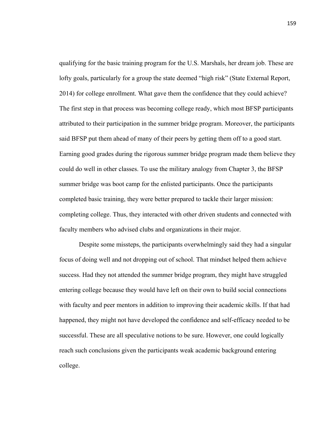qualifying for the basic training program for the U.S. Marshals, her dream job. These are lofty goals, particularly for a group the state deemed "high risk" (State External Report, 2014) for college enrollment. What gave them the confidence that they could achieve? The first step in that process was becoming college ready, which most BFSP participants attributed to their participation in the summer bridge program. Moreover, the participants said BFSP put them ahead of many of their peers by getting them off to a good start. Earning good grades during the rigorous summer bridge program made them believe they could do well in other classes. To use the military analogy from Chapter 3, the BFSP summer bridge was boot camp for the enlisted participants. Once the participants completed basic training, they were better prepared to tackle their larger mission: completing college. Thus, they interacted with other driven students and connected with faculty members who advised clubs and organizations in their major.

 Despite some missteps, the participants overwhelmingly said they had a singular focus of doing well and not dropping out of school. That mindset helped them achieve success. Had they not attended the summer bridge program, they might have struggled entering college because they would have left on their own to build social connections with faculty and peer mentors in addition to improving their academic skills. If that had happened, they might not have developed the confidence and self-efficacy needed to be successful. These are all speculative notions to be sure. However, one could logically reach such conclusions given the participants weak academic background entering college.

159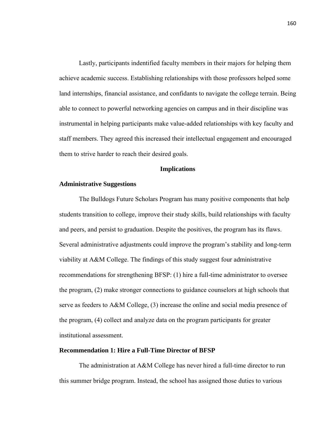Lastly, participants indentified faculty members in their majors for helping them achieve academic success. Establishing relationships with those professors helped some land internships, financial assistance, and confidants to navigate the college terrain. Being able to connect to powerful networking agencies on campus and in their discipline was instrumental in helping participants make value-added relationships with key faculty and staff members. They agreed this increased their intellectual engagement and encouraged them to strive harder to reach their desired goals.

#### **Implications**

### **Administrative Suggestions**

 The Bulldogs Future Scholars Program has many positive components that help students transition to college, improve their study skills, build relationships with faculty and peers, and persist to graduation. Despite the positives, the program has its flaws. Several administrative adjustments could improve the program's stability and long-term viability at A&M College. The findings of this study suggest four administrative recommendations for strengthening BFSP: (1) hire a full-time administrator to oversee the program, (2) make stronger connections to guidance counselors at high schools that serve as feeders to A&M College, (3) increase the online and social media presence of the program, (4) collect and analyze data on the program participants for greater institutional assessment.

### **Recommendation 1: Hire a Full-Time Director of BFSP**

 The administration at A&M College has never hired a full-time director to run this summer bridge program. Instead, the school has assigned those duties to various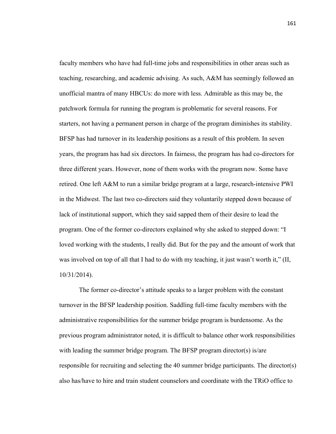faculty members who have had full-time jobs and responsibilities in other areas such as teaching, researching, and academic advising. As such, A&M has seemingly followed an unofficial mantra of many HBCUs: do more with less. Admirable as this may be, the patchwork formula for running the program is problematic for several reasons. For starters, not having a permanent person in charge of the program diminishes its stability. BFSP has had turnover in its leadership positions as a result of this problem. In seven years, the program has had six directors. In fairness, the program has had co-directors for three different years. However, none of them works with the program now. Some have retired. One left A&M to run a similar bridge program at a large, research-intensive PWI in the Midwest. The last two co-directors said they voluntarily stepped down because of lack of institutional support, which they said sapped them of their desire to lead the program. One of the former co-directors explained why she asked to stepped down: "I loved working with the students, I really did. But for the pay and the amount of work that was involved on top of all that I had to do with my teaching, it just wasn't worth it," (II, 10/31/2014).

 The former co-director's attitude speaks to a larger problem with the constant turnover in the BFSP leadership position. Saddling full-time faculty members with the administrative responsibilities for the summer bridge program is burdensome. As the previous program administrator noted, it is difficult to balance other work responsibilities with leading the summer bridge program. The BFSP program director(s) is/are responsible for recruiting and selecting the 40 summer bridge participants. The director(s) also has/have to hire and train student counselors and coordinate with the TRiO office to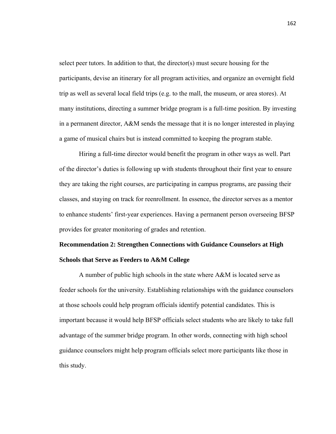select peer tutors. In addition to that, the director(s) must secure housing for the participants, devise an itinerary for all program activities, and organize an overnight field trip as well as several local field trips (e.g. to the mall, the museum, or area stores). At many institutions, directing a summer bridge program is a full-time position. By investing in a permanent director, A&M sends the message that it is no longer interested in playing a game of musical chairs but is instead committed to keeping the program stable.

 Hiring a full-time director would benefit the program in other ways as well. Part of the director's duties is following up with students throughout their first year to ensure they are taking the right courses, are participating in campus programs, are passing their classes, and staying on track for reenrollment. In essence, the director serves as a mentor to enhance students' first-year experiences. Having a permanent person overseeing BFSP provides for greater monitoring of grades and retention.

### **Recommendation 2: Strengthen Connections with Guidance Counselors at High Schools that Serve as Feeders to A&M College**

 A number of public high schools in the state where A&M is located serve as feeder schools for the university. Establishing relationships with the guidance counselors at those schools could help program officials identify potential candidates. This is important because it would help BFSP officials select students who are likely to take full advantage of the summer bridge program. In other words, connecting with high school guidance counselors might help program officials select more participants like those in this study.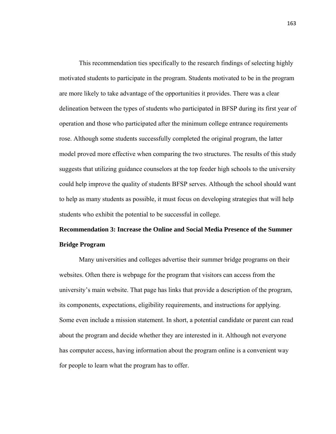This recommendation ties specifically to the research findings of selecting highly motivated students to participate in the program. Students motivated to be in the program are more likely to take advantage of the opportunities it provides. There was a clear delineation between the types of students who participated in BFSP during its first year of operation and those who participated after the minimum college entrance requirements rose. Although some students successfully completed the original program, the latter model proved more effective when comparing the two structures. The results of this study suggests that utilizing guidance counselors at the top feeder high schools to the university could help improve the quality of students BFSP serves. Although the school should want to help as many students as possible, it must focus on developing strategies that will help students who exhibit the potential to be successful in college.

### **Recommendation 3: Increase the Online and Social Media Presence of the Summer Bridge Program**

 Many universities and colleges advertise their summer bridge programs on their websites. Often there is webpage for the program that visitors can access from the university's main website. That page has links that provide a description of the program, its components, expectations, eligibility requirements, and instructions for applying. Some even include a mission statement. In short, a potential candidate or parent can read about the program and decide whether they are interested in it. Although not everyone has computer access, having information about the program online is a convenient way for people to learn what the program has to offer.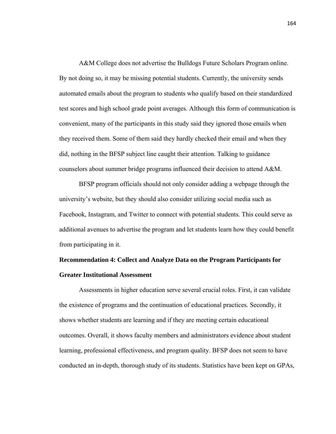A&M College does not advertise the Bulldogs Future Scholars Program online. By not doing so, it may be missing potential students. Currently, the university sends automated emails about the program to students who qualify based on their standardized test scores and high school grade point averages. Although this form of communication is convenient, many of the participants in this study said they ignored those emails when they received them. Some of them said they hardly checked their email and when they did, nothing in the BFSP subject line caught their attention. Talking to guidance counselors about summer bridge programs influenced their decision to attend A&M.

 BFSP program officials should not only consider adding a webpage through the university's website, but they should also consider utilizing social media such as Facebook, Instagram, and Twitter to connect with potential students. This could serve as additional avenues to advertise the program and let students learn how they could benefit from participating in it.

### **Recommendation 4: Collect and Analyze Data on the Program Participants for Greater Institutional Assessment**

 Assessments in higher education serve several crucial roles. First, it can validate the existence of programs and the continuation of educational practices. Secondly, it shows whether students are learning and if they are meeting certain educational outcomes. Overall, it shows faculty members and administrators evidence about student learning, professional effectiveness, and program quality. BFSP does not seem to have conducted an in-depth, thorough study of its students. Statistics have been kept on GPAs,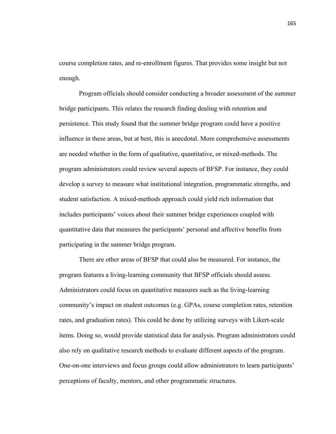course completion rates, and re-enrollment figures. That provides some insight but not enough.

Program officials should consider conducting a broader assessment of the summer bridge participants. This relates the research finding dealing with retention and persistence. This study found that the summer bridge program could have a positive influence in these areas, but at best, this is anecdotal. More comprehensive assessments are needed whether in the form of qualitative, quantitative, or mixed-methods. The program administrators could review several aspects of BFSP. For instance, they could develop a survey to measure what institutional integration, programmatic strengths, and student satisfaction. A mixed-methods approach could yield rich information that includes participants' voices about their summer bridge experiences coupled with quantitative data that measures the participants' personal and affective benefits from participating in the summer bridge program.

There are other areas of BFSP that could also be measured. For instance, the program features a living-learning community that BFSP officials should assess. Administrators could focus on quantitative measures such as the living-learning community's impact on student outcomes (e.g. GPAs, course completion rates, retention rates, and graduation rates). This could be done by utilizing surveys with Likert-scale items. Doing so, would provide statistical data for analysis. Program administrators could also rely on qualitative research methods to evaluate different aspects of the program. One-on-one interviews and focus groups could allow administrators to learn participants' perceptions of faculty, mentors, and other programmatic structures.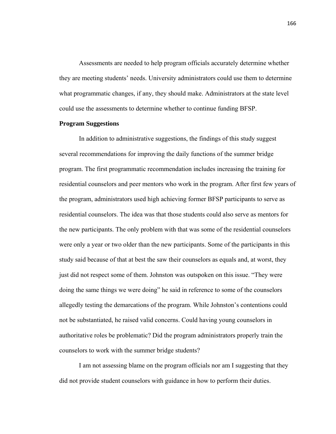Assessments are needed to help program officials accurately determine whether they are meeting students' needs. University administrators could use them to determine what programmatic changes, if any, they should make. Administrators at the state level could use the assessments to determine whether to continue funding BFSP.

### **Program Suggestions**

 In addition to administrative suggestions, the findings of this study suggest several recommendations for improving the daily functions of the summer bridge program. The first programmatic recommendation includes increasing the training for residential counselors and peer mentors who work in the program. After first few years of the program, administrators used high achieving former BFSP participants to serve as residential counselors. The idea was that those students could also serve as mentors for the new participants. The only problem with that was some of the residential counselors were only a year or two older than the new participants. Some of the participants in this study said because of that at best the saw their counselors as equals and, at worst, they just did not respect some of them. Johnston was outspoken on this issue. "They were doing the same things we were doing" he said in reference to some of the counselors allegedly testing the demarcations of the program. While Johnston's contentions could not be substantiated, he raised valid concerns. Could having young counselors in authoritative roles be problematic? Did the program administrators properly train the counselors to work with the summer bridge students?

 I am not assessing blame on the program officials nor am I suggesting that they did not provide student counselors with guidance in how to perform their duties.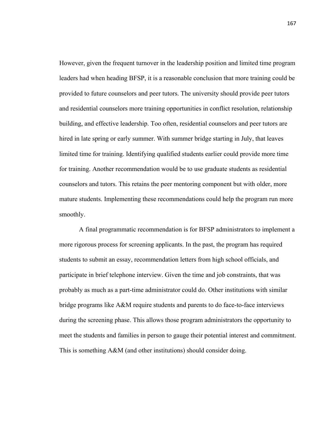However, given the frequent turnover in the leadership position and limited time program leaders had when heading BFSP, it is a reasonable conclusion that more training could be provided to future counselors and peer tutors. The university should provide peer tutors and residential counselors more training opportunities in conflict resolution, relationship building, and effective leadership. Too often, residential counselors and peer tutors are hired in late spring or early summer. With summer bridge starting in July, that leaves limited time for training. Identifying qualified students earlier could provide more time for training. Another recommendation would be to use graduate students as residential counselors and tutors. This retains the peer mentoring component but with older, more mature students. Implementing these recommendations could help the program run more smoothly.

 A final programmatic recommendation is for BFSP administrators to implement a more rigorous process for screening applicants. In the past, the program has required students to submit an essay, recommendation letters from high school officials, and participate in brief telephone interview. Given the time and job constraints, that was probably as much as a part-time administrator could do. Other institutions with similar bridge programs like A&M require students and parents to do face-to-face interviews during the screening phase. This allows those program administrators the opportunity to meet the students and families in person to gauge their potential interest and commitment. This is something A&M (and other institutions) should consider doing.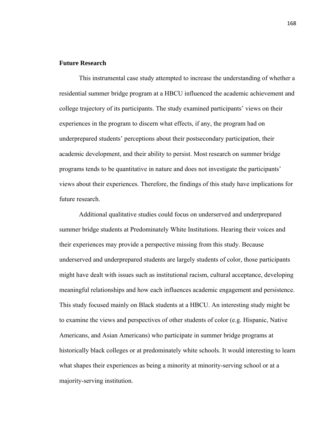## **Future Research**

 This instrumental case study attempted to increase the understanding of whether a residential summer bridge program at a HBCU influenced the academic achievement and college trajectory of its participants. The study examined participants' views on their experiences in the program to discern what effects, if any, the program had on underprepared students' perceptions about their postsecondary participation, their academic development, and their ability to persist. Most research on summer bridge programs tends to be quantitative in nature and does not investigate the participants' views about their experiences. Therefore, the findings of this study have implications for future research.

 Additional qualitative studies could focus on underserved and underprepared summer bridge students at Predominately White Institutions. Hearing their voices and their experiences may provide a perspective missing from this study. Because underserved and underprepared students are largely students of color, those participants might have dealt with issues such as institutional racism, cultural acceptance, developing meaningful relationships and how each influences academic engagement and persistence. This study focused mainly on Black students at a HBCU. An interesting study might be to examine the views and perspectives of other students of color (e.g. Hispanic, Native Americans, and Asian Americans) who participate in summer bridge programs at historically black colleges or at predominately white schools. It would interesting to learn what shapes their experiences as being a minority at minority-serving school or at a majority-serving institution.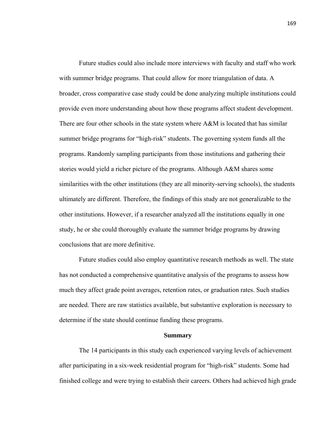Future studies could also include more interviews with faculty and staff who work with summer bridge programs. That could allow for more triangulation of data. A broader, cross comparative case study could be done analyzing multiple institutions could provide even more understanding about how these programs affect student development. There are four other schools in the state system where A&M is located that has similar summer bridge programs for "high-risk" students. The governing system funds all the programs. Randomly sampling participants from those institutions and gathering their stories would yield a richer picture of the programs. Although A&M shares some similarities with the other institutions (they are all minority-serving schools), the students ultimately are different. Therefore, the findings of this study are not generalizable to the other institutions. However, if a researcher analyzed all the institutions equally in one study, he or she could thoroughly evaluate the summer bridge programs by drawing conclusions that are more definitive.

 Future studies could also employ quantitative research methods as well. The state has not conducted a comprehensive quantitative analysis of the programs to assess how much they affect grade point averages, retention rates, or graduation rates. Such studies are needed. There are raw statistics available, but substantive exploration is necessary to determine if the state should continue funding these programs.

#### **Summary**

 The 14 participants in this study each experienced varying levels of achievement after participating in a six-week residential program for "high-risk" students. Some had finished college and were trying to establish their careers. Others had achieved high grade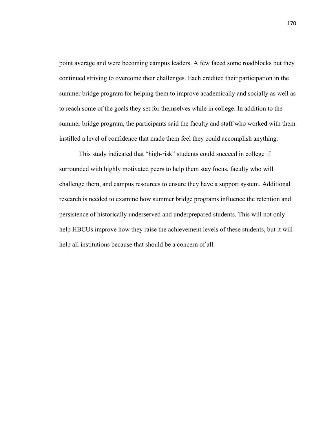point average and were becoming campus leaders. A few faced some roadblocks but they continued striving to overcome their challenges. Each credited their participation in the summer bridge program for helping them to improve academically and socially as well as to reach some of the goals they set for themselves while in college. In addition to the summer bridge program, the participants said the faculty and staff who worked with them instilled a level of confidence that made them feel they could accomplish anything.

 This study indicated that "high-risk" students could succeed in college if surrounded with highly motivated peers to help them stay focus, faculty who will challenge them, and campus resources to ensure they have a support system. Additional research is needed to examine how summer bridge programs influence the retention and persistence of historically underserved and underprepared students. This will not only help HBCUs improve how they raise the achievement levels of these students, but it will help all institutions because that should be a concern of all.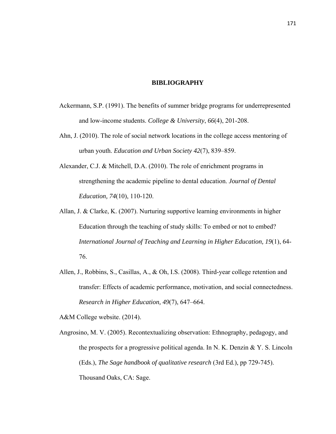### **BIBLIOGRAPHY**

- Ackermann, S.P. (1991). The benefits of summer bridge programs for underrepresented and low-income students. *College & University*, *66*(4), 201-208.
- Ahn, J. (2010). The role of social network locations in the college access mentoring of urban youth. *Education and Urban Society 42*(7), 839–859.
- Alexander, C.J. & Mitchell, D.A. (2010). The role of enrichment programs in strengthening the academic pipeline to dental education. *Journal of Dental Education, 74*(10), 110-120.
- Allan, J. & Clarke, K. (2007). Nurturing supportive learning environments in higher Education through the teaching of study skills: To embed or not to embed? *International Journal of Teaching and Learning in Higher Education, 19*(1), 64- 76.
- Allen, J., Robbins, S., Casillas, A., & Oh, I.S. (2008). Third-year college retention and transfer: Effects of academic performance, motivation, and social connectedness. *Research in Higher Education, 49*(7), 647–664.

A&M College website. (2014).

Angrosino, M. V. (2005). Recontextualizing observation: Ethnography, pedagogy, and the prospects for a progressive political agenda. In N. K. Denzin  $& Y. S.$  Lincoln (Eds.), *The Sage handbook of qualitative research* (3rd Ed.), pp 729-745). Thousand Oaks, CA: Sage.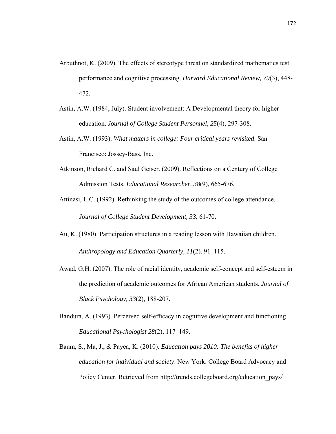- Arbuthnot, K. (2009). The effects of stereotype threat on standardized mathematics test performance and cognitive processing. *Harvard Educational Review, 79*(3), 448- 472.
- Astin, A.W. (1984, July). Student involvement: A Developmental theory for higher education. *Journal of College Student Personnel, 25*(4), 297-308.
- Astin, A.W. (1993). *What matters in college: Four critical years revisited*. San Francisco: Jossey-Bass, Inc.
- Atkinson, Richard C. and Saul Geiser. (2009). Reflections on a Century of College Admission Tests. *Educational Researcher, 38*(9), 665-676.
- Attinasi, L.C. (1992). Rethinking the study of the outcomes of college attendance. *Journal of College Student Development, 33*, 61-70.
- Au, K. (1980). Participation structures in a reading lesson with Hawaiian children. *Anthropology and Education Quarterly, 11*(2), 91–115.
- Awad, G.H. (2007). The role of racial identity, academic self-concept and self-esteem in the prediction of academic outcomes for African American students. *Journal of Black Psychology, 33*(2), 188-207.
- Bandura, A. (1993). Perceived self-efficacy in cognitive development and functioning. *Educational Psychologist 28*(2), 117–149.
- Baum, S., Ma, J., & Payea, K. (2010). *Education pays 2010: The benefits of higher education for individual and society*. New York: College Board Advocacy and Policy Center. Retrieved from http://trends.collegeboard.org/education\_pays/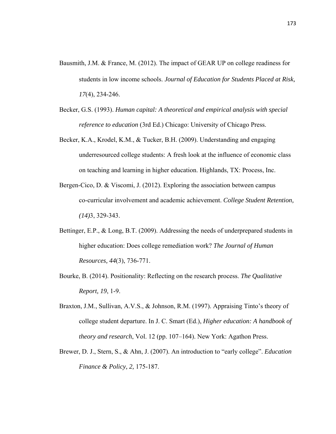- Bausmith, J.M. & France, M. (2012). The impact of GEAR UP on college readiness for students in low income schools. *Journal of Education for Students Placed at Risk, 17*(4), 234-246.
- Becker, G.S. (1993). *Human capital: A theoretical and empirical analysis with special reference to education* (3rd Ed.) Chicago: University of Chicago Press.
- Becker, K.A., Krodel, K.M., & Tucker, B.H. (2009). Understanding and engaging underresourced college students: A fresh look at the influence of economic class on teaching and learning in higher education. Highlands, TX: Process, Inc.
- Bergen-Cico, D. & Viscomi, J. (2012). Exploring the association between campus co-curricular involvement and academic achievement. *College Student Retention, (14)*3, 329-343.
- Bettinger, E.P., & Long, B.T. (2009). Addressing the needs of underprepared students in higher education: Does college remediation work? *The Journal of Human Resources, 44*(3), 736-771.
- Bourke, B. (2014). Positionality: Reflecting on the research process. *The Qualitative Report, 19*, 1-9.
- Braxton, J.M., Sullivan, A.V.S., & Johnson, R.M. (1997). Appraising Tinto's theory of college student departure. In J. C. Smart (Ed.), *Higher education: A handbook of theory and research*, Vol. 12 (pp. 107–164). New York: Agathon Press.
- Brewer, D. J., Stern, S., & Ahn, J. (2007). An introduction to "early college". *Education Finance & Policy, 2,* 175-187.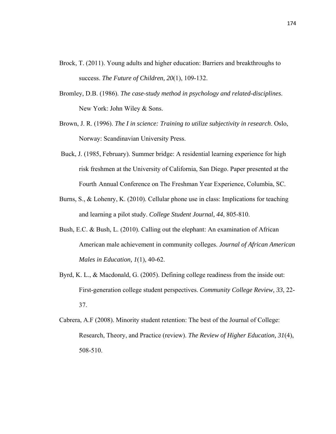- Brock, T. (2011). Young adults and higher education: Barriers and breakthroughs to success. *The Future of Children, 20*(1), 109-132.
- Bromley, D.B. (1986). *The case-study method in psychology and related-disciplines*. New York: John Wiley & Sons.
- Brown, J. R. (1996). *The I in science: Training to utilize subjectivity in research*. Oslo, Norway: Scandinavian University Press.
- Buck, J. (1985, February). Summer bridge: A residential learning experience for high risk freshmen at the University of California, San Diego. Paper presented at the Fourth Annual Conference on The Freshman Year Experience, Columbia, SC.
- Burns, S., & Lohenry, K. (2010). Cellular phone use in class: Implications for teaching and learning a pilot study. *College Student Journal, 44*, 805-810.
- Bush, E.C. & Bush, L. (2010). Calling out the elephant: An examination of African American male achievement in community colleges. *Journal of African American Males in Education, 1*(1), 40-62.
- Byrd, K. L., & Macdonald, G. (2005). Defining college readiness from the inside out: First-generation college student perspectives. *Community College Review, 33*, 22- 37.
- Cabrera, A.F (2008). Minority student retention: The best of the Journal of College: Research, Theory, and Practice (review). *The Review of Higher Education, 31*(4), 508-510.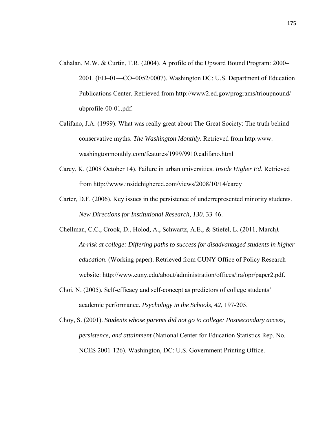- Cahalan, M.W. & Curtin, T.R. (2004). A profile of the Upward Bound Program: 2000– 2001. (ED–01––CO–0052/0007). Washington DC: U.S. Department of Education Publications Center. Retrieved from http://www2.ed.gov/programs/trioupnound/ ubprofile-00-01.pdf.
- Califano, J.A. (1999). What was really great about The Great Society: The truth behind conservative myths. *The Washington Monthly*. Retrieved from http:www. washingtonmonthly.com/features/1999/9910.califano.html
- Carey, K. (2008 October 14). Failure in urban universities. *Inside Higher Ed*. Retrieved from http://www.insidehighered.com/views/2008/10/14/carey
- Carter, D.F. (2006). Key issues in the persistence of underrepresented minority students. *New Directions for Institutional Research, 130*, 33-46.
- Chellman, C.C., Crook, D., Holod, A., Schwartz, A.E., & Stiefel, L. (2011, March*). At-risk at college: Differing paths to success for disadvantaged students in higher education*. (Working paper). Retrieved from CUNY Office of Policy Research website: http://www.cuny.edu/about/administration/offices/ira/opr/paper2.pdf.
- Choi, N. (2005). Self-efficacy and self-concept as predictors of college students' academic performance. *Psychology in the Schools, 42*, 197-205.
- Choy, S. (2001). *Students whose parents did not go to college: Postsecondary access, persistence, and attainment* (National Center for Education Statistics Rep. No. NCES 2001-126). Washington, DC: U.S. Government Printing Office.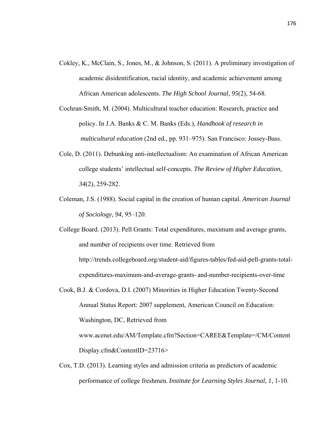- Cokley, K., McClain, S., Jones, M., & Johnson, S. (2011). A preliminary investigation of academic disidentification, racial identity, and academic achievement among African American adolescents. *The High School Journal, 95*(2), 54-68.
- Cochran-Smith, M. (2004). Multicultural teacher education: Research, practice and policy. In J.A. Banks & C. M. Banks (Eds.), *Handbook of research in multicultural education* (2nd ed., pp. 931–975). San Francisco: Jossey-Bass.
- Cole, D. (2011). Debunking anti-intellectualism: An examination of African American college students' intellectual self-concepts. *The Review of Higher Education, 34*(2), 259-282.
- Coleman, J.S. (1988). Social capital in the creation of human capital. *American Journal of Sociology, 94*, 95–120.

College Board. (2013). Pell Grants: Total expenditures, maximum and average grants, and number of recipients over time. Retrieved from http://trends.collegeboard.org/student-aid/figures-tables/fed-aid-pell-grants-totalexpenditures-maximum-and-average-grants- and-number-recipients-over-time

Cook, B.J. & Cordova, D.I. (2007) Minorities in Higher Education Twenty-Second Annual Status Report: 2007 supplement, American Council on Education: Washington, DC, Retrieved from www.acenet.edu/AM/Template.cfm?Section=CAREE&Template=/CM/Content

Display.cfm&ContentID=23716>

Cox, T.D. (2013). Learning styles and admission criteria as predictors of academic performance of college freshmen. *Institute for Learning Styles Journal, 1*, 1-10.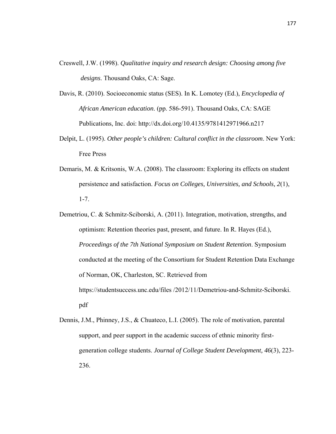- Creswell, J.W. (1998). *Qualitative inquiry and research design: Choosing among five designs*. Thousand Oaks, CA: Sage.
- Davis, R. (2010). Socioeconomic status (SES). In K. Lomotey (Ed.), *Encyclopedia of African American education*. (pp. 586-591). Thousand Oaks, CA: SAGE Publications, Inc. doi: http://dx.doi.org/10.4135/9781412971966.n217
- Delpit, L. (1995). *Other people's children: Cultural conflict in the classroom*. New York: Free Press
- Demaris, M. & Kritsonis, W.A. (2008). The classroom: Exploring its effects on student persistence and satisfaction. *Focus on Colleges, Universities, and Schools, 2*(1), 1-7.
- Demetriou, C. & Schmitz-Sciborski, A. (2011). Integration, motivation, strengths, and optimism: Retention theories past, present, and future. In R. Hayes (Ed.), *Proceedings of the 7th National Symposium on Student Retention*. Symposium conducted at the meeting of the Consortium for Student Retention Data Exchange of Norman, OK, Charleston, SC. Retrieved from https://studentsuccess.unc.edu/files /2012/11/Demetriou-and-Schmitz-Sciborski. pdf
- Dennis, J.M., Phinney, J.S., & Chuateco, L.I. (2005). The role of motivation, parental support, and peer support in the academic success of ethnic minority first generation college students. *Journal of College Student Development, 46*(3), 223- 236.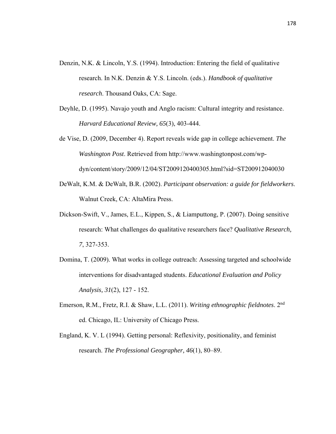- Denzin, N.K. & Lincoln, Y.S. (1994). Introduction: Entering the field of qualitative research. In N.K. Denzin & Y.S. Lincoln. (eds.). *Handbook of qualitative research*. Thousand Oaks, CA: Sage.
- Deyhle, D. (1995). Navajo youth and Anglo racism: Cultural integrity and resistance. *Harvard Educational Review, 65*(3), 403-444.
- de Vise, D. (2009, December 4). Report reveals wide gap in college achievement. *The Washington Post*. Retrieved from http://www.washingtonpost.com/wpdyn/content/story/2009/12/04/ST2009120400305.html?sid=ST200912040030
- DeWalt, K.M. & DeWalt, B.R. (2002). *Participant observation: a guide for fieldworkers*. Walnut Creek, CA: AltaMira Press.
- Dickson-Swift, V., James, E.L., Kippen, S., & Liamputtong, P. (2007). Doing sensitive research: What challenges do qualitative researchers face? *Qualitative Research, 7*, 327-353.
- Domina, T. (2009). What works in college outreach: Assessing targeted and schoolwide interventions for disadvantaged students. *Educational Evaluation and Policy Analysis, 31*(2), 127 - 152.
- Emerson, R.M., Fretz, R.I. & Shaw, L.L. (2011). *Writing ethnographic fieldnotes*. 2nd ed. Chicago, IL: University of Chicago Press.
- England, K. V. L (1994). Getting personal: Reflexivity, positionality, and feminist research. *The Professional Geographer, 46*(1), 80–89.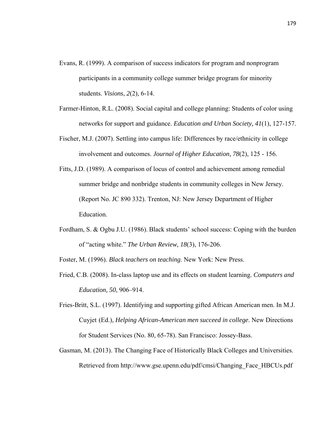- Evans, R. (1999). A comparison of success indicators for program and nonprogram participants in a community college summer bridge program for minority students. *Visions*, *2*(2), 6-14.
- Farmer-Hinton, R.L. (2008). Social capital and college planning: Students of color using networks for support and guidance. *Education and Urban Society, 41*(1), 127-157.
- Fischer, M.J. (2007). Settling into campus life: Differences by race/ethnicity in college involvement and outcomes. *Journal of Higher Education, 78*(2), 125 - 156.
- Fitts, J.D. (1989). A comparison of locus of control and achievement among remedial summer bridge and nonbridge students in community colleges in New Jersey. (Report No. JC 890 332). Trenton, NJ: New Jersey Department of Higher Education.
- Fordham, S. & Ogbu J.U. (1986). Black students' school success: Coping with the burden of "acting white." *The Urban Review, 18*(3), 176-206.

Foster, M. (1996). *Black teachers on teaching*. New York: New Press.

- Fried, C.B. (2008). In-class laptop use and its effects on student learning. *Computers and Education, 50*, 906–914.
- Fries-Britt, S.L. (1997). Identifying and supporting gifted African American men. In M.J. Cuyjet (Ed.), *Helping African-American men succeed in college*. New Directions for Student Services (No. 80, 65-78). San Francisco: Jossey-Bass.
- Gasman, M. (2013). The Changing Face of Historically Black Colleges and Universities. Retrieved from http://www.gse.upenn.edu/pdf/cmsi/Changing\_Face\_HBCUs.pdf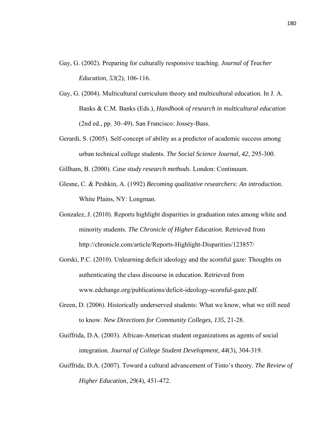- Gay, G. (2002). Preparing for culturally responsive teaching. *Journal of Teacher Education, 53*(2), 106-116.
- Gay, G. (2004). Multicultural curriculum theory and multicultural education. In J. A. Banks & C.M. Banks (Eds.), *Handbook of research in multicultural education* (2nd ed., pp. 30–49). San Francisco: Jossey-Bass.
- Gerardi, S. (2005). Self-concept of ability as a predictor of academic success among urban technical college students. *The Social Science Journal, 42*, 295-300.

Gillham, B. (2000). *Case study research methods*. London: Continuum.

- Glesne, C. & Peshkin, A. (1992) *Becoming qualitative researchers: An introduction*. White Plains, NY: Longman.
- Gonzalez, J. (2010). Reports highlight disparities in graduation rates among white and minority students. *The Chronicle of Higher Education.* Retrieved from http://chronicle.com/article/Reports-Highlight-Disparities/123857/
- Gorski, P.C. (2010). Unlearning deficit ideology and the scornful gaze: Thoughts on authenticating the class discourse in education. Retrieved from www.edchange.org/publications/deficit-ideology-scornful-gaze.pdf.
- Green, D. (2006). Historically underserved students: What we know, what we still need to know. *New Directions for Community Colleges, 135,* 21-28.
- Guiffrida, D.A. (2003). African-American student organizations as agents of social integration. *Journal of College Student Development, 44*(3), 304-319.
- Guiffrida, D.A. (2007). Toward a cultural advancement of Tinto's theory. *The Review of Higher Education, 29*(4), 451-472.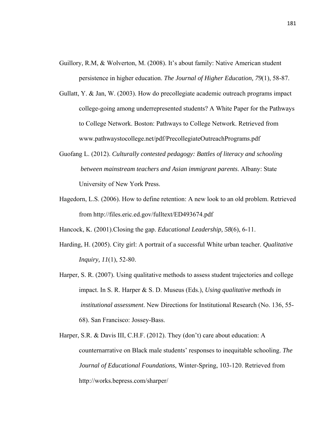- Guillory, R.M, & Wolverton, M. (2008). It's about family: Native American student persistence in higher education. *The Journal of Higher Education, 79*(1), 58-87.
- Gullatt, Y. & Jan, W. (2003). How do precollegiate academic outreach programs impact college-going among underrepresented students? A White Paper for the Pathways to College Network. Boston: Pathways to College Network. Retrieved from www.pathwaystocollege.net/pdf/PrecollegiateOutreachPrograms.pdf
- Guofang L. (2012). *Culturally contested pedagogy: Battles of literacy and schooling between mainstream teachers and Asian immigrant parents*. Albany: State University of New York Press.
- Hagedorn, L.S. (2006). How to define retention: A new look to an old problem. Retrieved from http://files.eric.ed.gov/fulltext/ED493674.pdf

Hancock, K. (2001).Closing the gap. *Educational Leadership, 58*(6), 6-11.

- Harding, H. (2005). City girl: A portrait of a successful White urban teacher. *Qualitative Inquiry, 11*(1), 52-80.
- Harper, S. R. (2007). Using qualitative methods to assess student trajectories and college impact. In S. R. Harper & S. D. Museus (Eds.), *Using qualitative methods in institutional assessment*. New Directions for Institutional Research (No. 136, 55- 68). San Francisco: Jossey-Bass.
- Harper, S.R. & Davis III, C.H.F. (2012). They (don't) care about education: A counternarrative on Black male students' responses to inequitable schooling. *The Journal of Educational Foundations*, Winter-Spring, 103-120. Retrieved from http://works.bepress.com/sharper/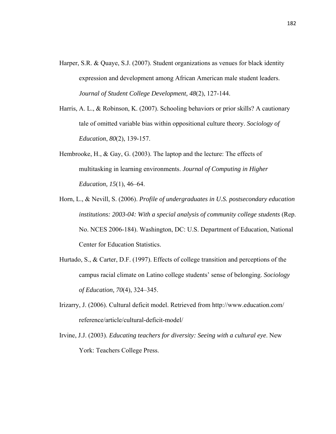- Harper, S.R. & Quaye, S.J. (2007). Student organizations as venues for black identity expression and development among African American male student leaders. *Journal of Student College Development, 48*(2), 127-144.
- Harris, A. L., & Robinson, K. (2007). Schooling behaviors or prior skills? A cautionary tale of omitted variable bias within oppositional culture theory. *Sociology of Education*, *80*(2), 139-157.
- Hembrooke, H., & Gay, G. (2003). The laptop and the lecture: The effects of multitasking in learning environments. *Journal of Computing in Higher Education, 15*(1), 46–64.
- Horn, L., & Nevill, S. (2006). *Profile of undergraduates in U.S. postsecondary education institutions: 2003-04: With a special analysis of community college students* (Rep. No. NCES 2006-184). Washington, DC: U.S. Department of Education, National Center for Education Statistics.
- Hurtado, S., & Carter, D.F. (1997). Effects of college transition and perceptions of the campus racial climate on Latino college students' sense of belonging. *Sociology of Education, 70*(4), 324–345.
- Irizarry, J. (2006). Cultural deficit model. Retrieved from http://www.education.com/ reference/article/cultural-deficit-model/
- Irvine, J.J. (2003). *Educating teachers for diversity: Seeing with a cultural eye*. New York: Teachers College Press.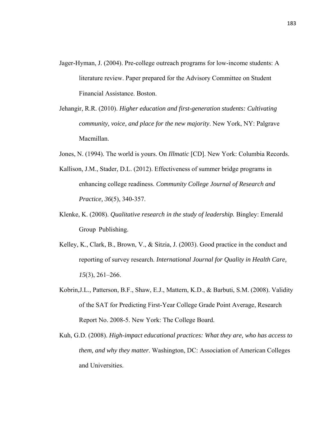- Jager-Hyman, J. (2004). Pre-college outreach programs for low-income students: A literature review. Paper prepared for the Advisory Committee on Student Financial Assistance. Boston.
- Jehangir, R.R. (2010). *Higher education and first-generation students: Cultivating community, voice, and place for the new majority*. New York, NY: Palgrave Macmillan.
- Jones, N. (1994). The world is yours. On *Illmatic* [CD]. New York: Columbia Records.
- Kallison, J.M., Stader, D.L. (2012). Effectiveness of summer bridge programs in enhancing college readiness. *Community College Journal of Research and Practice, 36*(5), 340-357.
- Klenke, K. (2008). *Qualitative research in the study of leadership.* Bingley: Emerald Group Publishing.
- Kelley, K., Clark, B., Brown, V., & Sitzia, J. (2003). Good practice in the conduct and reporting of survey research. *International Journal for Quality in Health Care, 15*(3), 261–266.
- Kobrin,J.L., Patterson, B.F., Shaw, E.J., Mattern, K.D., & Barbuti, S.M. (2008). Validity of the SAT for Predicting First-Year College Grade Point Average, Research Report No. 2008-5. New York: The College Board.
- Kuh, G.D. (2008). *High-impact educational practices: What they are, who has access to them, and why they matter*. Washington, DC: Association of American Colleges and Universities.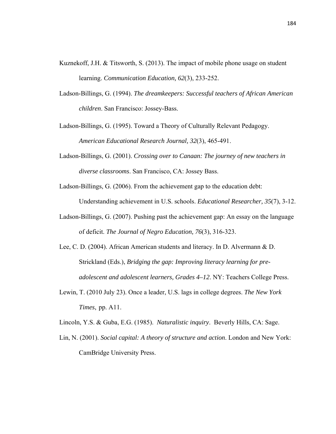- Kuznekoff, J.H. & Titsworth, S. (2013). The impact of mobile phone usage on student learning. *Communication Education, 62*(3), 233-252.
- Ladson-Billings, G. (1994). *The dreamkeepers: Successful teachers of African American children*. San Francisco: Jossey-Bass.
- Ladson-Billings, G. (1995). Toward a Theory of Culturally Relevant Pedagogy. *American Educational Research Journal, 32*(3), 465-491.
- Ladson-Billings, G. (2001). *Crossing over to Canaan: The journey of new teachers in diverse classrooms*. San Francisco, CA: Jossey Bass.
- Ladson-Billings, G. (2006). From the achievement gap to the education debt: Understanding achievement in U.S. schools. *Educational Researcher, 35*(7), 3-12.
- Ladson-Billings, G. (2007). Pushing past the achievement gap: An essay on the language of deficit. *The Journal of Negro Education, 76*(3), 316-323.
- Lee, C. D. (2004). African American students and literacy. In D. Alvermann & D. Strickland (Eds.), *Bridging the gap: Improving literacy learning for pre adolescent and adolescent learners, Grades 4–12*. NY: Teachers College Press.
- Lewin, T. (2010 July 23). Once a leader, U.S. lags in college degrees. *The New York Times*, pp. A11.

Lincoln, Y.S. & Guba, E.G. (1985). *Naturalistic inquiry*. Beverly Hills, CA: Sage.

Lin, N. (2001). *Social capital: A theory of structure and action*. London and New York: CamBridge University Press.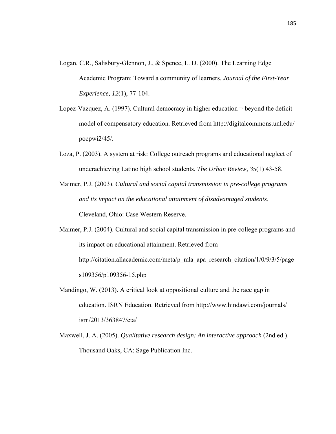- Logan, C.R., Salisbury-Glennon, J., & Spence, L. D. (2000). The Learning Edge Academic Program: Toward a community of learners. *Journal of the First-Year Experience, 12*(1), 77-104.
- Lopez-Vazquez, A. (1997). Cultural democracy in higher education  $\neg$  beyond the deficit model of compensatory education. Retrieved from http://digitalcommons.unl.edu/ pocpwi2/45/.
- Loza, P. (2003). A system at risk: College outreach programs and educational neglect of underachieving Latino high school students. *The Urban Review, 35*(1) 43-58.
- Maimer, P.J. (2003). *Cultural and social capital transmission in pre-college programs and its impact on the educational attainment of disadvantaged students*. Cleveland, Ohio: Case Western Reserve.

Maimer, P.J. (2004). Cultural and social capital transmission in pre-college programs and its impact on educational attainment. Retrieved from http://citation.allacademic.com/meta/p\_mla\_apa\_research\_citation/1/0/9/3/5/page s109356/p109356-15.php

- Mandingo, W. (2013). A critical look at oppositional culture and the race gap in education. ISRN Education. Retrieved from http://www.hindawi.com/journals/ isrn/2013/363847/cta/
- Maxwell, J. A. (2005). *Qualitative research design: An interactive approach* (2nd ed.). Thousand Oaks, CA: Sage Publication Inc.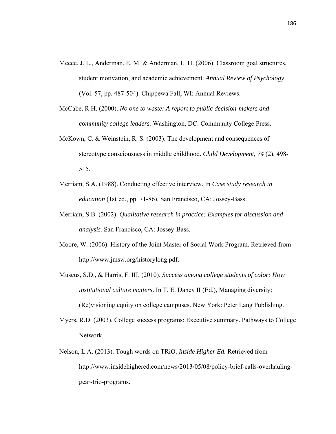- Meece, J. L., Anderman, E. M. & Anderman, L. H. (2006). Classroom goal structures, student motivation, and academic achievement. *Annual Review of Psychology* (Vol. 57, pp. 487-504). Chippewa Fall, WI: Annual Reviews.
- McCabe, R.H. (2000). *No one to waste: A report to public decision-makers and community college leaders.* Washington, DC: Community College Press.
- McKown, C. & Weinstein, R. S. (2003). The development and consequences of stereotype consciousness in middle childhood. *Child Development, 74* (2), 498- 515.
- Merriam, S.A. (1988). Conducting effective interview. In *Case study research in education* (1st ed., pp. 71-86). San Francisco, CA: Jossey-Bass.
- Merriam, S.B. (2002). *Qualitative research in practice: Examples for discussion and analysis.* San Francisco, CA: Jossey-Bass.
- Moore, W. (2006). History of the Joint Master of Social Work Program. Retrieved from http://www.jmsw.org/historylong.pdf.
- Museus, S.D., & Harris, F. III. (2010). *Success among college students of color: How institutional culture matters*. In T. E. Dancy II (Ed.), Managing diversity: (Re)visioning equity on college campuses. New York: Peter Lang Publishing.
- Myers, R.D. (2003). College success programs: Executive summary. Pathways to College Network.
- Nelson, L.A. (2013). Tough words on TRiO. *Inside Higher Ed.* Retrieved from http://www.insidehighered.com/news/2013/05/08/policy-brief-calls-overhauling gear-trio-programs.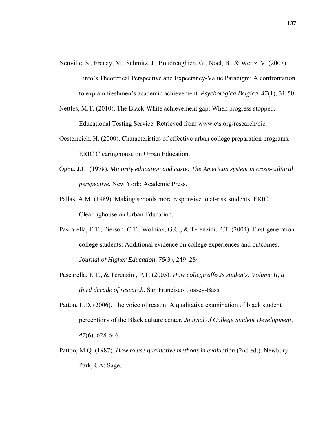- Neuville, S., Frenay, M., Schmitz, J., Boudrenghien, G., Noël, B., & Wertz, V. (2007). Tinto's Theoretical Perspective and Expectancy-Value Paradigm: A confrontation to explain freshmen's academic achievement. *Psychologica Belgica, 47*(1), 31-50.
- Nettles, M.T. (2010). The Black-White achievement gap: When progress stopped. Educational Testing Service. Retrieved from www.ets.org/research/pic.
- Oesterreich, H. (2000). Characteristics of effective urban college preparation programs. ERIC Clearinghouse on Urban Education.
- Ogbu, J.U. (1978). *Minority education and caste: The American system in cross-cultural perspective.* New York: Academic Press.
- Pallas, A.M. (1989). Making schools more responsive to at-risk students. ERIC Clearinghouse on Urban Education.
- Pascarella, E.T., Pierson, C.T., Wolniak, G.C., & Terenzini, P.T. (2004). First-generation college students: Additional evidence on college experiences and outcomes. *Journal of Higher Education, 75*(3), 249–284.
- Pascarella, E.T., & Terenzini, P.T. (2005). *How college affects students: Volume II, a third decade of research*. San Francisco: Jossey-Bass.
- Patton, L.D. (2006). The voice of reason: A qualitative examination of black student perceptions of the Black culture center. *Journal of College Student Development, 47*(6), 628-646.
- Patton, M.Q. (1987). *How to use qualitative methods in evaluation* (2nd ed.). Newbury Park, CA: Sage.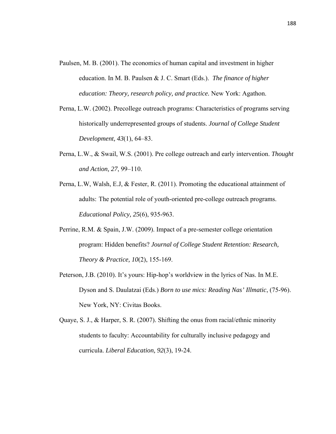- Paulsen, M. B. (2001). The economics of human capital and investment in higher education. In M. B. Paulsen & J. C. Smart (Eds.). *The finance of higher education: Theory, research policy, and practice.* New York: Agathon.
- Perna, L.W. (2002). Precollege outreach programs: Characteristics of programs serving historically underrepresented groups of students. *Journal of College Student Development, 43*(1), 64–83.
- Perna, L.W., & Swail, W.S. (2001). Pre college outreach and early intervention. *Thought and Action, 27*, 99–110.
- Perna, L.W, Walsh, E.J, & Fester, R. (2011). Promoting the educational attainment of adults: The potential role of youth-oriented pre-college outreach programs. *Educational Policy, 25*(6), 935-963.
- Perrine, R.M. & Spain, J.W. (2009). Impact of a pre-semester college orientation program: Hidden benefits? *Journal of College Student Retention: Research, Theory & Practice, 10*(2), 155-169.
- Peterson, J.B. (2010). It's yours: Hip-hop's worldview in the lyrics of Nas. In M.E. Dyson and S. Daulatzai (Eds.) *Born to use mics: Reading Nas' Illmatic*, (75-96). New York, NY: Civitas Books.
- Quaye, S. J., & Harper, S. R. (2007). Shifting the onus from racial/ethnic minority students to faculty: Accountability for culturally inclusive pedagogy and curricula. *Liberal Education, 92*(3), 19-24.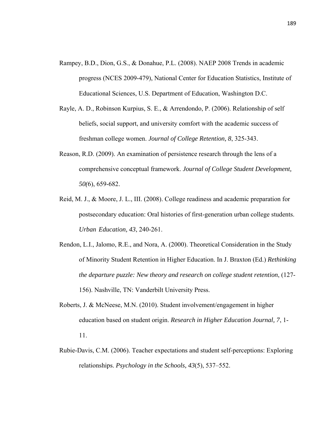- Rampey, B.D., Dion, G.S., & Donahue, P.L. (2008). NAEP 2008 Trends in academic progress (NCES 2009-479), National Center for Education Statistics, Institute of Educational Sciences, U.S. Department of Education, Washington D.C.
- Rayle, A. D., Robinson Kurpius, S. E., & Arrendondo, P. (2006). Relationship of self beliefs, social support, and university comfort with the academic success of freshman college women. *Journal of College Retention, 8*, 325-343.
- Reason, R.D. (2009). An examination of persistence research through the lens of a comprehensive conceptual framework. *Journal of College Student Development, 50(*6), 659-682.
- Reid, M. J., & Moore, J. L., III. (2008). College readiness and academic preparation for postsecondary education: Oral histories of first-generation urban college students. *Urban Education, 43*, 240-261.
- Rendon, L.I., Jalomo, R.E., and Nora, A. (2000). Theoretical Consideration in the Study of Minority Student Retention in Higher Education. In J. Braxton (Ed.) *Rethinking the departure puzzle: New theory and research on college student retention*, (127- 156). Nashville, TN: Vanderbilt University Press.
- Roberts, J. & McNeese, M.N. (2010). Student involvement/engagement in higher education based on student origin. *Research in Higher Education Journal, 7*, 1- 11.
- Rubie-Davis, C.M. (2006). Teacher expectations and student self-perceptions: Exploring relationships. *Psychology in the Schools, 43*(5), 537–552.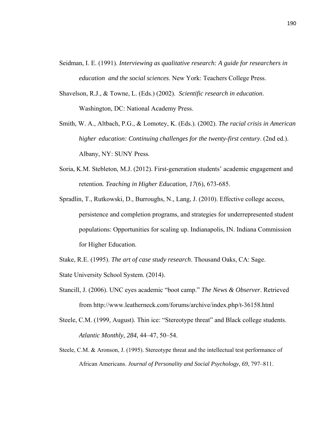- Seidman, I. E. (1991). *Interviewing as qualitative research: A guide for researchers in education and the social sciences*. New York: Teachers College Press.
- Shavelson, R.J., & Towne, L. (Eds.) (2002). *Scientific research in education*. Washington, DC: National Academy Press.
- Smith, W. A., Altbach, P.G., & Lomotey, K. (Eds.). (2002). *The racial crisis in American higher education: Continuing challenges for the twenty-first century*. (2nd ed.). Albany, NY: SUNY Press.
- Soria, K.M. Stebleton, M.J. (2012). First-generation students' academic engagement and retention*. Teaching in Higher Education, 17*(6), 673-685.
- Spradlin, T., Rutkowski, D., Burroughs, N., Lang, J. (2010). Effective college access, persistence and completion programs, and strategies for underrepresented student populations: Opportunities for scaling up. Indianapolis, IN. Indiana Commission for Higher Education.

Stake, R.E. (1995). *The art of case study research*. Thousand Oaks, CA: Sage.

State University School System. (2014).

- Stancill, J. (2006). UNC eyes academic "boot camp." *The News & Observer*. Retrieved from http://www.leatherneck.com/forums/archive/index.php/t-36158.html
- Steele, C.M. (1999, August). Thin ice: "Stereotype threat" and Black college students. *Atlantic Monthly, 284,* 44–47, 50–54.
- Steele, C.M. & Aronson, J. (1995). Stereotype threat and the intellectual test performance of African Americans. *Journal of Personality and Social Psychology, 69*, 797–811.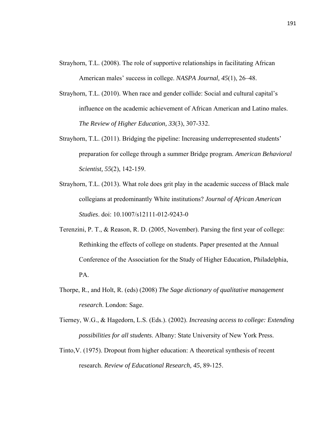- Strayhorn, T.L. (2008). The role of supportive relationships in facilitating African American males' success in college. *NASPA Journal, 45*(1), 26–48.
- Strayhorn, T.L. (2010). When race and gender collide: Social and cultural capital's influence on the academic achievement of African American and Latino males. *The Review of Higher Education, 33*(3), 307-332.
- Strayhorn, T.L. (2011). Bridging the pipeline: Increasing underrepresented students' preparation for college through a summer Bridge program. *American Behavioral Scientist, 55*(2), 142-159.
- Strayhorn, T.L. (2013). What role does grit play in the academic success of Black male collegians at predominantly White institutions? *Journal of African American Studies*. doi: 10.1007/s12111-012-9243-0
- Terenzini, P. T., & Reason, R. D. (2005, November). Parsing the first year of college: Rethinking the effects of college on students. Paper presented at the Annual Conference of the Association for the Study of Higher Education, Philadelphia, PA.
- Thorpe, R., and Holt, R. (eds) (2008) *The Sage dictionary of qualitative management research*. London: Sage.
- Tierney, W.G., & Hagedorn, L.S. (Eds.). (2002). *Increasing access to college: Extending possibilities for all students*. Albany: State University of New York Press.
- Tinto,V. (1975). Dropout from higher education: A theoretical synthesis of recent research. *Review of Educational Research, 45*, 89-125.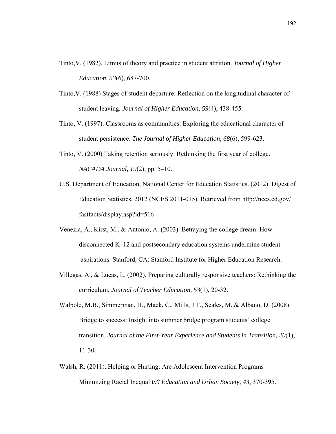- Tinto,V. (1982). Limits of theory and practice in student attrition. *Journal of Higher Education, 53*(6), 687-700.
- Tinto,V. (1988) Stages of student departure: Reflection on the longitudinal character of student leaving*. Journal of Higher Education, 59*(4), 438-455.
- Tinto, V. (1997). Classrooms as communities: Exploring the educational character of student persistence. *The Journal of Higher Education, 68*(6), 599-623.
- Tinto, V. (2000) Taking retention seriously: Rethinking the first year of college. *NACADA Journal, 19*(2), pp. 5–10.
- U.S. Department of Education, National Center for Education Statistics. (2012). Digest of Education Statistics, 2012 (NCES 2011-015). Retrieved from http://nces.ed.gov/ fastfacts/display.asp?id=516
- Venezia, A., Kirst, M., & Antonio, A. (2003). Betraying the college dream: How disconnected K–12 and postsecondary education systems undermine student aspirations. Stanford, CA: Stanford Institute for Higher Education Research.
- Villegas, A., & Lucas, L. (2002). Preparing culturally responsive teachers: Rethinking the curriculum. *Journal of Teacher Education, 53*(1), 20-32.
- Walpole, M.B., Simmerman, H., Mack, C., Mills, J.T., Scales, M. & Albano, D. (2008). Bridge to success: Insight into summer bridge program students' college transition. *Journal of the First-Year Experience and Students in Transition, 20*(1), 11-30.
- Walsh, R. (2011). Helping or Hurting: Are Adolescent Intervention Programs Minimizing Racial Inequality? *Education and Urban Society, 43*, 370-395.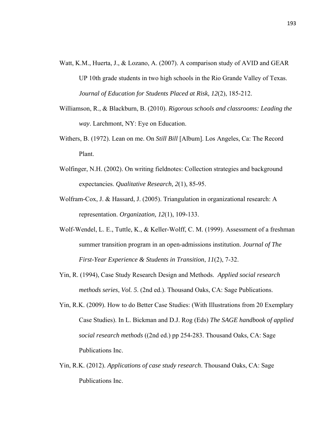- Watt, K.M., Huerta, J., & Lozano, A. (2007). A comparison study of AVID and GEAR UP 10th grade students in two high schools in the Rio Grande Valley of Texas. *Journal of Education for Students Placed at Risk, 12*(2), 185-212.
- Williamson, R., & Blackburn, B. (2010). *Rigorous schools and classrooms: Leading the way*. Larchmont, NY: Eye on Education.
- Withers, B. (1972). Lean on me. On *Still Bill* [Album]. Los Angeles, Ca: The Record Plant.
- Wolfinger, N.H. (2002). On writing fieldnotes: Collection strategies and background expectancies. *Qualitative Research, 2*(1), 85-95.
- Wolfram-Cox, J. & Hassard, J. (2005). Triangulation in organizational research: A representation. *Organization, 12*(1), 109-133.
- Wolf-Wendel, L. E., Tuttle, K., & Keller-Wolff, C. M. (1999). Assessment of a freshman summer transition program in an open-admissions institution. *Journal of The First-Year Experience & Students in Transition*, *11*(2), 7-32.
- Yin, R. (1994), Case Study Research Design and Methods. *Applied social research methods series*, *Vol. 5*. (2nd ed.). Thousand Oaks, CA: Sage Publications.
- Yin, R.K. (2009). How to do Better Case Studies: (With Illustrations from 20 Exemplary Case Studies). In L. Bickman and D.J. Rog (Eds) *The SAGE handbook of applied social research methods* ((2nd ed.) pp 254-283. Thousand Oaks, CA: Sage Publications Inc.
- Yin, R.K. (2012). *Applications of case study research*. Thousand Oaks, CA: Sage Publications Inc.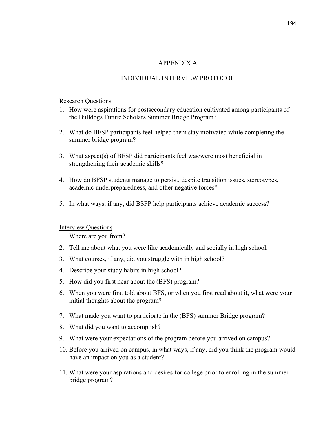## APPENDIX A

# INDIVIDUAL INTERVIEW PROTOCOL

### Research Questions

- 1. How were aspirations for postsecondary education cultivated among participants of the Bulldogs Future Scholars Summer Bridge Program?
- 2. What do BFSP participants feel helped them stay motivated while completing the summer bridge program?
- 3. What aspect(s) of BFSP did participants feel was/were most beneficial in strengthening their academic skills?
- 4. How do BFSP students manage to persist, despite transition issues, stereotypes, academic underpreparedness, and other negative forces?
- 5. In what ways, if any, did BSFP help participants achieve academic success?

### Interview Questions

- 1. Where are you from?
- 2. Tell me about what you were like academically and socially in high school.
- 3. What courses, if any, did you struggle with in high school?
- 4. Describe your study habits in high school?
- 5. How did you first hear about the (BFS) program?
- 6. When you were first told about BFS, or when you first read about it, what were your initial thoughts about the program?
- 7. What made you want to participate in the (BFS) summer Bridge program?
- 8. What did you want to accomplish?
- 9. What were your expectations of the program before you arrived on campus?
- 10. Before you arrived on campus, in what ways, if any, did you think the program would have an impact on you as a student?
- 11. What were your aspirations and desires for college prior to enrolling in the summer bridge program?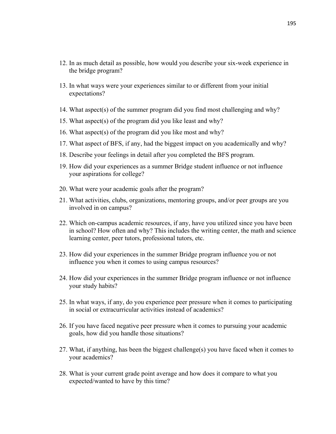- 12. In as much detail as possible, how would you describe your six-week experience in the bridge program?
- 13. In what ways were your experiences similar to or different from your initial expectations?
- 14. What aspect(s) of the summer program did you find most challenging and why?
- 15. What aspect(s) of the program did you like least and why?
- 16. What aspect(s) of the program did you like most and why?
- 17. What aspect of BFS, if any, had the biggest impact on you academically and why?
- 18. Describe your feelings in detail after you completed the BFS program.
- 19. How did your experiences as a summer Bridge student influence or not influence your aspirations for college?
- 20. What were your academic goals after the program?
- 21. What activities, clubs, organizations, mentoring groups, and/or peer groups are you involved in on campus?
- 22. Which on-campus academic resources, if any, have you utilized since you have been in school? How often and why? This includes the writing center, the math and science learning center, peer tutors, professional tutors, etc.
- 23. How did your experiences in the summer Bridge program influence you or not influence you when it comes to using campus resources?
- 24. How did your experiences in the summer Bridge program influence or not influence your study habits?
- 25. In what ways, if any, do you experience peer pressure when it comes to participating in social or extracurricular activities instead of academics?
- 26. If you have faced negative peer pressure when it comes to pursuing your academic goals, how did you handle those situations?
- 27. What, if anything, has been the biggest challenge(s) you have faced when it comes to your academics?
- 28. What is your current grade point average and how does it compare to what you expected/wanted to have by this time?